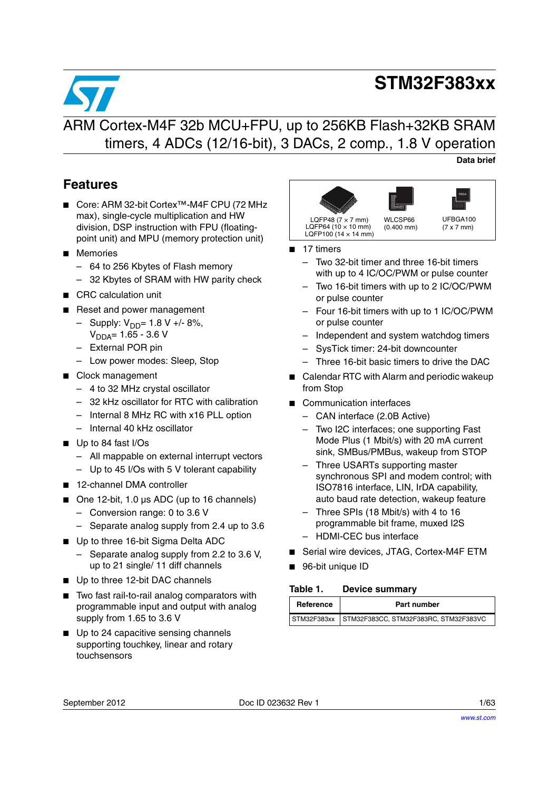# **STM32F383xx**



## **Data brief**

## **Features**

- Core: ARM 32-bit Cortex™-M4F CPU (72 MHz max), single-cycle multiplication and HW division, DSP instruction with FPU (floatingpoint unit) and MPU (memory protection unit)
- Memories
	- 64 to 256 Kbytes of Flash memory
	- 32 Kbytes of SRAM with HW parity check
- CRC calculation unit
- Reset and power management
	- $-$  Supply:  $V_{DD} = 1.8 V + 8\%,$  $V_{DDA} = 1.65 - 3.6 V$
	- External POR pin
	- Low power modes: Sleep, Stop
- Clock management
	- 4 to 32 MHz crystal oscillator
	- 32 kHz oscillator for RTC with calibration
	- Internal 8 MHz RC with x16 PLL option
	- Internal 40 kHz oscillator
- Up to 84 fast I/Os
	- All mappable on external interrupt vectors
	- Up to 45 I/Os with 5 V tolerant capability
- 12-channel DMA controller
- One 12-bit, 1.0 µs ADC (up to 16 channels)
	- Conversion range: 0 to 3.6 V
	- Separate analog supply from 2.4 up to 3.6
- Up to three 16-bit Sigma Delta ADC
	- Separate analog supply from 2.2 to 3.6 V, up to 21 single/ 11 diff channels
- Up to three 12-bit DAC channels
- Two fast rail-to-rail analog comparators with programmable input and output with analog supply from 1.65 to 3.6 V
- Up to 24 capacitive sensing channels supporting touchkey, linear and rotary touchsensors



- 17 timers
	- Two 32-bit timer and three 16-bit timers with up to 4 IC/OC/PWM or pulse counter
	- Two 16-bit timers with up to 2 IC/OC/PWM or pulse counter
	- Four 16-bit timers with up to 1 IC/OC/PWM or pulse counter
	- Independent and system watchdog timers
	- SysTick timer: 24-bit downcounter
	- Three 16-bit basic timers to drive the DAC
- Calendar RTC with Alarm and periodic wakeup from Stop
- Communication interfaces
	- CAN interface (2.0B Active)
	- Two I2C interfaces; one supporting Fast Mode Plus (1 Mbit/s) with 20 mA current sink, SMBus/PMBus, wakeup from STOP
	- Three USARTs supporting master synchronous SPI and modem control; with ISO7816 interface, LIN, IrDA capability, auto baud rate detection, wakeup feature
	- Three SPIs (18 Mbit/s) with 4 to 16 programmable bit frame, muxed I2S
	- HDMI-CEC bus interface
- Serial wire devices, JTAG, Cortex-M4F ETM
- 96-bit unique ID

#### <span id="page-0-0"></span>Table 1. **Device summary**

| Reference | Part number                                       |
|-----------|---------------------------------------------------|
|           | STM32F383xx STM32F383CC, STM32F383RC, STM32F383VC |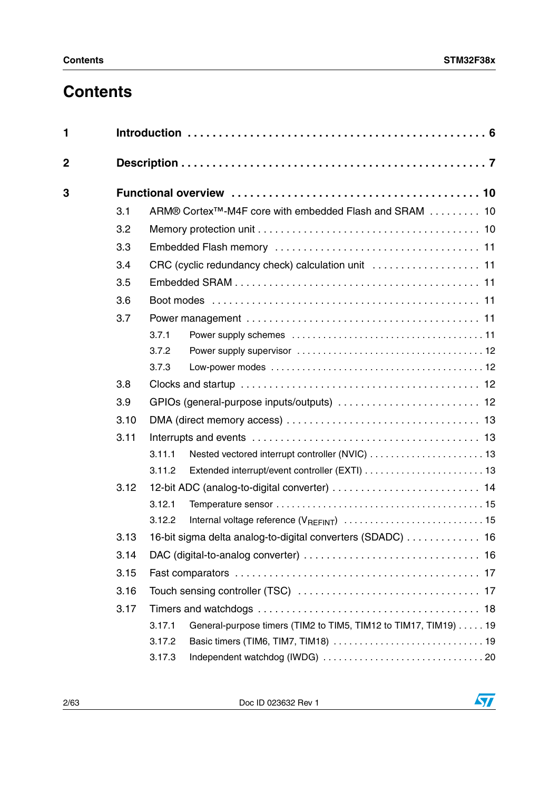# **Contents**

| $\mathbf{1}$ |      |                                                                           |
|--------------|------|---------------------------------------------------------------------------|
| $\mathbf 2$  |      |                                                                           |
| 3            |      |                                                                           |
|              | 3.1  | ARM® Cortex <sup>™</sup> -M4F core with embedded Flash and SRAM 10        |
|              | 3.2  |                                                                           |
|              | 3.3  |                                                                           |
|              | 3.4  |                                                                           |
|              | 3.5  |                                                                           |
|              | 3.6  |                                                                           |
|              | 3.7  |                                                                           |
|              |      | 3.7.1                                                                     |
|              |      | 3.7.2                                                                     |
|              |      | 3.7.3                                                                     |
|              | 3.8  |                                                                           |
|              | 3.9  |                                                                           |
|              | 3.10 |                                                                           |
|              | 3.11 |                                                                           |
|              |      | 3.11.1                                                                    |
|              |      | 3.11.2                                                                    |
|              | 3.12 | 12-bit ADC (analog-to-digital converter)  14                              |
|              |      | 3.12.1                                                                    |
|              |      | 3.12.2                                                                    |
|              | 3.13 | 16-bit sigma delta analog-to-digital converters (SDADC)  16               |
|              | 3.14 |                                                                           |
|              | 3.15 |                                                                           |
|              | 3.16 |                                                                           |
|              | 3.17 |                                                                           |
|              |      | 3.17.1<br>General-purpose timers (TIM2 to TIM5, TIM12 to TIM17, TIM19) 19 |
|              |      | 3.17.2                                                                    |
|              |      | 3.17.3                                                                    |

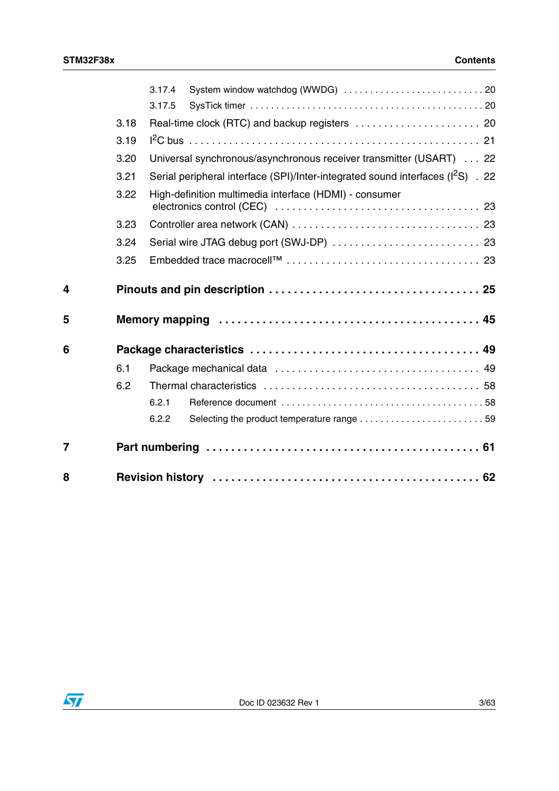|                |      | 3.17.4                                                                                      |
|----------------|------|---------------------------------------------------------------------------------------------|
|                |      | 3.17.5                                                                                      |
|                | 3.18 |                                                                                             |
|                | 3.19 |                                                                                             |
|                | 3.20 | Universal synchronous/asynchronous receiver transmitter (USART)  22                         |
|                | 3.21 | Serial peripheral interface (SPI)/Inter-integrated sound interfaces (I <sup>2</sup> S) . 22 |
|                | 3.22 | High-definition multimedia interface (HDMI) - consumer                                      |
|                | 3.23 |                                                                                             |
|                | 3.24 | Serial wire JTAG debug port (SWJ-DP)  23                                                    |
|                | 3.25 |                                                                                             |
| 4              |      |                                                                                             |
| 5              |      |                                                                                             |
| 6              |      |                                                                                             |
|                | 6.1  |                                                                                             |
|                | 6.2  |                                                                                             |
|                |      | 6.2.1                                                                                       |
|                |      | 6.2.2                                                                                       |
| $\overline{7}$ |      |                                                                                             |
| 8              |      |                                                                                             |

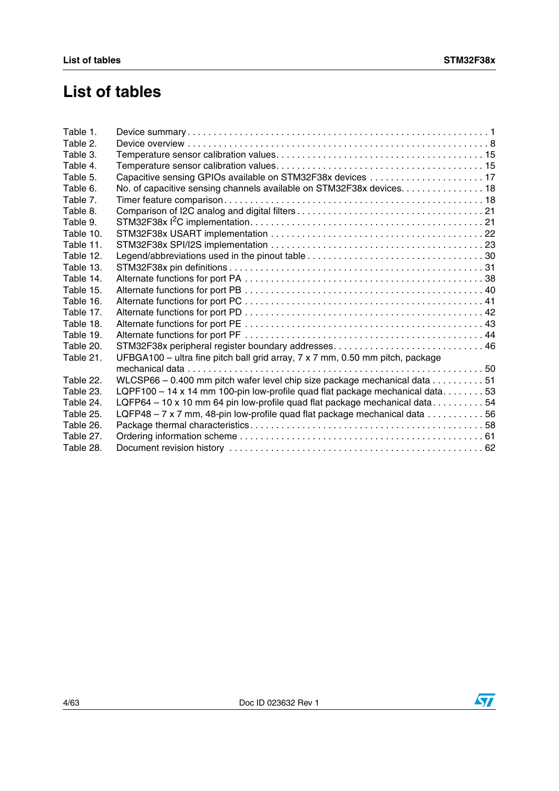# **List of tables**

| Table 1.  |                                                                                                  |
|-----------|--------------------------------------------------------------------------------------------------|
| Table 2.  |                                                                                                  |
| Table 3.  |                                                                                                  |
| Table 4.  |                                                                                                  |
| Table 5.  | Capacitive sensing GPIOs available on STM32F38x devices 17                                       |
| Table 6.  | No. of capacitive sensing channels available on STM32F38x devices. 18                            |
| Table 7.  |                                                                                                  |
| Table 8.  |                                                                                                  |
| Table 9.  |                                                                                                  |
| Table 10. |                                                                                                  |
| Table 11. |                                                                                                  |
| Table 12. |                                                                                                  |
| Table 13. |                                                                                                  |
| Table 14. |                                                                                                  |
| Table 15. |                                                                                                  |
| Table 16. |                                                                                                  |
| Table 17. |                                                                                                  |
| Table 18. |                                                                                                  |
| Table 19. |                                                                                                  |
| Table 20. | STM32F38x peripheral register boundary addresses46                                               |
| Table 21. | UFBGA100 - ultra fine pitch ball grid array, 7 x 7 mm, 0.50 mm pitch, package                    |
|           |                                                                                                  |
| Table 22. | WLCSP66 - 0.400 mm pitch wafer level chip size package mechanical data $\ldots \ldots \ldots 51$ |
| Table 23. | LQPF100 - 14 x 14 mm 100-pin low-profile quad flat package mechanical data53                     |
| Table 24. | LQFP64 - 10 x 10 mm 64 pin low-profile quad flat package mechanical data54                       |
| Table 25. | LQFP48 - 7 x 7 mm, 48-pin low-profile quad flat package mechanical data 56                       |
| Table 26. |                                                                                                  |
| Table 27. |                                                                                                  |
| Table 28. |                                                                                                  |
|           |                                                                                                  |

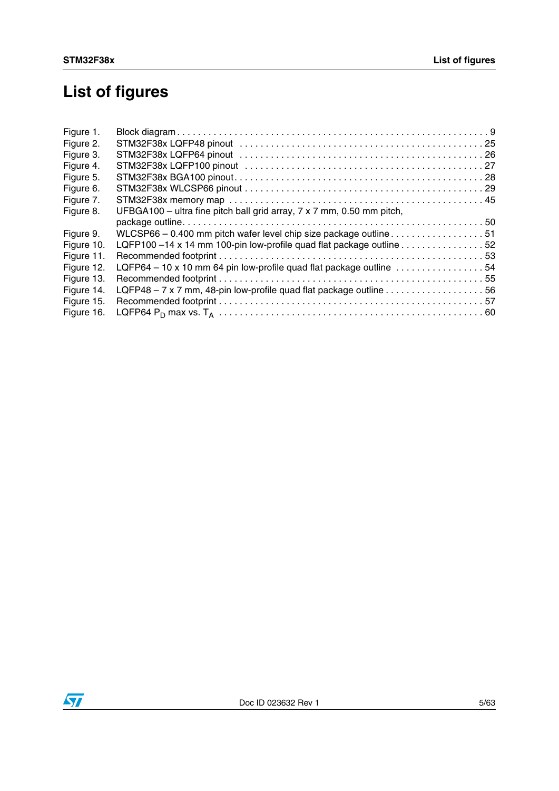# **List of figures**

| Figure 1.  |                                                                                                        |
|------------|--------------------------------------------------------------------------------------------------------|
| Figure 2.  |                                                                                                        |
| Figure 3.  |                                                                                                        |
| Figure 4.  |                                                                                                        |
| Figure 5.  |                                                                                                        |
| Figure 6.  |                                                                                                        |
| Figure 7.  |                                                                                                        |
| Figure 8.  | UFBGA100 - ultra fine pitch ball grid array, 7 x 7 mm, 0.50 mm pitch,                                  |
|            |                                                                                                        |
| Figure 9.  | WLCSP66 - 0.400 mm pitch wafer level chip size package outline $\ldots \ldots \ldots \ldots \ldots 51$ |
| Figure 10. | LQFP100-14 x 14 mm 100-pin low-profile quad flat package outline 52                                    |
| Figure 11. |                                                                                                        |
| Figure 12. | LQFP64 - 10 x 10 mm 64 pin low-profile quad flat package outline 54                                    |
| Figure 13. |                                                                                                        |
| Figure 14. | LQFP48 - 7 x 7 mm, 48-pin low-profile quad flat package outline 56                                     |
| Figure 15. |                                                                                                        |
| Figure 16. |                                                                                                        |
|            |                                                                                                        |

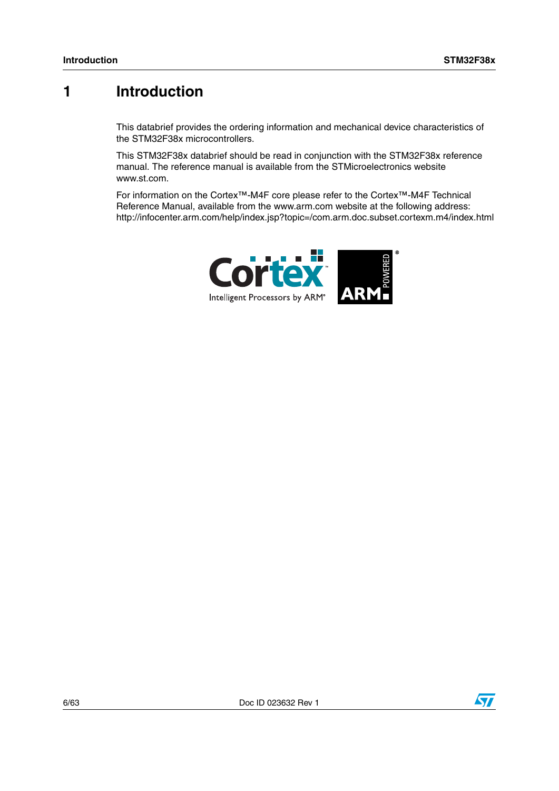## <span id="page-5-0"></span>**1 Introduction**

This databrief provides the ordering information and mechanical device characteristics of the STM32F38x microcontrollers.

This STM32F38x databrief should be read in conjunction with the STM32F38x reference manual. The reference manual is available from the STMicroelectronics website www.st.com.

For information on the Cortex™-M4F core please refer to the Cortex™-M4F Technical Reference Manual, available from the www.arm.com website at the following address: http://infocenter.arm.com/help/index.jsp?topic=/com.arm.doc.subset.cortexm.m4/index.html



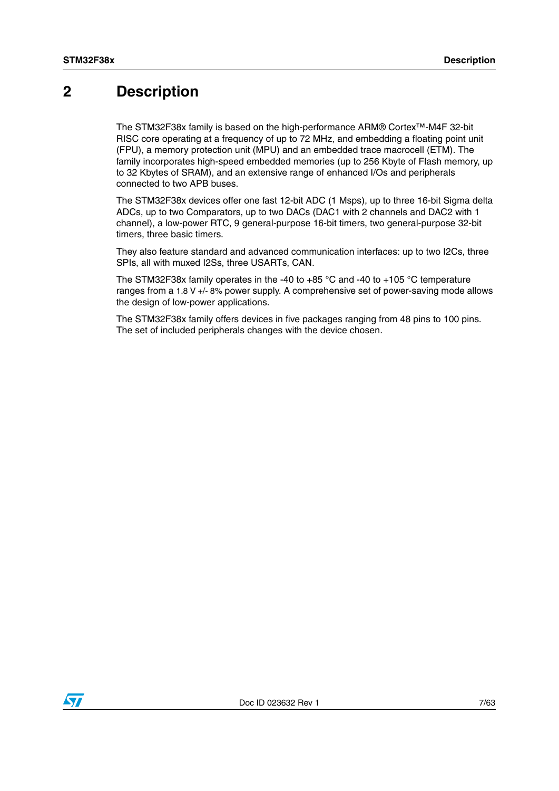## <span id="page-6-0"></span>**2 Description**

The STM32F38x family is based on the high-performance ARM® Cortex™-M4F 32-bit RISC core operating at a frequency of up to 72 MHz, and embedding a floating point unit (FPU), a memory protection unit (MPU) and an embedded trace macrocell (ETM). The family incorporates high-speed embedded memories (up to 256 Kbyte of Flash memory, up to 32 Kbytes of SRAM), and an extensive range of enhanced I/Os and peripherals connected to two APB buses.

The STM32F38x devices offer one fast 12-bit ADC (1 Msps), up to three 16-bit Sigma delta ADCs, up to two Comparators, up to two DACs (DAC1 with 2 channels and DAC2 with 1 channel), a low-power RTC, 9 general-purpose 16-bit timers, two general-purpose 32-bit timers, three basic timers.

They also feature standard and advanced communication interfaces: up to two I2Cs, three SPIs, all with muxed I2Ss, three USARTs, CAN.

The STM32F38x family operates in the -40 to +85 °C and -40 to +105 °C temperature ranges from a 1.8 V +/- 8% power supply. A comprehensive set of power-saving mode allows the design of low-power applications.

The STM32F38x family offers devices in five packages ranging from 48 pins to 100 pins. The set of included peripherals changes with the device chosen.

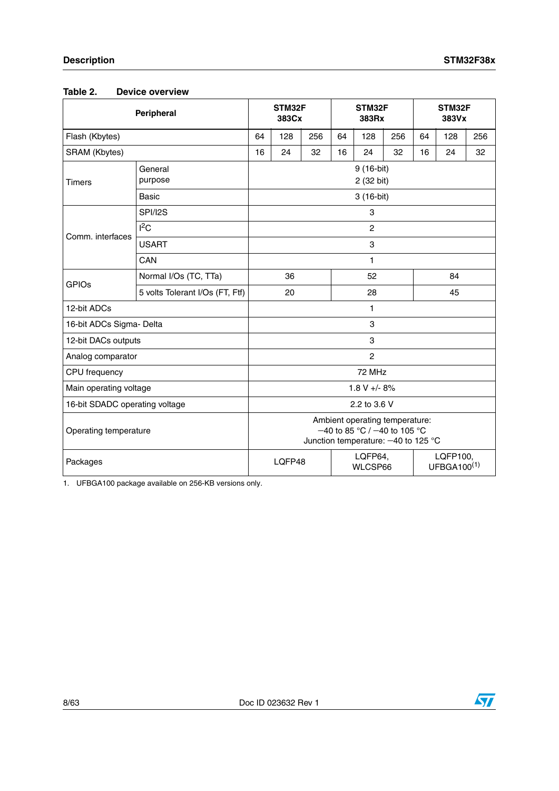<span id="page-7-0"></span>

| Peripheral                     |                                 | STM32F<br>383Cx                                                                                           |     | STM32F<br>383Rx                     |    | STM32F<br>383Vx |     |    |     |     |
|--------------------------------|---------------------------------|-----------------------------------------------------------------------------------------------------------|-----|-------------------------------------|----|-----------------|-----|----|-----|-----|
| Flash (Kbytes)                 |                                 |                                                                                                           | 128 | 256                                 | 64 | 128             | 256 | 64 | 128 | 256 |
| SRAM (Kbytes)                  |                                 |                                                                                                           | 24  | 32                                  | 16 | 24              | 32  | 16 | 24  | 32  |
| <b>Timers</b>                  | General<br>purpose              | 9 (16-bit)<br>2 (32 bit)                                                                                  |     |                                     |    |                 |     |    |     |     |
|                                | <b>Basic</b>                    | 3 (16-bit)                                                                                                |     |                                     |    |                 |     |    |     |     |
|                                | SPI/I2S                         |                                                                                                           |     |                                     |    | 3               |     |    |     |     |
| Comm. interfaces               | 1 <sup>2</sup> C                |                                                                                                           |     |                                     |    | $\overline{c}$  |     |    |     |     |
|                                | <b>USART</b>                    |                                                                                                           |     |                                     |    | 3               |     |    |     |     |
|                                | CAN                             |                                                                                                           |     |                                     |    | 1               |     |    |     |     |
| <b>GPIOs</b>                   | Normal I/Os (TC, TTa)           | 36                                                                                                        |     | 52                                  |    | 84              |     |    |     |     |
|                                | 5 volts Tolerant I/Os (FT, Ftf) | 20                                                                                                        |     | 28                                  |    |                 | 45  |    |     |     |
| 12-bit ADCs                    |                                 | 1                                                                                                         |     |                                     |    |                 |     |    |     |     |
| 16-bit ADCs Sigma- Delta       |                                 | 3                                                                                                         |     |                                     |    |                 |     |    |     |     |
| 12-bit DACs outputs            |                                 | 3                                                                                                         |     |                                     |    |                 |     |    |     |     |
| Analog comparator              |                                 | $\overline{c}$                                                                                            |     |                                     |    |                 |     |    |     |     |
| CPU frequency                  |                                 | 72 MHz                                                                                                    |     |                                     |    |                 |     |    |     |     |
| Main operating voltage         |                                 | $1.8 V + - 8%$                                                                                            |     |                                     |    |                 |     |    |     |     |
| 16-bit SDADC operating voltage |                                 | 2.2 to 3.6 V                                                                                              |     |                                     |    |                 |     |    |     |     |
| Operating temperature          |                                 | Ambient operating temperature:<br>$-40$ to 85 °C / $-40$ to 105 °C<br>Junction temperature: -40 to 125 °C |     |                                     |    |                 |     |    |     |     |
| Packages                       |                                 | LQFP64,<br>LQFP48<br>WLCSP66                                                                              |     | LQFP100,<br>UFBGA100 <sup>(1)</sup> |    |                 |     |    |     |     |

1. UFBGA100 package available on 256-KB versions only.

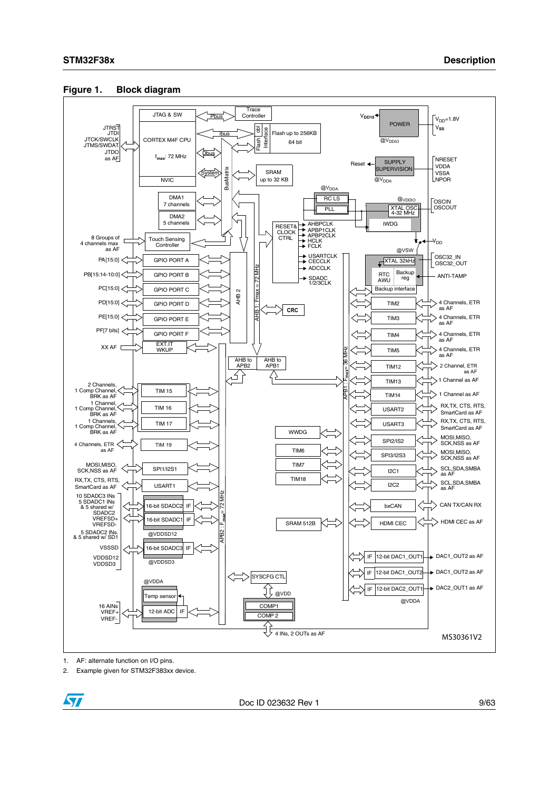

#### <span id="page-8-0"></span>**Figure 1. Block diagram**

1. AF: alternate function on I/O pins.

2. Example given for STM32F383xx device.



Doc ID 023632 Rev 1 9/63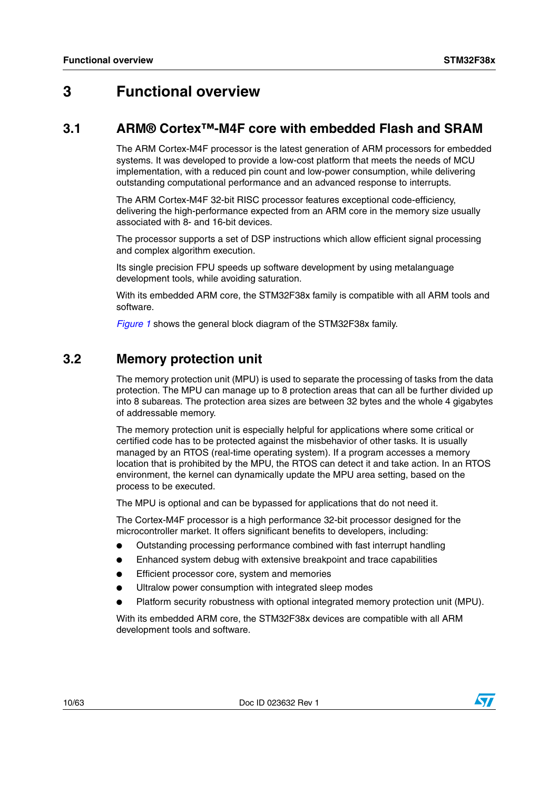## <span id="page-9-0"></span>**3 Functional overview**

## <span id="page-9-1"></span>**3.1 ARM® Cortex™-M4F core with embedded Flash and SRAM**

The ARM Cortex-M4F processor is the latest generation of ARM processors for embedded systems. It was developed to provide a low-cost platform that meets the needs of MCU implementation, with a reduced pin count and low-power consumption, while delivering outstanding computational performance and an advanced response to interrupts.

The ARM Cortex-M4F 32-bit RISC processor features exceptional code-efficiency, delivering the high-performance expected from an ARM core in the memory size usually associated with 8- and 16-bit devices.

The processor supports a set of DSP instructions which allow efficient signal processing and complex algorithm execution.

Its single precision FPU speeds up software development by using metalanguage development tools, while avoiding saturation.

With its embedded ARM core, the STM32F38x family is compatible with all ARM tools and software.

*[Figure 1](#page-8-0)* shows the general block diagram of the STM32F38x family.

## <span id="page-9-2"></span>**3.2 Memory protection unit**

The memory protection unit (MPU) is used to separate the processing of tasks from the data protection. The MPU can manage up to 8 protection areas that can all be further divided up into 8 subareas. The protection area sizes are between 32 bytes and the whole 4 gigabytes of addressable memory.

The memory protection unit is especially helpful for applications where some critical or certified code has to be protected against the misbehavior of other tasks. It is usually managed by an RTOS (real-time operating system). If a program accesses a memory location that is prohibited by the MPU, the RTOS can detect it and take action. In an RTOS environment, the kernel can dynamically update the MPU area setting, based on the process to be executed.

The MPU is optional and can be bypassed for applications that do not need it.

The Cortex-M4F processor is a high performance 32-bit processor designed for the microcontroller market. It offers significant benefits to developers, including:

- Outstanding processing performance combined with fast interrupt handling
- Enhanced system debug with extensive breakpoint and trace capabilities
- Efficient processor core, system and memories
- Ultralow power consumption with integrated sleep modes
- Platform security robustness with optional integrated memory protection unit (MPU).

With its embedded ARM core, the STM32F38x devices are compatible with all ARM development tools and software.

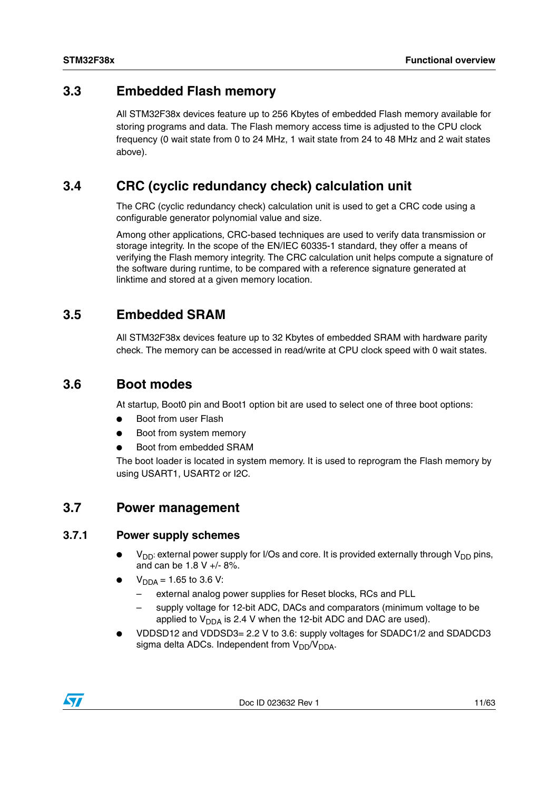## <span id="page-10-0"></span>**3.3 Embedded Flash memory**

All STM32F38x devices feature up to 256 Kbytes of embedded Flash memory available for storing programs and data. The Flash memory access time is adjusted to the CPU clock frequency (0 wait state from 0 to 24 MHz, 1 wait state from 24 to 48 MHz and 2 wait states above).

## <span id="page-10-1"></span>**3.4 CRC (cyclic redundancy check) calculation unit**

The CRC (cyclic redundancy check) calculation unit is used to get a CRC code using a configurable generator polynomial value and size.

Among other applications, CRC-based techniques are used to verify data transmission or storage integrity. In the scope of the EN/IEC 60335-1 standard, they offer a means of verifying the Flash memory integrity. The CRC calculation unit helps compute a signature of the software during runtime, to be compared with a reference signature generated at linktime and stored at a given memory location.

## <span id="page-10-2"></span>**3.5 Embedded SRAM**

All STM32F38x devices feature up to 32 Kbytes of embedded SRAM with hardware parity check. The memory can be accessed in read/write at CPU clock speed with 0 wait states.

## <span id="page-10-3"></span>**3.6 Boot modes**

At startup, Boot0 pin and Boot1 option bit are used to select one of three boot options:

- **Boot from user Flash**
- Boot from system memory
- Boot from embedded SRAM

The boot loader is located in system memory. It is used to reprogram the Flash memory by using USART1, USART2 or I2C.

## <span id="page-10-4"></span>**3.7 Power management**

#### <span id="page-10-5"></span>**3.7.1 Power supply schemes**

- $V_{DD}$ : external power supply for I/Os and core. It is provided externally through  $V_{DD}$  pins, and can be 1.8 V +/- 8%.
- $V_{\text{DDA}} = 1.65$  to 3.6 V:
	- external analog power supplies for Reset blocks, RCs and PLL
	- supply voltage for 12-bit ADC, DACs and comparators (minimum voltage to be applied to  $V_{DDA}$  is 2.4 V when the 12-bit ADC and DAC are used).
- VDDSD12 and VDDSD3= 2.2 V to 3.6: supply voltages for SDADC1/2 and SDADCD3 sigma delta ADCs. Independent from  $V_{DD}/V_{DDA}$ .

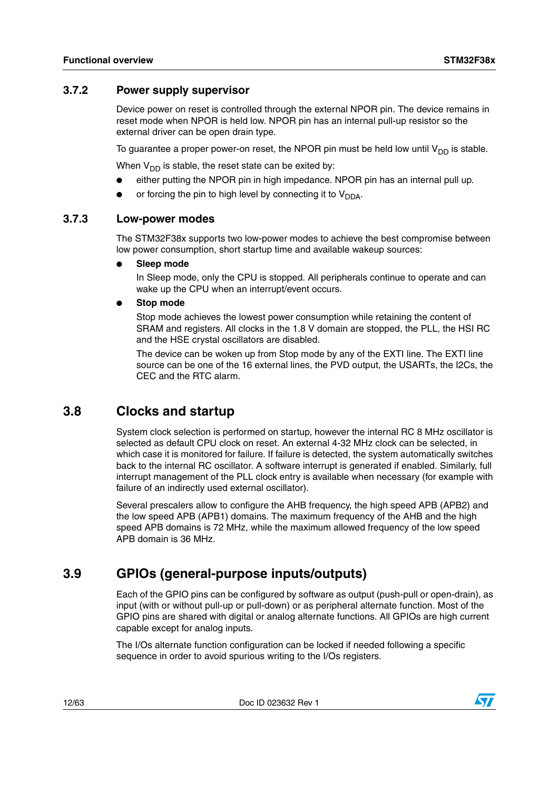#### <span id="page-11-0"></span>**3.7.2 Power supply supervisor**

Device power on reset is controlled through the external NPOR pin. The device remains in reset mode when NPOR is held low. NPOR pin has an internal pull-up resistor so the external driver can be open drain type.

To guarantee a proper power-on reset, the NPOR pin must be held low until  $V_{DD}$  is stable.

When  $V_{DD}$  is stable, the reset state can be exited by:

- either putting the NPOR pin in high impedance. NPOR pin has an internal pull up.
- or forcing the pin to high level by connecting it to  $V_{DDA}$ .

#### <span id="page-11-1"></span>**3.7.3 Low-power modes**

The STM32F38x supports two low-power modes to achieve the best compromise between low power consumption, short startup time and available wakeup sources:

**Sleep mode** 

In Sleep mode, only the CPU is stopped. All peripherals continue to operate and can wake up the CPU when an interrupt/event occurs.

**Stop mode** 

Stop mode achieves the lowest power consumption while retaining the content of SRAM and registers. All clocks in the 1.8 V domain are stopped, the PLL, the HSI RC and the HSE crystal oscillators are disabled.

The device can be woken up from Stop mode by any of the EXTI line. The EXTI line source can be one of the 16 external lines, the PVD output, the USARTs, the I2Cs, the CEC and the RTC alarm.

## <span id="page-11-2"></span>**3.8 Clocks and startup**

System clock selection is performed on startup, however the internal RC 8 MHz oscillator is selected as default CPU clock on reset. An external 4-32 MHz clock can be selected, in which case it is monitored for failure. If failure is detected, the system automatically switches back to the internal RC oscillator. A software interrupt is generated if enabled. Similarly, full interrupt management of the PLL clock entry is available when necessary (for example with failure of an indirectly used external oscillator).

Several prescalers allow to configure the AHB frequency, the high speed APB (APB2) and the low speed APB (APB1) domains. The maximum frequency of the AHB and the high speed APB domains is 72 MHz, while the maximum allowed frequency of the low speed APB domain is 36 MHz.

## <span id="page-11-3"></span>**3.9 GPIOs (general-purpose inputs/outputs)**

Each of the GPIO pins can be configured by software as output (push-pull or open-drain), as input (with or without pull-up or pull-down) or as peripheral alternate function. Most of the GPIO pins are shared with digital or analog alternate functions. All GPIOs are high current capable except for analog inputs.

The I/Os alternate function configuration can be locked if needed following a specific sequence in order to avoid spurious writing to the I/Os registers.

12/63 Doc ID 023632 Rev 1

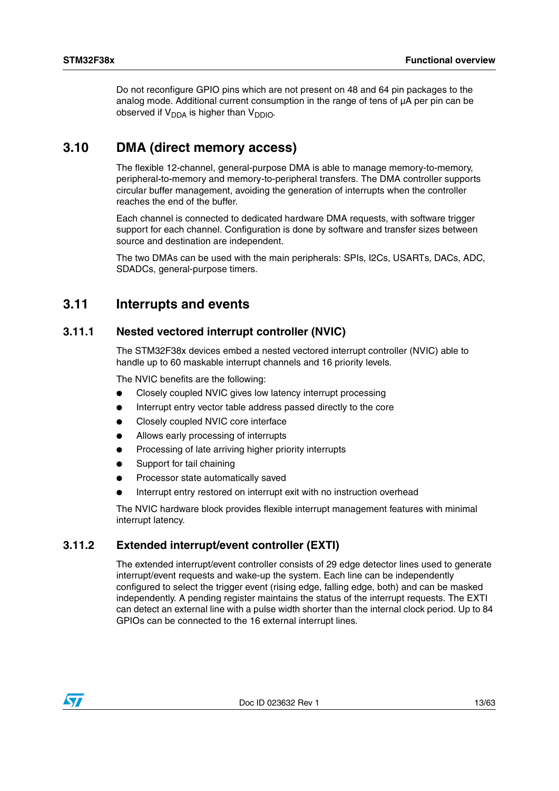Do not reconfigure GPIO pins which are not present on 48 and 64 pin packages to the analog mode. Additional current consumption in the range of tens of µA per pin can be observed if  $V_{DDA}$  is higher than  $V_{DDIO}$ .

## <span id="page-12-0"></span>**3.10 DMA (direct memory access)**

The flexible 12-channel, general-purpose DMA is able to manage memory-to-memory, peripheral-to-memory and memory-to-peripheral transfers. The DMA controller supports circular buffer management, avoiding the generation of interrupts when the controller reaches the end of the buffer.

Each channel is connected to dedicated hardware DMA requests, with software trigger support for each channel. Configuration is done by software and transfer sizes between source and destination are independent.

The two DMAs can be used with the main peripherals: SPIs, I2Cs, USARTs, DACs, ADC, SDADCs, general-purpose timers.

## <span id="page-12-1"></span>**3.11 Interrupts and events**

### <span id="page-12-2"></span>**3.11.1 Nested vectored interrupt controller (NVIC)**

The STM32F38x devices embed a nested vectored interrupt controller (NVIC) able to handle up to 60 maskable interrupt channels and 16 priority levels.

The NVIC benefits are the following:

- Closely coupled NVIC gives low latency interrupt processing
- Interrupt entry vector table address passed directly to the core
- Closely coupled NVIC core interface
- Allows early processing of interrupts
- Processing of late arriving higher priority interrupts
- Support for tail chaining
- Processor state automatically saved
- Interrupt entry restored on interrupt exit with no instruction overhead

The NVIC hardware block provides flexible interrupt management features with minimal interrupt latency.

### <span id="page-12-3"></span>**3.11.2 Extended interrupt/event controller (EXTI)**

The extended interrupt/event controller consists of 29 edge detector lines used to generate interrupt/event requests and wake-up the system. Each line can be independently configured to select the trigger event (rising edge, falling edge, both) and can be masked independently. A pending register maintains the status of the interrupt requests. The EXTI can detect an external line with a pulse width shorter than the internal clock period. Up to 84 GPIOs can be connected to the 16 external interrupt lines.

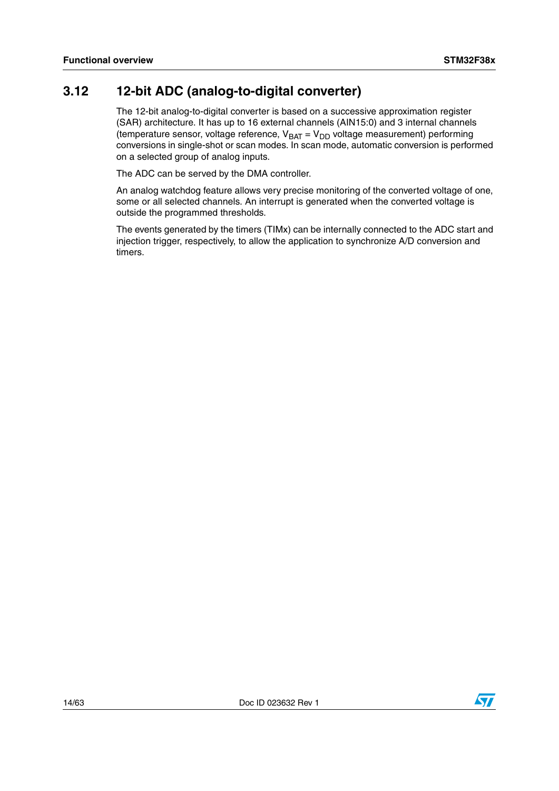## <span id="page-13-0"></span>**3.12 12-bit ADC (analog-to-digital converter)**

The 12-bit analog-to-digital converter is based on a successive approximation register (SAR) architecture. It has up to 16 external channels (AIN15:0) and 3 internal channels (temperature sensor, voltage reference,  $V_{BAT} = V_{DD}$  voltage measurement) performing conversions in single-shot or scan modes. In scan mode, automatic conversion is performed on a selected group of analog inputs.

The ADC can be served by the DMA controller.

An analog watchdog feature allows very precise monitoring of the converted voltage of one, some or all selected channels. An interrupt is generated when the converted voltage is outside the programmed thresholds.

The events generated by the timers (TIMx) can be internally connected to the ADC start and injection trigger, respectively, to allow the application to synchronize A/D conversion and timers.

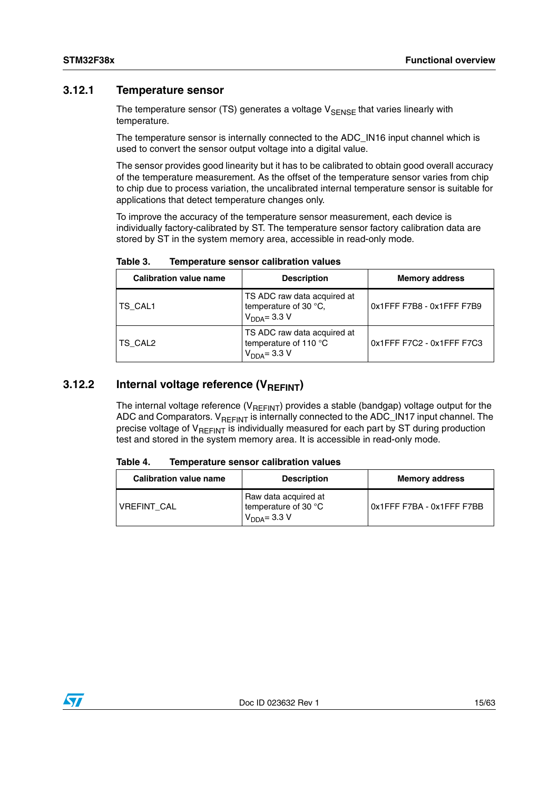#### <span id="page-14-0"></span>**3.12.1 Temperature sensor**

The temperature sensor (TS) generates a voltage  $V_{\text{SENSE}}$  that varies linearly with temperature.

The temperature sensor is internally connected to the ADC\_IN16 input channel which is used to convert the sensor output voltage into a digital value.

The sensor provides good linearity but it has to be calibrated to obtain good overall accuracy of the temperature measurement. As the offset of the temperature sensor varies from chip to chip due to process variation, the uncalibrated internal temperature sensor is suitable for applications that detect temperature changes only.

To improve the accuracy of the temperature sensor measurement, each device is individually factory-calibrated by ST. The temperature sensor factory calibration data are stored by ST in the system memory area, accessible in read-only mode.

| <b>Calibration value name</b> | <b>Description</b>                                                     | <b>Memory address</b>     |  |  |
|-------------------------------|------------------------------------------------------------------------|---------------------------|--|--|
| ITS CAL1                      | TS ADC raw data acquired at<br>temperature of 30 °C,<br>$VDDA = 3.3 V$ | 0x1FFF F7B8 - 0x1FFF F7B9 |  |  |
| <b>TS CAL2</b>                | TS ADC raw data acquired at<br>temperature of 110 °C<br>$VDDA = 3.3 V$ | 0x1FFF F7C2 - 0x1FFF F7C3 |  |  |

#### <span id="page-14-2"></span>Table 3. **Table 3. Temperature sensor calibration values**

#### <span id="page-14-1"></span>**3.12.2** Internal voltage reference (V<sub>REFINT</sub>)

The internal voltage reference ( $V_{REFINT}$ ) provides a stable (bandgap) voltage output for the ADC and Comparators.  $V_{REFINT}$  is internally connected to the ADC\_IN17 input channel. The precise voltage of  $V_{RFFINT}$  is individually measured for each part by ST during production test and stored in the system memory area. It is accessible in read-only mode.

#### <span id="page-14-3"></span>Table 4. **Table 4. Temperature sensor calibration values**

| <b>Calibration value name</b> | <b>Description</b>                                               | <b>Memory address</b>     |
|-------------------------------|------------------------------------------------------------------|---------------------------|
| <b>VREFINT CAL</b>            | Raw data acquired at<br>I temperature of 30 °C<br>$VDDA = 3.3 V$ | 0x1FFF F7BA - 0x1FFF F7BB |

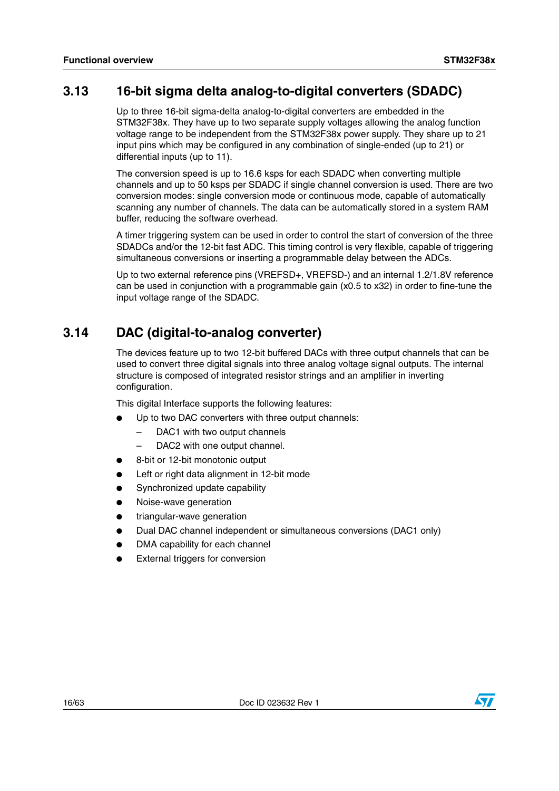## <span id="page-15-0"></span>**3.13 16-bit sigma delta analog-to-digital converters (SDADC)**

Up to three 16-bit sigma-delta analog-to-digital converters are embedded in the STM32F38x. They have up to two separate supply voltages allowing the analog function voltage range to be independent from the STM32F38x power supply. They share up to 21 input pins which may be configured in any combination of single-ended (up to 21) or differential inputs (up to 11).

The conversion speed is up to 16.6 ksps for each SDADC when converting multiple channels and up to 50 ksps per SDADC if single channel conversion is used. There are two conversion modes: single conversion mode or continuous mode, capable of automatically scanning any number of channels. The data can be automatically stored in a system RAM buffer, reducing the software overhead.

A timer triggering system can be used in order to control the start of conversion of the three SDADCs and/or the 12-bit fast ADC. This timing control is very flexible, capable of triggering simultaneous conversions or inserting a programmable delay between the ADCs.

Up to two external reference pins (VREFSD+, VREFSD-) and an internal 1.2/1.8V reference can be used in conjunction with a programmable gain (x0.5 to x32) in order to fine-tune the input voltage range of the SDADC.

## <span id="page-15-1"></span>**3.14 DAC (digital-to-analog converter)**

The devices feature up to two 12-bit buffered DACs with three output channels that can be used to convert three digital signals into three analog voltage signal outputs. The internal structure is composed of integrated resistor strings and an amplifier in inverting configuration.

This digital Interface supports the following features:

- Up to two DAC converters with three output channels:
	- DAC1 with two output channels
	- DAC2 with one output channel.
- 8-bit or 12-bit monotonic output
- Left or right data alignment in 12-bit mode
- Synchronized update capability
- Noise-wave generation
- triangular-wave generation
- Dual DAC channel independent or simultaneous conversions (DAC1 only)
- DMA capability for each channel
- **External triggers for conversion**

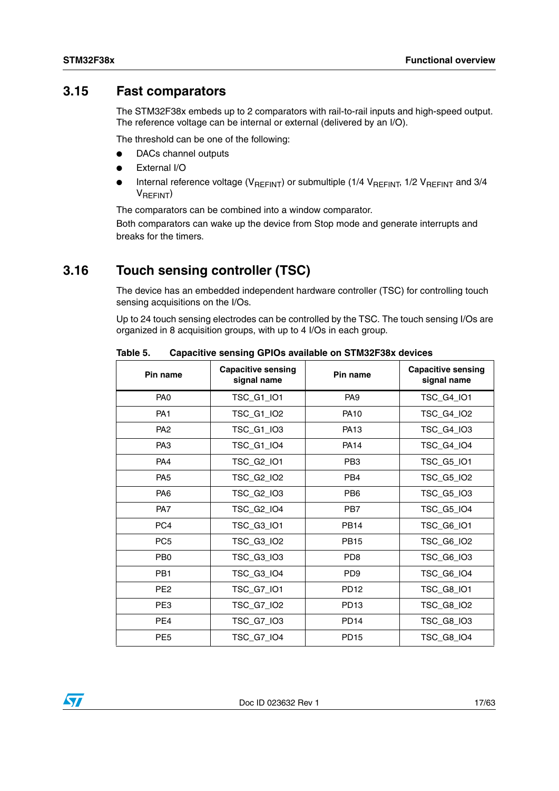## <span id="page-16-0"></span>**3.15 Fast comparators**

The STM32F38x embeds up to 2 comparators with rail-to-rail inputs and high-speed output. The reference voltage can be internal or external (delivered by an I/O).

The threshold can be one of the following:

- DACs channel outputs
- **External I/O**
- Internal reference voltage ( $V_{REFINT}$ ) or submultiple (1/4  $V_{REFINT}$ , 1/2  $V_{REFINT}$  and 3/4 VREFINT)

The comparators can be combined into a window comparator.

Both comparators can wake up the device from Stop mode and generate interrupts and breaks for the timers.

## <span id="page-16-1"></span>**3.16 Touch sensing controller (TSC)**

The device has an embedded independent hardware controller (TSC) for controlling touch sensing acquisitions on the I/Os.

Up to 24 touch sensing electrodes can be controlled by the TSC. The touch sensing I/Os are organized in 8 acquisition groups, with up to 4 I/Os in each group.

| Pin name        | <b>Capacitive sensing</b><br>signal name | Pin name                    | <b>Capacitive sensing</b><br>signal name |
|-----------------|------------------------------------------|-----------------------------|------------------------------------------|
| PA <sub>0</sub> | TSC_G1_IO1                               | PA <sub>9</sub>             | TSC_G4_IO1                               |
| PA <sub>1</sub> | <b>TSC G1 IO2</b>                        | <b>PA10</b>                 | TSC G4 IO2                               |
| PA <sub>2</sub> | TSC_G1_IO3                               | <b>PA13</b>                 | TSC_G4_IO3                               |
| PA <sub>3</sub> | TSC_G1_IO4                               | <b>PA14</b>                 | TSC_G4_IO4                               |
| PA4             | TSC_G2_IO1                               | PB <sub>3</sub>             | TSC_G5_IO1                               |
| PA <sub>5</sub> | TSC_G2_IO2                               | PB4                         | TSC_G5_IO2                               |
| PA <sub>6</sub> | TSC_G2_IO3                               | PB <sub>6</sub>             | TSC_G5_IO3                               |
| PA7             | TSC_G2_IO4                               | PB7                         | TSC_G5_IO4                               |
| PC <sub>4</sub> | TSC_G3_IO1                               | <b>PB14</b>                 | TSC_G6_IO1                               |
| PC <sub>5</sub> | TSC_G3_IO2                               | <b>PB15</b>                 | TSC_G6_IO2                               |
| PB <sub>0</sub> | TSC_G3_IO3                               | P <sub>D</sub> <sup>8</sup> | TSC_G6_IO3                               |
| PB <sub>1</sub> | TSC_G3_IO4                               | P <sub>D</sub> <sub>9</sub> | TSC_G6_IO4                               |
| PE <sub>2</sub> | TSC_G7_IO1                               | <b>PD12</b>                 | TSC_G8_IO1                               |
| PE3             | <b>TSC G7 102</b>                        | <b>PD13</b>                 | TSC_G8_IO2                               |
| PE4             | TSC_G7_IO3                               | <b>PD14</b>                 | TSC_G8_IO3                               |
| PE <sub>5</sub> | TSC_G7_IO4                               | <b>PD15</b>                 | TSC_G8_IO4                               |

<span id="page-16-2"></span>Table 5. **Table 5. Capacitive sensing GPIOs available on STM32F38x devices**

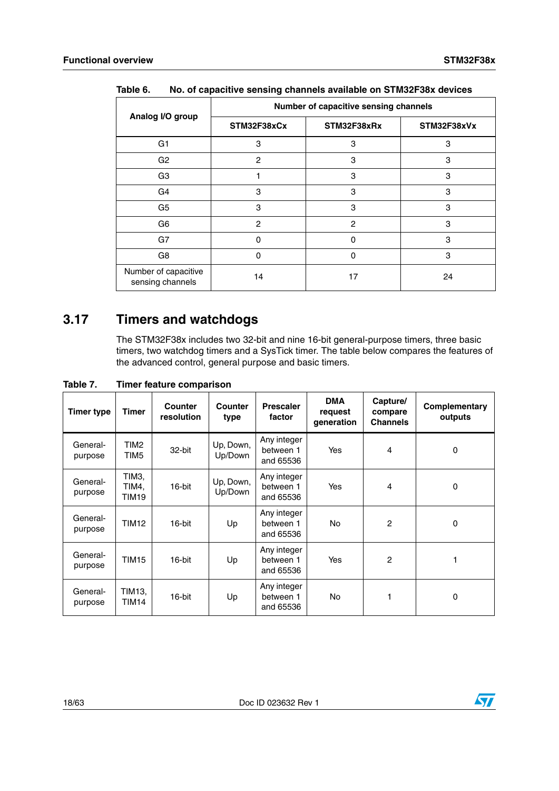|                                          | Number of capacitive sensing channels |                |    |  |  |  |  |
|------------------------------------------|---------------------------------------|----------------|----|--|--|--|--|
| Analog I/O group                         | STM32F38xCx                           | STM32F38xVx    |    |  |  |  |  |
| G1                                       | 3                                     | 3              | 3  |  |  |  |  |
| G <sub>2</sub>                           | $\overline{2}$                        | 3              | 3  |  |  |  |  |
| G <sub>3</sub>                           |                                       | 3              | 3  |  |  |  |  |
| G4                                       | 3                                     | 3              | 3  |  |  |  |  |
| G <sub>5</sub>                           | 3                                     | 3              | 3  |  |  |  |  |
| G6                                       | $\overline{2}$                        | $\overline{2}$ | 3  |  |  |  |  |
| G7                                       | $\Omega$                              | $\Omega$       | 3  |  |  |  |  |
| G8                                       | $\Omega$                              | $\Omega$       | 3  |  |  |  |  |
| Number of capacitive<br>sensing channels | 14                                    | 17             | 24 |  |  |  |  |

<span id="page-17-1"></span>**Table 6. No. of capacitive sensing channels available on STM32F38x devices**

## <span id="page-17-0"></span>**3.17 Timers and watchdogs**

The STM32F38x includes two 32-bit and nine 16-bit general-purpose timers, three basic timers, two watchdog timers and a SysTick timer. The table below compares the features of the advanced control, general purpose and basic timers.

| <b>Timer type</b>   | Timer                   | Counter<br>resolution | <b>Counter</b><br>type | <b>Prescaler</b><br>factor            | <b>DMA</b><br>request<br>generation | Capture/<br>compare<br><b>Channels</b> | Complementary<br>outputs |
|---------------------|-------------------------|-----------------------|------------------------|---------------------------------------|-------------------------------------|----------------------------------------|--------------------------|
| General-<br>purpose | TIM2<br>TIM5            | 32-bit                | Up, Down,<br>Up/Down   | Any integer<br>between 1<br>and 65536 | Yes                                 | 4                                      | 0                        |
| General-<br>purpose | TIM3,<br>TIM4.<br>TIM19 | 16-bit                | Up, Down,<br>Up/Down   | Any integer<br>between 1<br>and 65536 | Yes                                 | 4                                      | 0                        |
| General-<br>purpose | <b>TIM12</b>            | 16-bit                | Up                     | Any integer<br>between 1<br>and 65536 | No.                                 | $\overline{c}$                         | 0                        |
| General-<br>purpose | <b>TIM15</b>            | 16-bit                | Up                     | Any integer<br>between 1<br>and 65536 | Yes                                 | $\overline{c}$                         |                          |
| General-<br>purpose | TIM13.<br>TIM14         | 16-bit                | Up                     | Any integer<br>between 1<br>and 65536 | No.                                 |                                        | 0                        |

<span id="page-17-2"></span>**Table 7. Timer feature comparison**

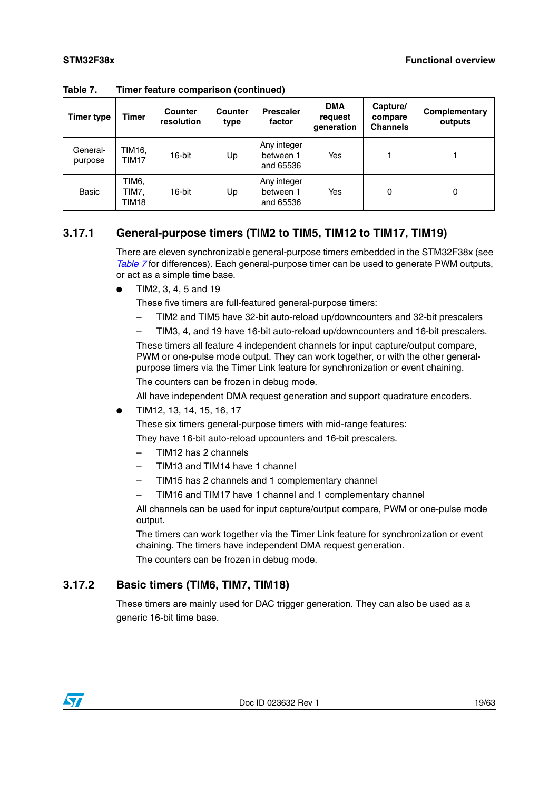| <b>Timer type</b>   | Timer                   | <b>Counter</b><br>resolution | Counter<br>type | <b>Prescaler</b><br>factor            | <b>DMA</b><br>request<br>qeneration | Capture/<br>compare<br><b>Channels</b> | Complementary<br>outputs |
|---------------------|-------------------------|------------------------------|-----------------|---------------------------------------|-------------------------------------|----------------------------------------|--------------------------|
| General-<br>purpose | TIM16.<br>TIM17         | 16-bit                       | Up              | Any integer<br>between 1<br>and 65536 | Yes                                 |                                        |                          |
| <b>Basic</b>        | TIM6.<br>TIM7.<br>TIM18 | 16-bit                       | Up              | Any integer<br>between 1<br>and 65536 | Yes                                 | 0                                      | 0                        |

**Table 7. Timer feature comparison (continued)**

### <span id="page-18-0"></span>**3.17.1 General-purpose timers (TIM2 to TIM5, TIM12 to TIM17, TIM19)**

There are eleven synchronizable general-purpose timers embedded in the STM32F38x (see *[Table 7](#page-17-2)* for differences). Each general-purpose timer can be used to generate PWM outputs, or act as a simple time base.

● TIM2, 3, 4, 5 and 19

These five timers are full-featured general-purpose timers:

- TIM2 and TIM5 have 32-bit auto-reload up/downcounters and 32-bit prescalers
- TIM3, 4, and 19 have 16-bit auto-reload up/downcounters and 16-bit prescalers.

These timers all feature 4 independent channels for input capture/output compare, PWM or one-pulse mode output. They can work together, or with the other generalpurpose timers via the Timer Link feature for synchronization or event chaining. The counters can be frozen in debug mode.

All have independent DMA request generation and support quadrature encoders.

● TIM12, 13, 14, 15, 16, 17

These six timers general-purpose timers with mid-range features:

They have 16-bit auto-reload upcounters and 16-bit prescalers.

- TIM12 has 2 channels
- TIM13 and TIM14 have 1 channel
- TIM15 has 2 channels and 1 complementary channel
- TIM16 and TIM17 have 1 channel and 1 complementary channel

All channels can be used for input capture/output compare, PWM or one-pulse mode output.

The timers can work together via the Timer Link feature for synchronization or event chaining. The timers have independent DMA request generation.

The counters can be frozen in debug mode.

### <span id="page-18-1"></span>**3.17.2 Basic timers (TIM6, TIM7, TIM18)**

These timers are mainly used for DAC trigger generation. They can also be used as a generic 16-bit time base.

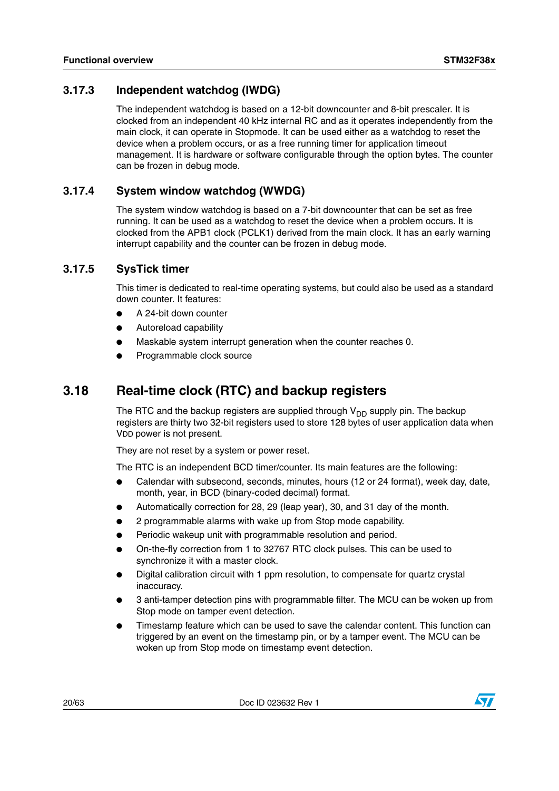## <span id="page-19-0"></span>**3.17.3 Independent watchdog (IWDG)**

The independent watchdog is based on a 12-bit downcounter and 8-bit prescaler. It is clocked from an independent 40 kHz internal RC and as it operates independently from the main clock, it can operate in Stopmode. It can be used either as a watchdog to reset the device when a problem occurs, or as a free running timer for application timeout management. It is hardware or software configurable through the option bytes. The counter can be frozen in debug mode.

### <span id="page-19-1"></span>**3.17.4 System window watchdog (WWDG)**

The system window watchdog is based on a 7-bit downcounter that can be set as free running. It can be used as a watchdog to reset the device when a problem occurs. It is clocked from the APB1 clock (PCLK1) derived from the main clock. It has an early warning interrupt capability and the counter can be frozen in debug mode.

### <span id="page-19-2"></span>**3.17.5 SysTick timer**

This timer is dedicated to real-time operating systems, but could also be used as a standard down counter. It features:

- A 24-bit down counter
- Autoreload capability
- Maskable system interrupt generation when the counter reaches 0.
- Programmable clock source

## <span id="page-19-3"></span>**3.18 Real-time clock (RTC) and backup registers**

The RTC and the backup registers are supplied through  $V_{DD}$  supply pin. The backup registers are thirty two 32-bit registers used to store 128 bytes of user application data when VDD power is not present.

They are not reset by a system or power reset.

The RTC is an independent BCD timer/counter. Its main features are the following:

- Calendar with subsecond, seconds, minutes, hours (12 or 24 format), week day, date, month, year, in BCD (binary-coded decimal) format.
- Automatically correction for 28, 29 (leap year), 30, and 31 day of the month.
- 2 programmable alarms with wake up from Stop mode capability.
- Periodic wakeup unit with programmable resolution and period.
- On-the-fly correction from 1 to 32767 RTC clock pulses. This can be used to synchronize it with a master clock.
- Digital calibration circuit with 1 ppm resolution, to compensate for quartz crystal inaccuracy.
- 3 anti-tamper detection pins with programmable filter. The MCU can be woken up from Stop mode on tamper event detection.
- Timestamp feature which can be used to save the calendar content. This function can triggered by an event on the timestamp pin, or by a tamper event. The MCU can be woken up from Stop mode on timestamp event detection.

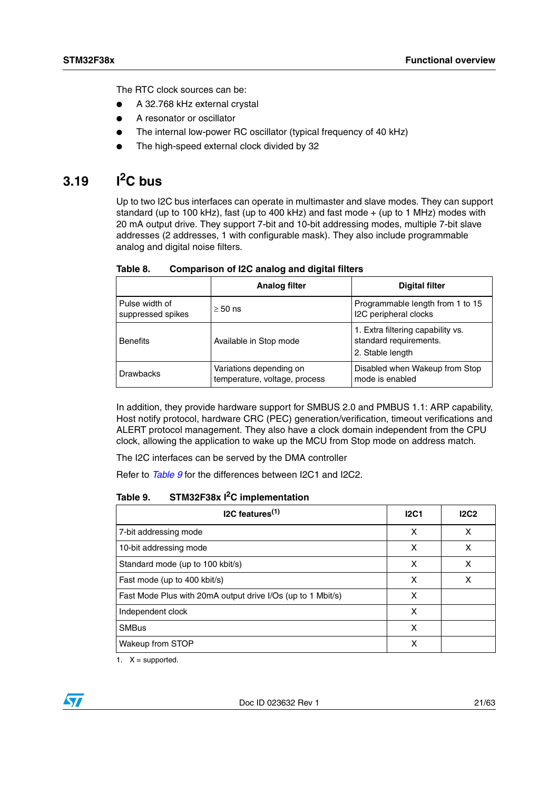The RTC clock sources can be:

- A 32.768 kHz external crystal
- A resonator or oscillator
- The internal low-power RC oscillator (typical frequency of 40 kHz)
- The high-speed external clock divided by 32

## <span id="page-20-0"></span>**3.19 I2C bus**

Up to two I2C bus interfaces can operate in multimaster and slave modes. They can support standard (up to 100 kHz), fast (up to 400 kHz) and fast mode  $+$  (up to 1 MHz) modes with 20 mA output drive. They support 7-bit and 10-bit addressing modes, multiple 7-bit slave addresses (2 addresses, 1 with configurable mask). They also include programmable analog and digital noise filters.

|                                     | <b>Analog filter</b>                                     | <b>Digital filter</b>                                                           |
|-------------------------------------|----------------------------------------------------------|---------------------------------------------------------------------------------|
| Pulse width of<br>suppressed spikes | $\geq$ 50 ns                                             | Programmable length from 1 to 15<br>I2C peripheral clocks                       |
| <b>Benefits</b>                     | Available in Stop mode                                   | 1. Extra filtering capability vs.<br>standard requirements.<br>2. Stable length |
| <b>Drawbacks</b>                    | Variations depending on<br>temperature, voltage, process | Disabled when Wakeup from Stop<br>mode is enabled                               |

<span id="page-20-1"></span>Table 8. **Comparison of I2C analog and digital filters** 

In addition, they provide hardware support for SMBUS 2.0 and PMBUS 1.1: ARP capability, Host notify protocol, hardware CRC (PEC) generation/verification, timeout verifications and ALERT protocol management. They also have a clock domain independent from the CPU clock, allowing the application to wake up the MCU from Stop mode on address match.

The I2C interfaces can be served by the DMA controller

Refer to *[Table 9](#page-20-2)* for the differences between I2C1 and I2C2.

#### <span id="page-20-2"></span>Table 9. **STM32F38x I<sup>2</sup>C implementation**

| $IC$ features <sup><math>(1)</math></sup>                   | 12C1 | 12C2 |
|-------------------------------------------------------------|------|------|
| 7-bit addressing mode                                       | x    | x    |
| 10-bit addressing mode                                      | x    | x    |
| Standard mode (up to 100 kbit/s)                            | x    | x    |
| Fast mode (up to 400 kbit/s)                                | x    | x    |
| Fast Mode Plus with 20mA output drive I/Os (up to 1 Mbit/s) | x    |      |
| Independent clock                                           | x    |      |
| <b>SMBus</b>                                                | x    |      |
| Wakeup from STOP                                            | x    |      |

1.  $X =$  supported.

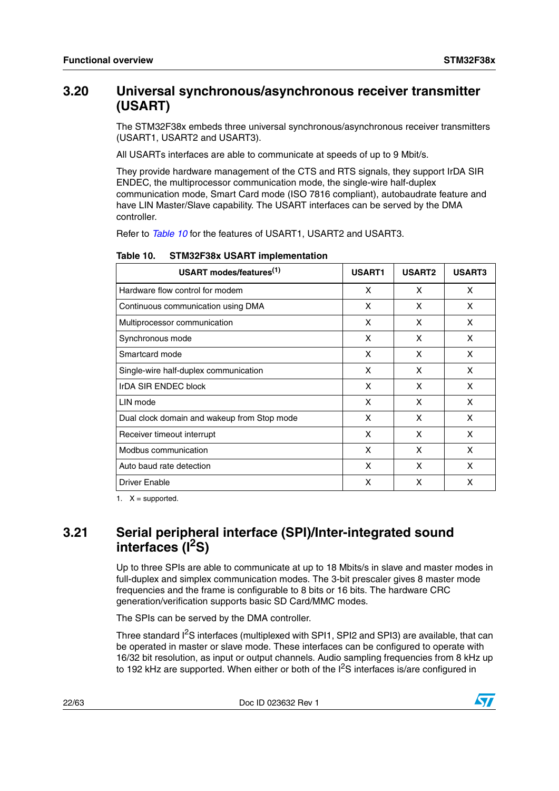## <span id="page-21-0"></span>**3.20 Universal synchronous/asynchronous receiver transmitter (USART)**

The STM32F38x embeds three universal synchronous/asynchronous receiver transmitters (USART1, USART2 and USART3).

All USARTs interfaces are able to communicate at speeds of up to 9 Mbit/s.

They provide hardware management of the CTS and RTS signals, they support IrDA SIR ENDEC, the multiprocessor communication mode, the single-wire half-duplex communication mode, Smart Card mode (ISO 7816 compliant), autobaudrate feature and have LIN Master/Slave capability. The USART interfaces can be served by the DMA controller.

Refer to *[Table 10](#page-21-2)* for the features of USART1, USART2 and USART3.

| USART modes/features <sup>(1)</sup>         | <b>USART1</b> | <b>USART2</b> | <b>USART3</b> |
|---------------------------------------------|---------------|---------------|---------------|
| Hardware flow control for modem             | X             | X             | X             |
| Continuous communication using DMA          | x             | X             | X.            |
| Multiprocessor communication                | X             | X             | X             |
| Synchronous mode                            | X             | X             | X             |
| Smartcard mode                              | x             | X             | X.            |
| Single-wire half-duplex communication       | x             | X             | X             |
| IrDA SIR ENDEC block                        | x             | X             | X             |
| LIN mode                                    | x             | X             | X             |
| Dual clock domain and wakeup from Stop mode | X             | X             | X             |
| Receiver timeout interrupt                  | x             | X             | x             |
| Modbus communication                        | x             | X             | x             |
| Auto baud rate detection                    | X             | X             | X             |
| <b>Driver Enable</b>                        | X             | x             | x             |

<span id="page-21-2"></span>Table 10. **STM32F38x USART implementation** 

1.  $X =$  supported.

## <span id="page-21-1"></span>**3.21 Serial peripheral interface (SPI)/Inter-integrated sound interfaces (I2S)**

Up to three SPIs are able to communicate at up to 18 Mbits/s in slave and master modes in full-duplex and simplex communication modes. The 3-bit prescaler gives 8 master mode frequencies and the frame is configurable to 8 bits or 16 bits. The hardware CRC generation/verification supports basic SD Card/MMC modes.

The SPIs can be served by the DMA controller.

Three standard I<sup>2</sup>S interfaces (multiplexed with SPI1, SPI2 and SPI3) are available, that can be operated in master or slave mode. These interfaces can be configured to operate with 16/32 bit resolution, as input or output channels. Audio sampling frequencies from 8 kHz up to 192 kHz are supported. When either or both of the  $I^2S$  interfaces is/are configured in

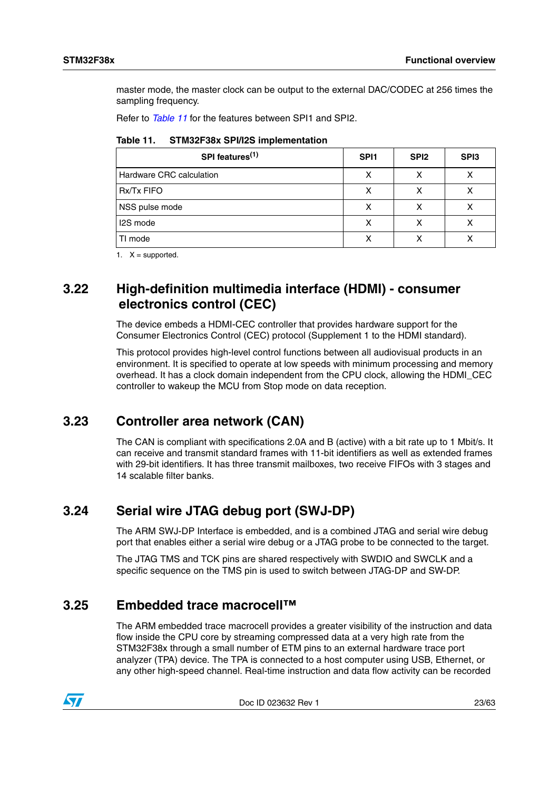master mode, the master clock can be output to the external DAC/CODEC at 256 times the sampling frequency.

Refer to *[Table 11](#page-22-4)* for the features between SPI1 and SPI2.

<span id="page-22-4"></span>

|  | Table 11. | STM32F38x SPI/I2S implementation |
|--|-----------|----------------------------------|
|--|-----------|----------------------------------|

| SPI features <sup>(1)</sup> | SPI <sub>1</sub> | SPI <sub>2</sub> | SP <sub>13</sub> |
|-----------------------------|------------------|------------------|------------------|
| Hardware CRC calculation    | х                |                  |                  |
| <b>Rx/Tx FIFO</b>           | х                |                  |                  |
| NSS pulse mode              | х                |                  |                  |
| 12S mode                    |                  |                  |                  |
| TI mode                     |                  |                  |                  |

1.  $X =$  supported.

## <span id="page-22-0"></span>**3.22 High-definition multimedia interface (HDMI) - consumer electronics control (CEC)**

The device embeds a HDMI-CEC controller that provides hardware support for the Consumer Electronics Control (CEC) protocol (Supplement 1 to the HDMI standard).

This protocol provides high-level control functions between all audiovisual products in an environment. It is specified to operate at low speeds with minimum processing and memory overhead. It has a clock domain independent from the CPU clock, allowing the HDMI\_CEC controller to wakeup the MCU from Stop mode on data reception.

## <span id="page-22-1"></span>**3.23 Controller area network (CAN)**

The CAN is compliant with specifications 2.0A and B (active) with a bit rate up to 1 Mbit/s. It can receive and transmit standard frames with 11-bit identifiers as well as extended frames with 29-bit identifiers. It has three transmit mailboxes, two receive FIFOs with 3 stages and 14 scalable filter banks.

## <span id="page-22-2"></span>**3.24 Serial wire JTAG debug port (SWJ-DP)**

The ARM SWJ-DP Interface is embedded, and is a combined JTAG and serial wire debug port that enables either a serial wire debug or a JTAG probe to be connected to the target.

The JTAG TMS and TCK pins are shared respectively with SWDIO and SWCLK and a specific sequence on the TMS pin is used to switch between JTAG-DP and SW-DP.

## <span id="page-22-3"></span>**3.25 Embedded trace macrocell™**

The ARM embedded trace macrocell provides a greater visibility of the instruction and data flow inside the CPU core by streaming compressed data at a very high rate from the STM32F38x through a small number of ETM pins to an external hardware trace port analyzer (TPA) device. The TPA is connected to a host computer using USB, Ethernet, or any other high-speed channel. Real-time instruction and data flow activity can be recorded



Doc ID 023632 Rev 1 23/63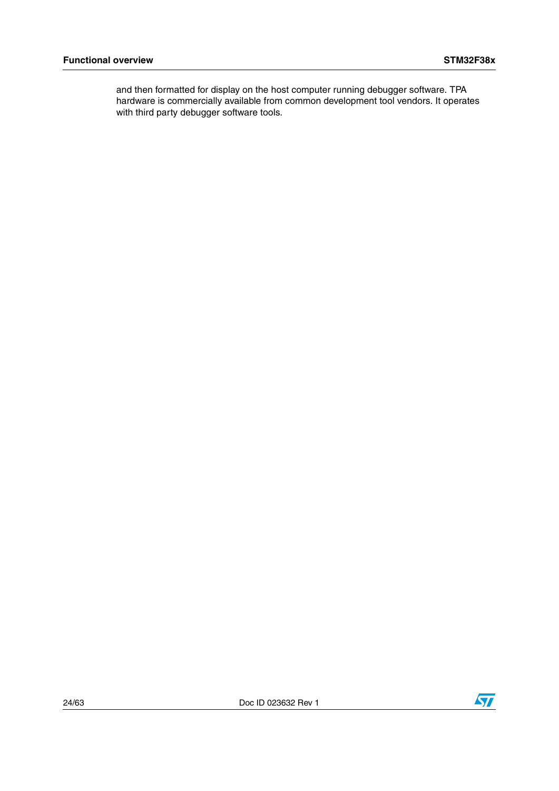and then formatted for display on the host computer running debugger software. TPA hardware is commercially available from common development tool vendors. It operates with third party debugger software tools.

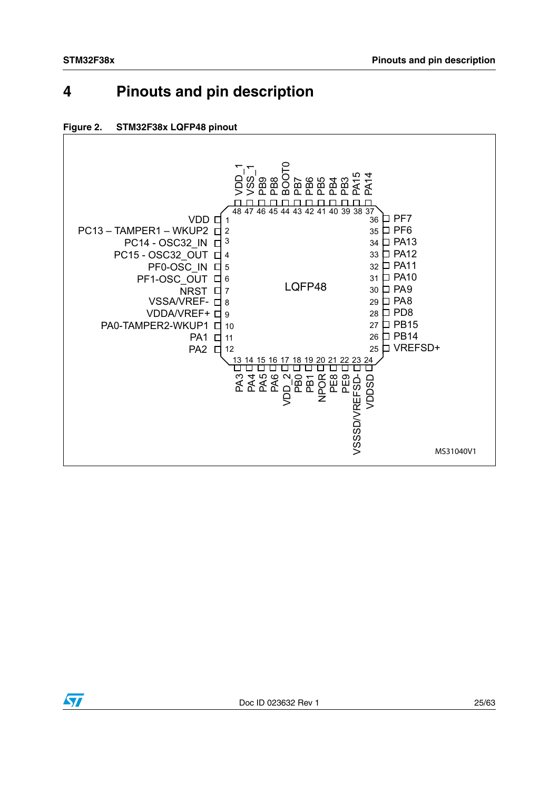# <span id="page-24-0"></span>**4 Pinouts and pin description**

<span id="page-24-1"></span>



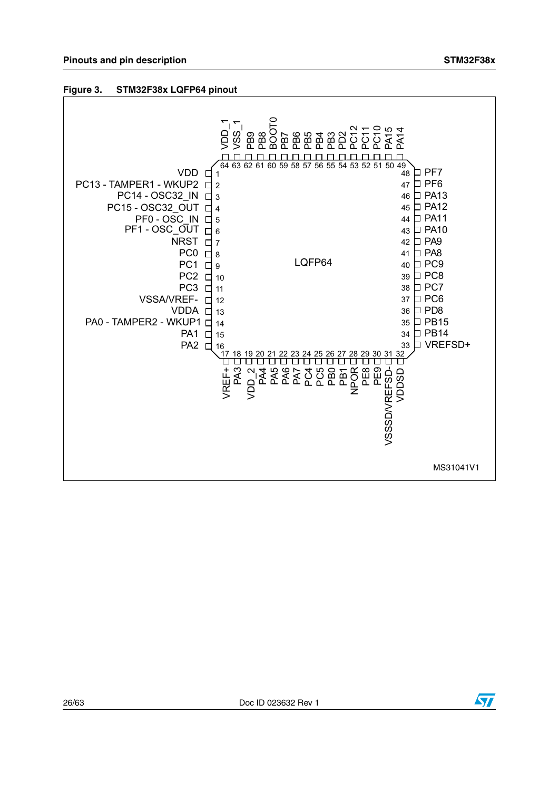#### <span id="page-25-0"></span>**Figure 3. STM32F38x LQFP64 pinout**



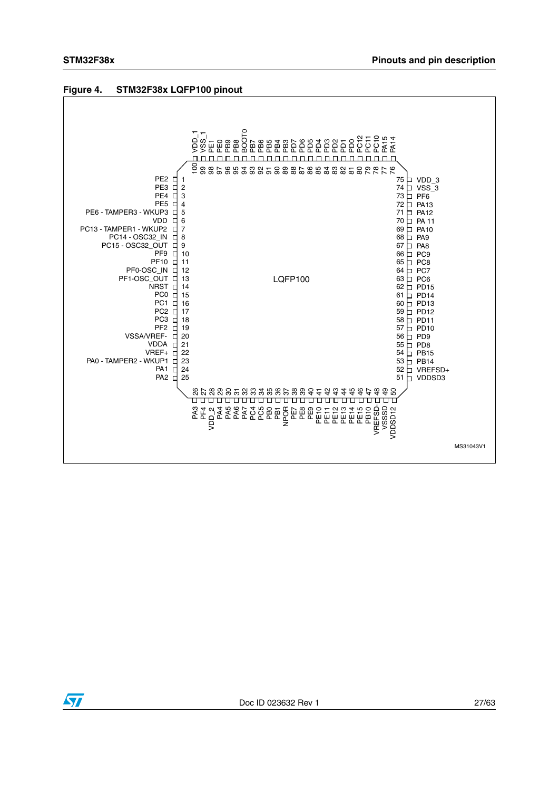

#### <span id="page-26-0"></span>**Figure 4. STM32F38x LQFP100 pinout**

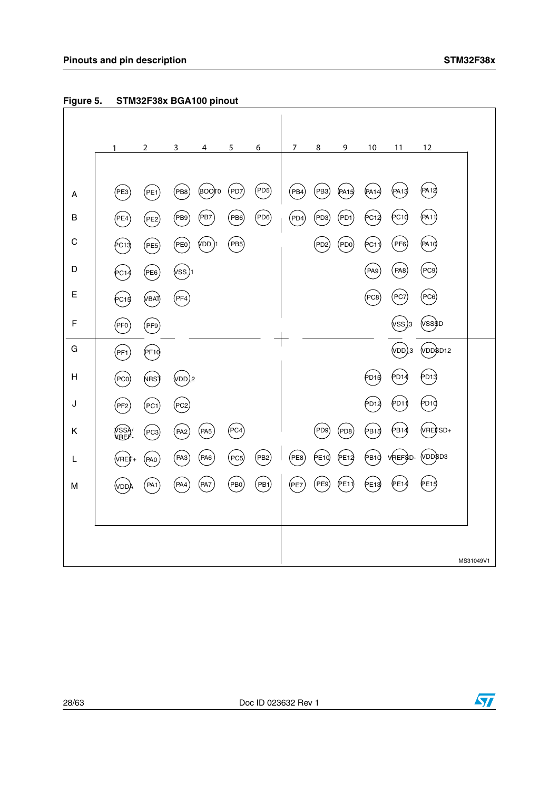

<span id="page-27-0"></span>**Figure 5. STM32F38x BGA100 pinout**

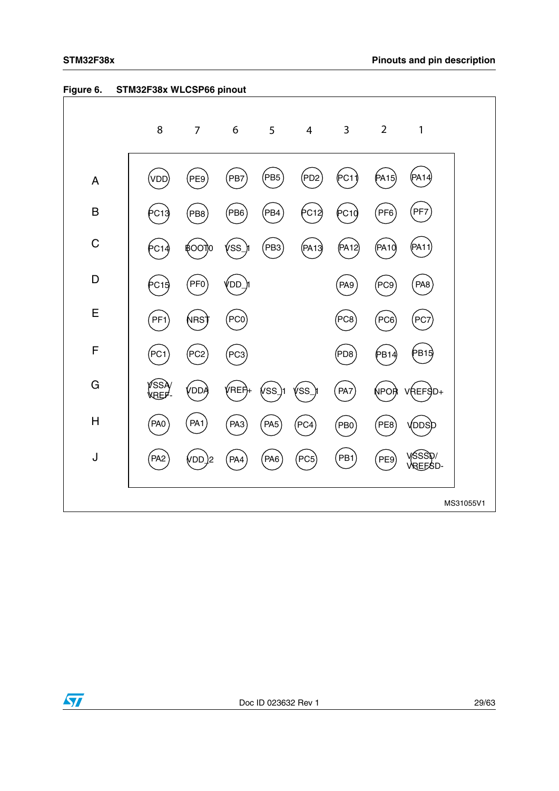|                         | 8               | $\overline{7}$         | $\boldsymbol{6}$ | 5               | $\overline{4}$  | $\mathbf{3}$    | $\overline{2}$  | $\mathbf{1}$      |
|-------------------------|-----------------|------------------------|------------------|-----------------|-----------------|-----------------|-----------------|-------------------|
| A                       | VDD             | PE9                    | PB7              | (PB5            | PD <sub>2</sub> | (PC11)          | (PA15)          | (PA14             |
| B                       | PC13            | PB <sub>8</sub>        | P <sub>B6</sub>  | PB4)            | PC12)           | (PC10)          | PFG             | PF7               |
| $\mathsf C$             | С1              | ₿OO<br>πo              | SS               | (PB3)           | (PA13)          | (PA12)          | (PA10)          | (PA11)            |
| D                       | PC1             | FF0                    | ÝDD_             |                 |                 | PA <sub>9</sub> | PC9)            | PA <sub>8</sub>   |
| E                       | PF <sub>1</sub> | NRS <sup>.</sup>       | PC0              |                 |                 | PC8             | PC <sub>6</sub> | PC7               |
| $\mathsf{F}$            | PC1             | PC <sub>2</sub>        | PC3              |                 |                 | PD8)            | PB14            | (PB15             |
| G                       | íssi<br>'RFF    | /DD/                   | /REF)+           | ívss            | 'SS             | PA7             | ŃPOŖ            | REFSD+            |
| $\overline{\mathsf{H}}$ | PA <sub>0</sub> | PA <sub>1</sub>        | PA <sub>3</sub>  | PA <sub>5</sub> | PC4             | $P$ BO          | PE8             | <b>DDS</b>        |
| J                       | PA <sub>2</sub> | (VDD<br>$\overline{2}$ | PA4              | PA6             | PCS             | PB <sub>1</sub> | PE9             | YSSST.<br>VREFSD- |
|                         |                 |                        |                  |                 |                 |                 |                 | MS31055V1         |

### <span id="page-28-0"></span>**Figure 6. STM32F38x WLCSP66 pinout**



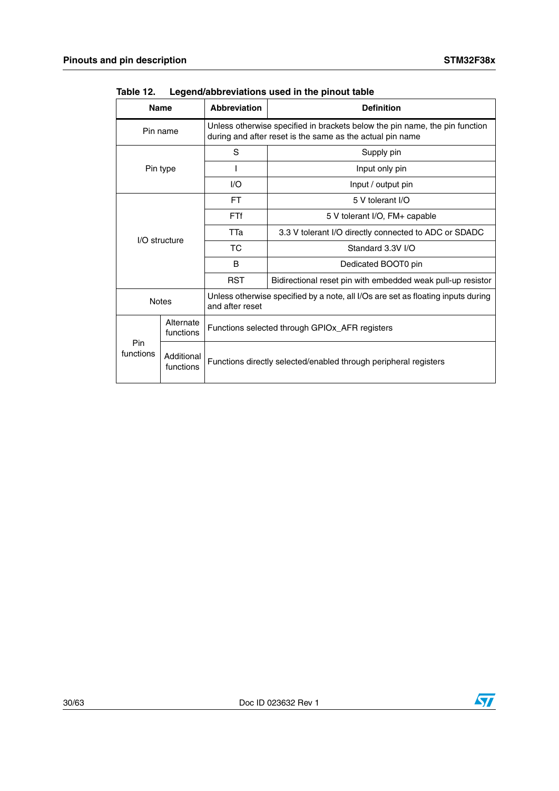|                  | <b>Name</b>             | <b>Abbreviation</b>                                                                                                                      | <b>Definition</b>                                     |  |  |  |  |  |
|------------------|-------------------------|------------------------------------------------------------------------------------------------------------------------------------------|-------------------------------------------------------|--|--|--|--|--|
|                  | Pin name                | Unless otherwise specified in brackets below the pin name, the pin function<br>during and after reset is the same as the actual pin name |                                                       |  |  |  |  |  |
|                  |                         | S                                                                                                                                        | Supply pin                                            |  |  |  |  |  |
|                  | Pin type                |                                                                                                                                          | Input only pin                                        |  |  |  |  |  |
|                  |                         | 1/O                                                                                                                                      | Input / output pin                                    |  |  |  |  |  |
|                  |                         | FT.                                                                                                                                      | 5 V tolerant I/O                                      |  |  |  |  |  |
|                  |                         | <b>FTf</b>                                                                                                                               | 5 V tolerant I/O, FM+ capable                         |  |  |  |  |  |
|                  | I/O structure           | TTa                                                                                                                                      | 3.3 V tolerant I/O directly connected to ADC or SDADC |  |  |  |  |  |
|                  |                         | ТC<br>Standard 3.3V I/O                                                                                                                  |                                                       |  |  |  |  |  |
|                  |                         | B<br>Dedicated BOOT0 pin                                                                                                                 |                                                       |  |  |  |  |  |
|                  |                         | <b>RST</b><br>Bidirectional reset pin with embedded weak pull-up resistor                                                                |                                                       |  |  |  |  |  |
|                  | <b>Notes</b>            | Unless otherwise specified by a note, all I/Os are set as floating inputs during<br>and after reset                                      |                                                       |  |  |  |  |  |
|                  | Alternate<br>functions  | Functions selected through GPIOx_AFR registers<br>Functions directly selected/enabled through peripheral registers                       |                                                       |  |  |  |  |  |
| Pin<br>functions | Additional<br>functions |                                                                                                                                          |                                                       |  |  |  |  |  |

<span id="page-29-0"></span>Table 12. Legend/abbreviations used in the pinout table

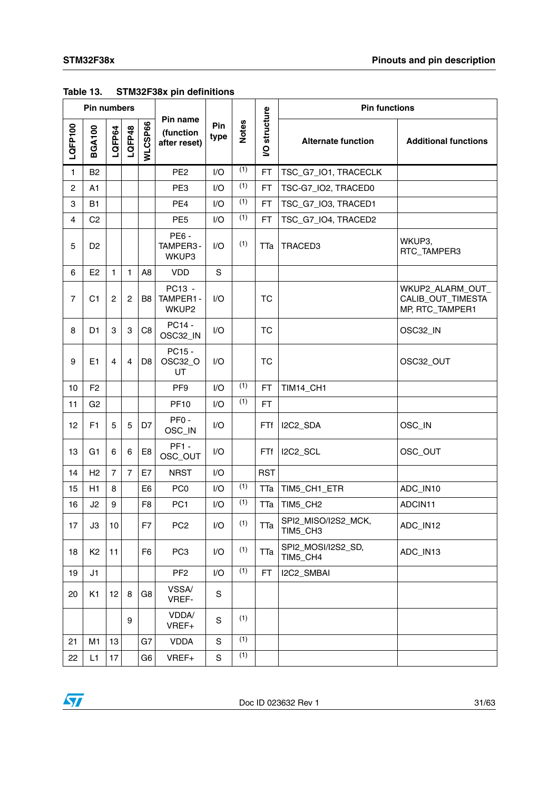|                | <b>Pin numbers</b> |                |                |                |                                       | <b>Pin functions</b> |              |                |                                 |                                                          |
|----------------|--------------------|----------------|----------------|----------------|---------------------------------------|----------------------|--------------|----------------|---------------------------------|----------------------------------------------------------|
| LQFP100        | <b>BGA100</b>      | LQFP64         | LQFP48         | WLCSP66        | Pin name<br>(function<br>after reset) | Pin<br>type          | <b>Notes</b> | structure<br>S | <b>Alternate function</b>       | <b>Additional functions</b>                              |
| $\mathbf{1}$   | B <sub>2</sub>     |                |                |                | PE <sub>2</sub>                       | I/O                  | (1)          | <b>FT</b>      | TSC_G7_IO1, TRACECLK            |                                                          |
| $\overline{c}$ | A1                 |                |                |                | PE3                                   | I/O                  | (1)          | <b>FT</b>      | TSC-G7_IO2, TRACED0             |                                                          |
| 3              | <b>B1</b>          |                |                |                | PE4                                   | I/O                  | (1)          | <b>FT</b>      | TSC_G7_IO3, TRACED1             |                                                          |
| $\overline{4}$ | C <sub>2</sub>     |                |                |                | PE <sub>5</sub>                       | I/O                  | (1)          | <b>FT</b>      | TSC_G7_IO4, TRACED2             |                                                          |
| 5              | D <sub>2</sub>     |                |                |                | <b>PE6-</b><br>TAMPER3-<br>WKUP3      | I/O                  | (1)          | TTa            | TRACED3                         | WKUP3,<br>RTC_TAMPER3                                    |
| 6              | E <sub>2</sub>     | $\mathbf{1}$   | 1              | A <sub>8</sub> | <b>VDD</b>                            | $\mathbf S$          |              |                |                                 |                                                          |
| $\overline{7}$ | C1                 | $\mathbf{2}$   | $\overline{c}$ | B8             | PC13 -<br>TAMPER1-<br>WKUP2           | 1/O                  |              | <b>TC</b>      |                                 | WKUP2_ALARM_OUT_<br>CALIB_OUT_TIMESTA<br>MP, RTC_TAMPER1 |
| 8              | D <sub>1</sub>     | 3              | 3              | C <sub>8</sub> | PC14 -<br>OSC32_IN                    | I/O                  |              | TC             |                                 | OSC32_IN                                                 |
| 9              | E1                 | 4              | $\overline{4}$ | D <sub>8</sub> | PC15 -<br>OSC32_O<br>UT               | 1/O                  |              | <b>TC</b>      |                                 | OSC32_OUT                                                |
| 10             | F <sub>2</sub>     |                |                |                | PF <sub>9</sub>                       | I/O                  | (1)          | <b>FT</b>      | <b>TIM14_CH1</b>                |                                                          |
| 11             | G <sub>2</sub>     |                |                |                | <b>PF10</b>                           | I/O                  | (1)          | <b>FT</b>      |                                 |                                                          |
| 12             | F1                 | 5              | 5              | D7             | PF <sub>0</sub> -<br>OSC_IN           | I/O                  |              | FTf            | I2C2_SDA                        | OSC_IN                                                   |
| 13             | G <sub>1</sub>     | 6              | 6              | E <sub>8</sub> | <b>PF1 -</b><br>OSC_OUT               | I/O                  |              | FTf            | I2C2_SCL                        | OSC_OUT                                                  |
| 14             | H <sub>2</sub>     | $\overline{7}$ | $\overline{7}$ | E7             | <b>NRST</b>                           | I/O                  |              | <b>RST</b>     |                                 |                                                          |
| 15             | H1                 | 8              |                | E <sub>6</sub> | PC <sub>0</sub>                       | I/O                  | (1)          | TTa            | TIM5_CH1_ETR                    | ADC_IN10                                                 |
| 16             | J2                 | 9              |                | F <sub>8</sub> | PC <sub>1</sub>                       | I/O                  | (1)          | TTa            | TIM5_CH2                        | ADCIN11                                                  |
| 17             | J3                 | 10             |                | F7             | PC <sub>2</sub>                       | I/O                  | (1)          | TTa            | SPI2_MISO/I2S2_MCK,<br>TIM5_CH3 | ADC_IN12                                                 |
| 18             | K <sub>2</sub>     | 11             |                | F <sub>6</sub> | PC <sub>3</sub>                       | I/O                  | (1)          | TTa            | SPI2_MOSI/I2S2_SD,<br>TIM5_CH4  | ADC_IN13                                                 |
| 19             | J1                 |                |                |                | PF <sub>2</sub>                       | I/O                  | (1)          | FT.            | I2C2_SMBAI                      |                                                          |
| 20             | K1                 | 12             | 8              | G8             | VSSA/<br>VREF-                        | S                    |              |                |                                 |                                                          |
|                |                    |                | 9              |                | VDDA/<br>VREF+                        | S                    | (1)          |                |                                 |                                                          |
| 21             | M <sub>1</sub>     | 13             |                | G7             | <b>VDDA</b>                           | S                    | (1)          |                |                                 |                                                          |
| 22             | L1                 | 17             |                | G <sub>6</sub> | VREF+                                 | S                    | (1)          |                |                                 |                                                          |

#### <span id="page-30-0"></span>**Table 13. STM32F38x pin definitions**

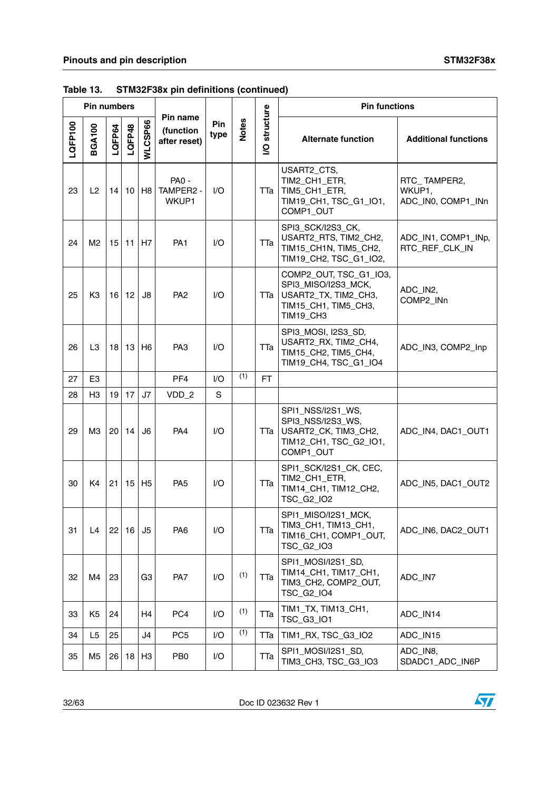|         | Pin numbers    |                 |        |                     |                                       |                        |              |                | <b>Pin functions</b>                                                                                       |                                              |  |
|---------|----------------|-----------------|--------|---------------------|---------------------------------------|------------------------|--------------|----------------|------------------------------------------------------------------------------------------------------------|----------------------------------------------|--|
| LQFP100 | <b>BGA100</b>  | LQFP64          | LQFP48 | WLCSP66             | Pin name<br>(function<br>after reset) | Pin<br>type            | <b>Notes</b> | structure<br>S | <b>Alternate function</b>                                                                                  | <b>Additional functions</b>                  |  |
| 23      | L2             | 14              | 10     | H <sub>8</sub>      | <b>PA0 -</b><br>TAMPER2 -<br>WKUP1    | 1/O                    |              | TTa            | USART2_CTS,<br>TIM2_CH1_ETR,<br>TIM5_CH1_ETR,<br>TIM19_CH1, TSC_G1_IO1,<br>COMP1_OUT                       | RTC_TAMPER2,<br>WKUP1,<br>ADC_IN0, COMP1_INn |  |
| 24      | M2             | 15              |        | $11$ H <sub>7</sub> | PA <sub>1</sub>                       | $\mathsf{U}\mathsf{O}$ |              | TTa            | SPI3_SCK/I2S3_CK,<br>USART2_RTS, TIM2_CH2,<br>TIM15_CH1N, TIM5_CH2,<br>TIM19_CH2, TSC_G1_IO2,              | ADC_IN1, COMP1_INp,<br>RTC_REF_CLK_IN        |  |
| 25      | K <sub>3</sub> | 16 <sub>1</sub> | 12     | J8                  | PA <sub>2</sub>                       | $\mathsf{U}\mathsf{O}$ |              | TTa            | COMP2_OUT, TSC_G1_IO3,<br>SPI3_MISO/I2S3_MCK,<br>USART2_TX, TIM2_CH3,<br>TIM15_CH1, TIM5_CH3,<br>TIM19_CH3 | ADC_IN2,<br>COMP2_INn                        |  |
| 26      | L <sub>3</sub> | 18              | 13     | H <sub>6</sub>      | PA <sub>3</sub>                       | $\mathsf{U}\mathsf{O}$ |              | TTa            | SPI3_MOSI, I2S3_SD,<br>USART2_RX, TIM2_CH4,<br>TIM15_CH2, TIM5_CH4,<br>TIM19_CH4, TSC_G1_IO4               | ADC_IN3, COMP2_Inp                           |  |
| 27      | E <sub>3</sub> |                 |        |                     | PF <sub>4</sub>                       | 1/O                    | (1)          | FT.            |                                                                                                            |                                              |  |
| 28      | H <sub>3</sub> | 19              | 17     | J7                  | VDD_2                                 | S                      |              |                |                                                                                                            |                                              |  |
| 29      | M <sub>3</sub> |                 | 20 14  | J <sub>6</sub>      | PA4                                   | $U$                    |              | TTa            | SPI1_NSS/I2S1_WS,<br>SPI3_NSS/I2S3_WS,<br>USART2_CK, TIM3_CH2,<br>TIM12_CH1, TSC_G2_IO1,<br>COMP1_OUT      | ADC_IN4, DAC1_OUT1                           |  |
| 30      | K <sub>4</sub> | 21              | 15     | H <sub>5</sub>      | PA <sub>5</sub>                       | $\mathsf{U}\mathsf{O}$ |              | TTa            | SPI1_SCK/I2S1_CK, CEC,<br>TIM2_CH1_ETR,<br>TIM14_CH1, TIM12_CH2,<br>TSC_G2_IO2                             | ADC_IN5, DAC1_OUT2                           |  |
| 31      | L4             | 22              | 16     | J5                  | PA <sub>6</sub>                       | I/O                    |              | TTa            | SPI1_MISO/I2S1_MCK,<br>TIM3_CH1, TIM13_CH1,<br>TIM16_CH1, COMP1_OUT,<br>TSC_G2_IO3                         | ADC_IN6, DAC2_OUT1                           |  |
| 32      | M4             | 23              |        | G <sub>3</sub>      | PA7                                   | I/O                    | (1)          | TTa            | SPI1_MOSI/I2S1_SD,<br>TIM14_CH1, TIM17_CH1,<br>TIM3_CH2, COMP2_OUT,<br><b>TSC G2 IO4</b>                   | ADC IN7                                      |  |
| 33      | K <sub>5</sub> | 24              |        | H4                  | PC4                                   | 1/O                    | (1)          | ТТа            | TIM1_TX, TIM13_CH1,<br>TSC_G3_IO1                                                                          | ADC_IN14                                     |  |
| 34      | L <sub>5</sub> | 25              |        | J4                  | PC <sub>5</sub>                       | I/O                    | (1)          | TTa            | TIM1_RX, TSC_G3_IO2                                                                                        | ADC_IN15                                     |  |
| 35      | M <sub>5</sub> | 26              | 18     | H <sub>3</sub>      | PB <sub>0</sub>                       | I/O                    |              | TTa            | SPI1_MOSI/I2S1_SD,<br>TIM3_CH3, TSC_G3_IO3                                                                 | ADC_IN8,<br>SDADC1_ADC_IN6P                  |  |

**Table 13. STM32F38x pin definitions (continued)**

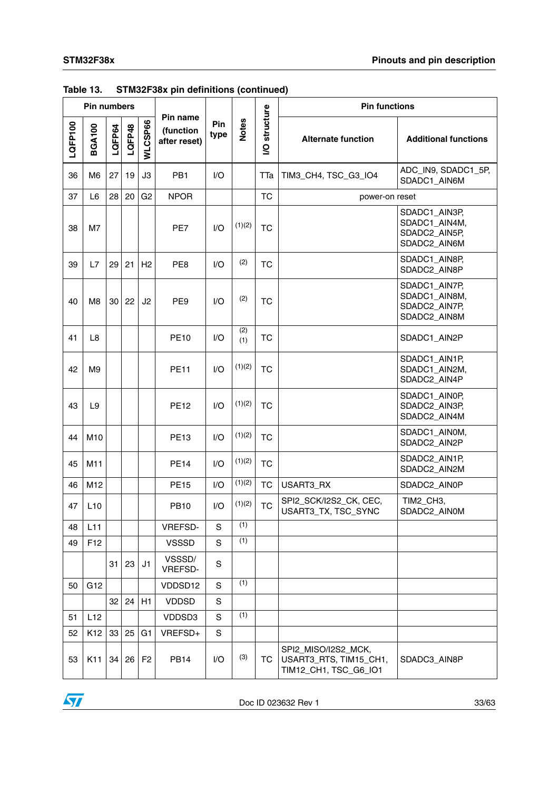|         | <b>Pin numbers</b> |        |        |                |                                       | <b>Pin functions</b> |              |                             |                                                                        |                                                                 |
|---------|--------------------|--------|--------|----------------|---------------------------------------|----------------------|--------------|-----------------------------|------------------------------------------------------------------------|-----------------------------------------------------------------|
| LQFP100 | <b>BGA100</b>      | LQFP64 | LQFP48 | WLCSP66        | Pin name<br>(function<br>after reset) | Pin<br>type          | <b>Notes</b> | structure<br>$\overline{S}$ | <b>Alternate function</b>                                              | <b>Additional functions</b>                                     |
| 36      | M <sub>6</sub>     | 27     | 19     | JЗ             | PB <sub>1</sub>                       | I/O                  |              | TTa                         | TIM3_CH4, TSC_G3_IO4                                                   | ADC_IN9, SDADC1_5P,<br>SDADC1_AIN6M                             |
| 37      | L <sub>6</sub>     | 28     | 20     | G <sub>2</sub> | <b>NPOR</b>                           |                      |              | <b>TC</b>                   | power-on reset                                                         |                                                                 |
| 38      | M7                 |        |        |                | PE7                                   | 1/O                  | (1)(2)       | <b>TC</b>                   |                                                                        | SDADC1_AIN3P,<br>SDADC1_AIN4M,<br>SDADC2_AIN5P,<br>SDADC2_AIN6M |
| 39      | L7                 | 29     | 21     | H <sub>2</sub> | PE8                                   | I/O                  | (2)          | <b>TC</b>                   |                                                                        | SDADC1_AIN8P,<br>SDADC2_AIN8P                                   |
| 40      | M <sub>8</sub>     | 30     | 22     | J <sub>2</sub> | PE9                                   | 1/O                  | (2)          | <b>TC</b>                   |                                                                        | SDADC1_AIN7P,<br>SDADC1_AIN8M,<br>SDADC2_AIN7P,<br>SDADC2_AIN8M |
| 41      | L <sub>8</sub>     |        |        |                | <b>PE10</b>                           | 1/O                  | (2)<br>(1)   | <b>TC</b>                   |                                                                        | SDADC1_AIN2P                                                    |
| 42      | M9                 |        |        |                | <b>PE11</b>                           | I/O                  | (1)(2)       | <b>TC</b>                   |                                                                        | SDADC1_AIN1P,<br>SDADC1_AIN2M,<br>SDADC2_AIN4P                  |
| 43      | L <sub>9</sub>     |        |        |                | <b>PE12</b>                           | I/O                  | (1)(2)       | <b>TC</b>                   |                                                                        | SDADC1_AIN0P,<br>SDADC2_AIN3P,<br>SDADC2_AIN4M                  |
| 44      | M <sub>10</sub>    |        |        |                | <b>PE13</b>                           | I/O                  | (1)(2)       | <b>TC</b>                   |                                                                        | SDADC1_AIN0M,<br>SDADC2_AIN2P                                   |
| 45      | M11                |        |        |                | <b>PE14</b>                           | I/O                  | (1)(2)       | <b>TC</b>                   |                                                                        | SDADC2_AIN1P,<br>SDADC2_AIN2M                                   |
| 46      | M12                |        |        |                | <b>PE15</b>                           | I/O                  | (1)(2)       | <b>TC</b>                   | USART3_RX                                                              | SDADC2_AIN0P                                                    |
| 47      | L10                |        |        |                | <b>PB10</b>                           | I/O                  | (1)(2)       | <b>TC</b>                   | SPI2_SCK/I2S2_CK, CEC,<br>USART3_TX, TSC_SYNC                          | TIM2_CH3,<br>SDADC2_AIN0M                                       |
| 48      | L11                |        |        |                | VREFSD-                               | S                    | (1)          |                             |                                                                        |                                                                 |
| 49      | F12                |        |        |                | <b>VSSSD</b>                          | S                    | (1)          |                             |                                                                        |                                                                 |
|         |                    | 31     | 23     | J1             | VSSSD/<br>VREFSD-                     | S                    |              |                             |                                                                        |                                                                 |
| 50      | G12                |        |        |                | VDDSD12                               | S                    | (1)          |                             |                                                                        |                                                                 |
|         |                    | 32     | 24     | H1             | <b>VDDSD</b>                          | S                    |              |                             |                                                                        |                                                                 |
| 51      | L12                |        |        |                | VDDSD3                                | S                    | (1)          |                             |                                                                        |                                                                 |
| 52      | K <sub>12</sub>    | 33     | 25     | G <sub>1</sub> | VREFSD+                               | $\mathbf S$          |              |                             |                                                                        |                                                                 |
| 53      | K11                | 34     | 26     | F <sub>2</sub> | <b>PB14</b>                           | I/O                  | (3)          | <b>TC</b>                   | SPI2_MISO/I2S2_MCK,<br>USART3_RTS, TIM15_CH1,<br>TIM12_CH1, TSC_G6_IO1 | SDADC3_AIN8P                                                    |

**Table 13. STM32F38x pin definitions (continued)**

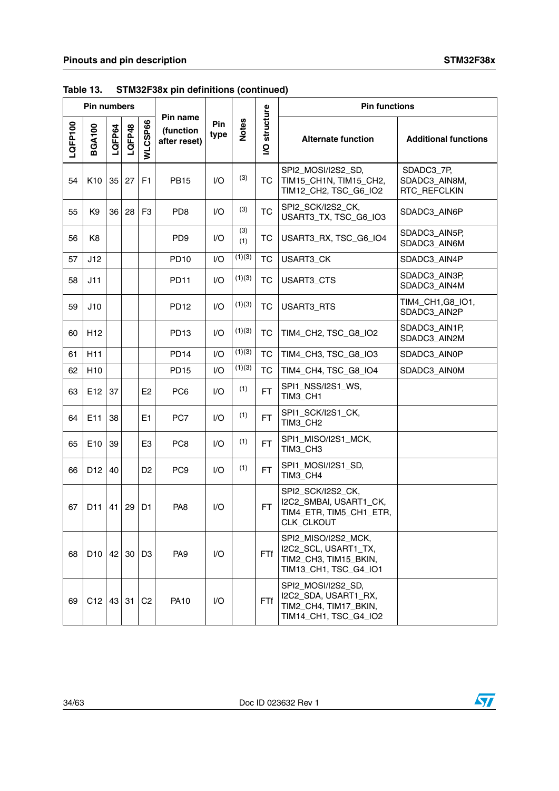|         | Pin numbers     |        |        |                     |                                       |                        |              |                | <b>Pin functions</b>                                                                          |                                             |  |
|---------|-----------------|--------|--------|---------------------|---------------------------------------|------------------------|--------------|----------------|-----------------------------------------------------------------------------------------------|---------------------------------------------|--|
| LQFP100 | <b>BGA100</b>   | LQFP64 | LQFP48 | WLCSP66             | Pin name<br>(function<br>after reset) | Pin<br>type            | <b>Notes</b> | structure<br>S | <b>Alternate function</b>                                                                     | <b>Additional functions</b>                 |  |
| 54      | K <sub>10</sub> | 35     | 27     | F <sub>1</sub>      | <b>PB15</b>                           | 1/O                    | (3)          | <b>TC</b>      | SPI2_MOSI/I2S2_SD,<br>TIM15_CH1N, TIM15_CH2,<br>TIM12_CH2, TSC_G6_IO2                         | SDADC3_7P,<br>SDADC3_AIN8M,<br>RTC_REFCLKIN |  |
| 55      | K <sub>9</sub>  | 36     | 28     | F <sub>3</sub>      | PD <sub>8</sub>                       | 1/O                    | (3)          | <b>TC</b>      | SPI2_SCK/I2S2_CK,<br>USART3_TX, TSC_G6_IO3                                                    | SDADC3_AIN6P                                |  |
| 56      | K <sub>8</sub>  |        |        |                     | PD <sub>9</sub>                       | 1/O                    | (3)<br>(1)   | <b>TC</b>      | USART3_RX, TSC_G6_IO4                                                                         | SDADC3_AIN5P,<br>SDADC3_AIN6M               |  |
| 57      | J12             |        |        |                     | <b>PD10</b>                           | I/O                    | (1)(3)       | <b>TC</b>      | USART3_CK                                                                                     | SDADC3_AIN4P                                |  |
| 58      | J11             |        |        |                     | <b>PD11</b>                           | 1/O                    | (1)(3)       | <b>TC</b>      | USART3_CTS                                                                                    | SDADC3_AIN3P,<br>SDADC3_AIN4M               |  |
| 59      | J10             |        |        |                     | <b>PD12</b>                           | I/O                    | (1)(3)       | <b>TC</b>      | USART3_RTS                                                                                    | TIM4_CH1,G8_IO1,<br>SDADC3_AIN2P            |  |
| 60      | H <sub>12</sub> |        |        |                     | PD <sub>13</sub>                      | $\mathsf{U}\mathsf{O}$ | (1)(3)       | ТC             | TIM4_CH2, TSC_G8_IO2                                                                          | SDADC3_AIN1P,<br>SDADC3_AIN2M               |  |
| 61      | H <sub>11</sub> |        |        |                     | <b>PD14</b>                           | 1/O                    | (1)(3)       | <b>TC</b>      | TIM4_CH3, TSC_G8_IO3                                                                          | SDADC3_AIN0P                                |  |
| 62      | H <sub>10</sub> |        |        |                     | <b>PD15</b>                           | I/O                    | (1)(3)       | <b>TC</b>      | TIM4_CH4, TSC_G8_IO4                                                                          | SDADC3_AIN0M                                |  |
| 63      | E12             | 37     |        | E <sub>2</sub>      | PC <sub>6</sub>                       | 1/O                    | (1)          | <b>FT</b>      | SPI1_NSS/I2S1_WS,<br>TIM3_CH1                                                                 |                                             |  |
| 64      | E11             | 38     |        | E1                  | PC7                                   | 1/O                    | (1)          | <b>FT</b>      | SPI1_SCK/I2S1_CK,<br>TIM3_CH2                                                                 |                                             |  |
| 65      | E <sub>10</sub> | 39     |        | E <sub>3</sub>      | PC <sub>8</sub>                       | 1/O                    | (1)          | <b>FT</b>      | SPI1_MISO/I2S1_MCK,<br>TIM3_CH3                                                               |                                             |  |
| 66      | D <sub>12</sub> | 40     |        | D <sub>2</sub>      | PC <sub>9</sub>                       | 1/O                    | (1)          | FT.            | SPI1_MOSI/I2S1_SD,<br>TIM3_CH4                                                                |                                             |  |
| 67      | D <sub>11</sub> | 41     | 29     | D1                  | PA <sub>8</sub>                       | 1/O                    |              | <b>FT</b>      | SPI2_SCK/I2S2_CK,<br>I2C2_SMBAI, USART1_CK,<br>TIM4_ETR, TIM5_CH1_ETR,<br>CLK_CLKOUT          |                                             |  |
| 68      | $D10$ 42        |        |        | $30$ D <sub>3</sub> | PA <sub>9</sub>                       | 1/O                    |              | FTf            | SPI2 MISO/I2S2 MCK,<br>I2C2_SCL, USART1_TX,<br>TIM2_CH3, TIM15_BKIN,<br>TIM13_CH1, TSC_G4_IO1 |                                             |  |
| 69      | C12             |        | 43 31  | C <sub>2</sub>      | <b>PA10</b>                           | I/O                    |              | FTf            | SPI2_MOSI/I2S2_SD,<br>I2C2_SDA, USART1_RX,<br>TIM2_CH4, TIM17_BKIN,<br>TIM14_CH1, TSC_G4_IO2  |                                             |  |

**Table 13. STM32F38x pin definitions (continued)**

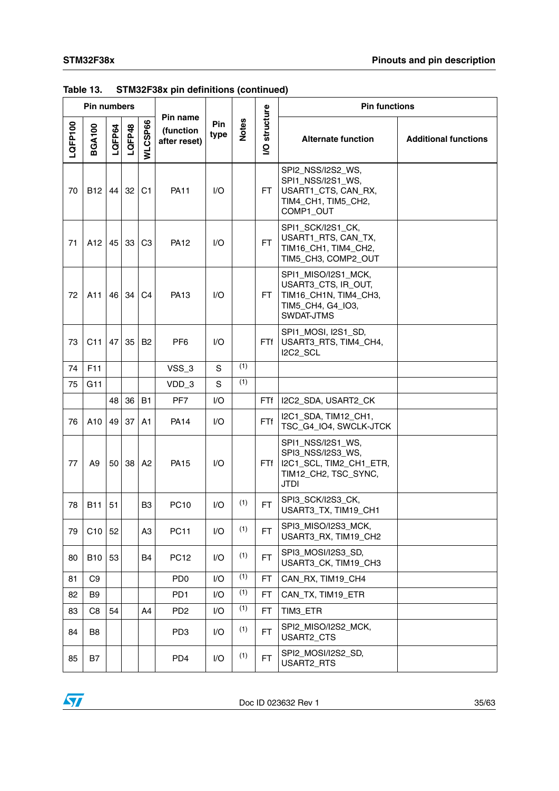|         | <b>Pin numbers</b> |                 |        |                |                                       |             |              |                | <b>Pin functions</b>                                                                                     |                             |
|---------|--------------------|-----------------|--------|----------------|---------------------------------------|-------------|--------------|----------------|----------------------------------------------------------------------------------------------------------|-----------------------------|
| LQFP100 | <b>BGA100</b>      | LQFP64          | LQFP48 | WLCSP66        | Pin name<br>(function<br>after reset) | Pin<br>type | <b>Notes</b> | structure<br>ğ | <b>Alternate function</b>                                                                                | <b>Additional functions</b> |
| 70      | <b>B12</b>         | 44              | 32     | C <sub>1</sub> | <b>PA11</b>                           | 1/O         |              | FT.            | SPI2_NSS/I2S2_WS,<br>SPI1_NSS/I2S1_WS,<br>USART1_CTS, CAN_RX,<br>TIM4_CH1, TIM5_CH2,<br>COMP1_OUT        |                             |
| 71      | A12                |                 | 45 33  | C <sub>3</sub> | <b>PA12</b>                           | 1/O         |              | FT.            | SPI1_SCK/I2S1_CK,<br>USART1_RTS, CAN_TX,<br>TIM16_CH1, TIM4_CH2,<br>TIM5_CH3, COMP2_OUT                  |                             |
| 72      | A11                | 46              | 34     | C <sub>4</sub> | <b>PA13</b>                           | 1/O         |              | FT.            | SPI1_MISO/I2S1_MCK,<br>USART3_CTS, IR_OUT,<br>TIM16_CH1N, TIM4_CH3,<br>TIM5_CH4, G4_IO3,<br>SWDAT-JTMS   |                             |
| 73      | C11                | 47              | 35     | <b>B2</b>      | PF <sub>6</sub>                       | $U$         |              | FTf            | SPI1_MOSI, I2S1_SD,<br>USART3_RTS, TIM4_CH4,<br>I2C2_SCL                                                 |                             |
| 74      | F11                |                 |        |                | VSS_3                                 | S           | (1)          |                |                                                                                                          |                             |
| 75      | G11                |                 |        |                | VDD_3                                 | S           | (1)          |                |                                                                                                          |                             |
|         |                    | 48              | 36     | <b>B1</b>      | PF7                                   | 1/O         |              | FTf            | I2C2_SDA, USART2_CK                                                                                      |                             |
| 76      | A10                | 49              | 37     | A1             | <b>PA14</b>                           | $U$         |              | FTf            | I2C1_SDA, TIM12_CH1,<br>TSC_G4_IO4, SWCLK-JTCK                                                           |                             |
| 77      | A <sub>9</sub>     | 50 <sub>1</sub> | 38     | A2             | <b>PA15</b>                           | $U$         |              | FTf            | SPI1_NSS/I2S1_WS,<br>SPI3_NSS/I2S3_WS,<br>I2C1_SCL, TIM2_CH1_ETR,<br>TIM12_CH2, TSC_SYNC,<br><b>JTDI</b> |                             |
| 78      | <b>B11</b>         | 51              |        | B3             | <b>PC10</b>                           | $U$         | (1)          | FT.            | SPI3_SCK/I2S3_CK,<br>USART3_TX, TIM19_CH1                                                                |                             |
| 79      | C <sub>10</sub>    | 52              |        | A <sub>3</sub> | <b>PC11</b>                           | I/O         | (1)          | <b>FT</b>      | SPI3_MISO/I2S3_MCK,<br>USART3_RX, TIM19_CH2                                                              |                             |
| 80      | <b>B10</b>         | 53              |        | B4             | <b>PC12</b>                           | I/O         | (1)          | FT.            | SPI3 MOSI/I2S3 SD,<br>USART3_CK, TIM19_CH3                                                               |                             |
| 81      | C <sub>9</sub>     |                 |        |                | P <sub>D</sub>                        | I/O         | (1)          | <b>FT</b>      | CAN_RX, TIM19_CH4                                                                                        |                             |
| 82      | B <sub>9</sub>     |                 |        |                | PD <sub>1</sub>                       | 1/O         | (1)          | <b>FT</b>      | CAN_TX, TIM19_ETR                                                                                        |                             |
| 83      | C8                 | 54              |        | A4             | PD <sub>2</sub>                       | I/O         | (1)          | FT.            | TIM3_ETR                                                                                                 |                             |
| 84      | B8                 |                 |        |                | PD <sub>3</sub>                       | I/O         | (1)          | <b>FT</b>      | SPI2 MISO/I2S2 MCK,<br>USART2_CTS                                                                        |                             |
| 85      | B7                 |                 |        |                | PD <sub>4</sub>                       | 1/O         | (1)          | FT.            | SPI2_MOSI/I2S2_SD,<br>USART2_RTS                                                                         |                             |

**Table 13. STM32F38x pin definitions (continued)**

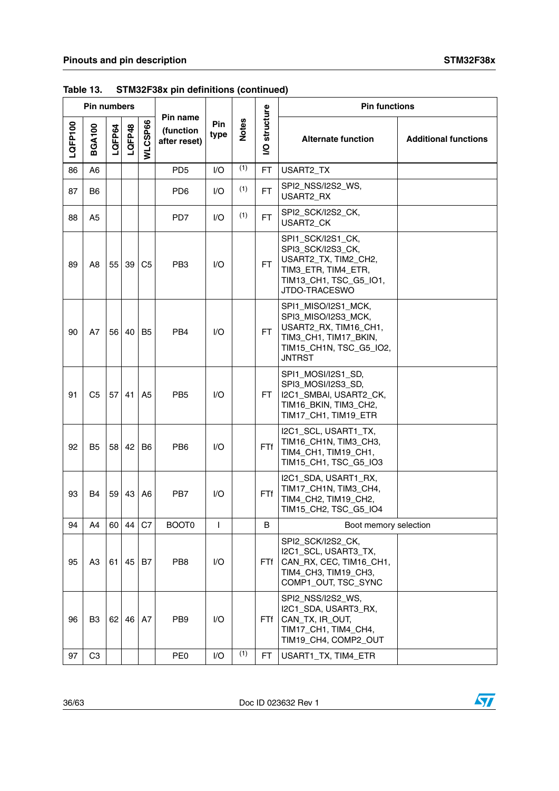|         | <b>Pin numbers</b> |        |        |                |                                       |                    |              |                | <b>Pin functions</b>                                                                                                                     |                             |
|---------|--------------------|--------|--------|----------------|---------------------------------------|--------------------|--------------|----------------|------------------------------------------------------------------------------------------------------------------------------------------|-----------------------------|
| LQFP100 | <b>BGA100</b>      | LQFP64 | LQFP48 | WLCSP66        | Pin name<br>(function<br>after reset) | <b>Pin</b><br>type | <b>Notes</b> | structure<br>š | <b>Alternate function</b>                                                                                                                | <b>Additional functions</b> |
| 86      | A <sub>6</sub>     |        |        |                | PD <sub>5</sub>                       | I/O                | (1)          | FT.            | USART2_TX                                                                                                                                |                             |
| 87      | B6                 |        |        |                | PD <sub>6</sub>                       | 1/O                | (1)          | <b>FT</b>      | SPI2_NSS/I2S2_WS,<br>USART2_RX                                                                                                           |                             |
| 88      | A5                 |        |        |                | PD7                                   | I/O                | (1)          | <b>FT</b>      | SPI2_SCK/I2S2_CK,<br>USART2_CK                                                                                                           |                             |
| 89      | A8                 | 55     | 39     | C <sub>5</sub> | PB <sub>3</sub>                       | $U$                |              | <b>FT</b>      | SPI1_SCK/I2S1_CK,<br>SPI3_SCK/I2S3_CK,<br>USART2_TX, TIM2_CH2,<br>TIM3_ETR, TIM4_ETR,<br>TIM13_CH1, TSC_G5_IO1,<br>JTDO-TRACESWO         |                             |
| 90      | A7                 | 56     | 40     | B <sub>5</sub> | PB <sub>4</sub>                       | 1/O                |              | <b>FT</b>      | SPI1_MISO/I2S1_MCK,<br>SPI3_MISO/I2S3_MCK,<br>USART2_RX, TIM16_CH1,<br>TIM3_CH1, TIM17_BKIN,<br>TIM15_CH1N, TSC_G5_IO2,<br><b>JNTRST</b> |                             |
| 91      | C <sub>5</sub>     | 57     | 41     | A <sub>5</sub> | PB <sub>5</sub>                       | 1/O                |              | FT.            | SPI1_MOSI/I2S1_SD,<br>SPI3_MOSI/I2S3_SD,<br>I2C1_SMBAI, USART2_CK,<br>TIM16_BKIN, TIM3_CH2,<br>TIM17_CH1, TIM19_ETR                      |                             |
| 92      | B <sub>5</sub>     | 58     | 42     | B <sub>6</sub> | PB <sub>6</sub>                       | $U$                |              | <b>FTf</b>     | I2C1_SCL, USART1_TX,<br>TIM16_CH1N, TIM3_CH3,<br>TIM4_CH1, TIM19_CH1,<br>TIM15_CH1, TSC_G5_IO3                                           |                             |
| 93      | B4                 | 59     | 43     | A <sub>6</sub> | PB7                                   | $U$                |              | <b>FTf</b>     | I2C1_SDA, USART1_RX,<br>TIM17_CH1N, TIM3_CH4,<br>TIM4_CH2, TIM19_CH2,<br>TIM15_CH2, TSC_G5_IO4                                           |                             |
| 94      | A4                 | 60     | 44     | C7             | BOOT0                                 | L                  |              | B              | Boot memory selection                                                                                                                    |                             |
| 95      | A3                 | 61     | 45     | B7             | PB <sub>8</sub>                       | I/O                |              | FTf            | SPI2_SCK/I2S2_CK,<br>I2C1_SCL, USART3_TX,<br>CAN_RX, CEC, TIM16_CH1,<br>TIM4_CH3, TIM19_CH3,<br>COMP1_OUT, TSC_SYNC                      |                             |
| 96      | B <sub>3</sub>     | 62     | 46     | A7             | PB <sub>9</sub>                       | I/O                |              | <b>FTf</b>     | SPI2_NSS/I2S2_WS,<br>I2C1_SDA, USART3_RX,<br>CAN_TX, IR_OUT,<br>TIM17_CH1, TIM4_CH4,<br>TIM19 CH4, COMP2 OUT                             |                             |
| 97      | C <sub>3</sub>     |        |        |                | PE <sub>0</sub>                       | I/O                | (1)          | FT.            | USART1_TX, TIM4_ETR                                                                                                                      |                             |

**Table 13. STM32F38x pin definitions (continued)**

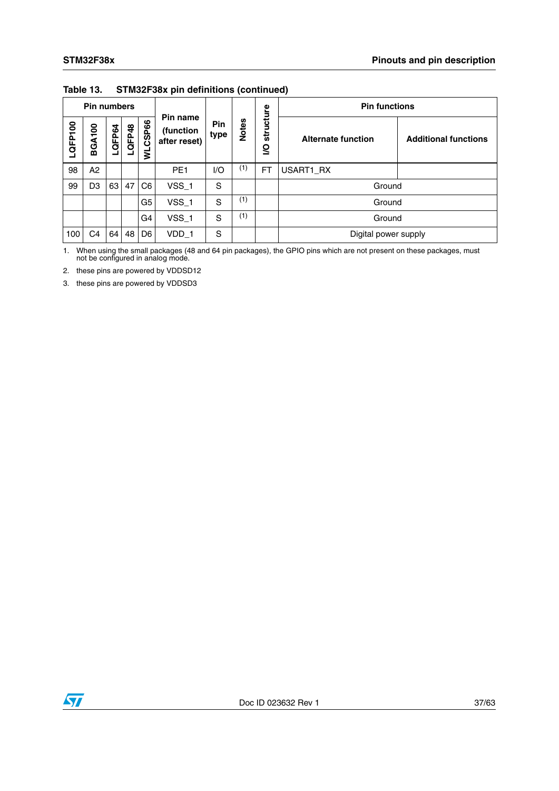|         | <b>Pin numbers</b> |        |        |                |                                       |                    |              |                       | <b>Pin functions</b>      |                             |
|---------|--------------------|--------|--------|----------------|---------------------------------------|--------------------|--------------|-----------------------|---------------------------|-----------------------------|
| LQFP100 | <b>BGA100</b>      | LQFP64 | LQFP48 | WLCSP66        | Pin name<br>(function<br>after reset) | <b>Pin</b><br>type | <b>Notes</b> | structure<br><u>୧</u> | <b>Alternate function</b> | <b>Additional functions</b> |
| 98      | A2                 |        |        |                | PE <sub>1</sub>                       | 1/O                | (1)          | <b>FT</b>             | USART1_RX                 |                             |
| 99      | D <sub>3</sub>     | 63     | 47     | C6             | $VSS_1$                               | S                  |              |                       | Ground                    |                             |
|         |                    |        |        | G5             | $VSS_1$                               | S                  | (1)          |                       | Ground                    |                             |
|         |                    |        |        | G4             | $VSS_1$                               | S                  | (1)          |                       | Ground                    |                             |
| 100     | C4                 | 64     | 48     | D <sub>6</sub> | VDD_1                                 | S                  |              |                       | Digital power supply      |                             |

**Table 13. STM32F38x pin definitions (continued)**

<span id="page-36-0"></span>1. When using the small packages (48 and 64 pin packages), the GPIO pins which are not present on these packages, must not be configured in analog mode.

<span id="page-36-1"></span>2. these pins are powered by VDDSD12

<span id="page-36-2"></span>3. these pins are powered by VDDSD3

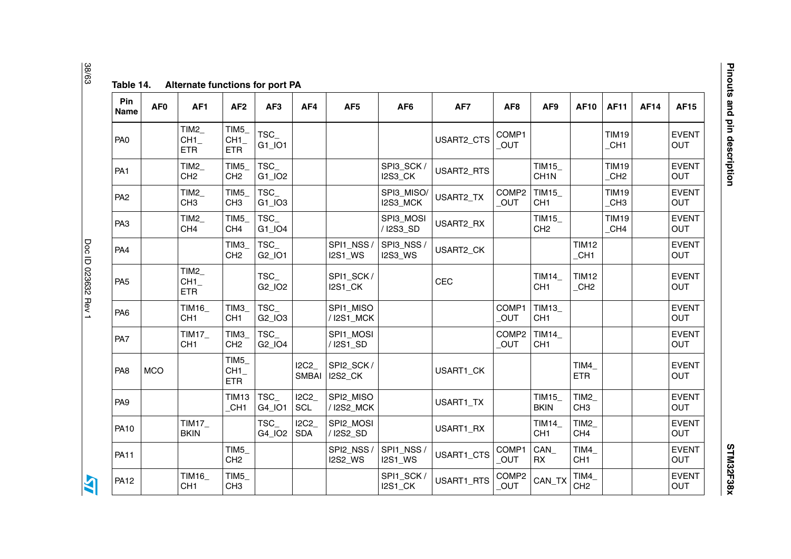| l<br>$\frac{1}{2}$ |
|--------------------|
|                    |
|                    |
|                    |
|                    |
|                    |
|                    |
| りくに<br>l           |
| i                  |
| :<br>;<br>ļ<br>i   |

Doc ID 023632 Rev 1

<span id="page-37-0"></span>N

| Pin<br><b>Name</b> | AF <sub>0</sub> | AF <sub>1</sub>                       | AF <sub>2</sub>                       | AF <sub>3</sub>                        | AF4                  | AF <sub>5</sub>             | AF <sub>6</sub>              | AF7        | AF <sub>8</sub>                 | AF9                              | <b>AF10</b>             | <b>AF11</b>         | <b>AF14</b> | <b>AF15</b>                |
|--------------------|-----------------|---------------------------------------|---------------------------------------|----------------------------------------|----------------------|-----------------------------|------------------------------|------------|---------------------------------|----------------------------------|-------------------------|---------------------|-------------|----------------------------|
| PA <sub>0</sub>    |                 | TIM <sub>2</sub><br>CH1<br><b>ETR</b> | TIM5<br>CH1<br><b>ETR</b>             | TSC_<br>G1_IO1                         |                      |                             |                              | USART2_CTS | COMP1<br>OUT                    |                                  |                         | <b>TIM19</b><br>CH1 |             | <b>EVENT</b><br>OUT        |
| PA <sub>1</sub>    |                 | TIM2<br>CH <sub>2</sub>               | TIM5<br>CH <sub>2</sub>               | TSC_<br>G1_IO2                         |                      |                             | SPI3_SCK<br><b>I2S3_CK</b>   | USART2_RTS |                                 | TIM15_<br>CH <sub>1</sub> N      |                         | <b>TIM19</b><br>CH2 |             | <b>EVENT</b><br>OUT        |
| PA <sub>2</sub>    |                 | TIM2<br>CH <sub>3</sub>               | TIM5<br>CH <sub>3</sub>               | TSC<br>$G1$ $IO3$                      |                      |                             | SPI3_MISO/<br>I2S3_MCK       | USART2_TX  | COMP <sub>2</sub><br>OUT        | <b>TIM15</b><br>CH <sub>1</sub>  |                         | <b>TIM19</b><br>CH3 |             | <b>EVENT</b><br>OUT        |
| PA <sub>3</sub>    |                 | TIM2<br>CH <sub>4</sub>               | TIM <sub>5</sub><br>CH <sub>4</sub>   | TSC<br>G1_IO4                          |                      |                             | SPI3_MOSI<br>/ I2S3_SD       | USART2_RX  |                                 | <b>TIM15_</b><br>CH <sub>2</sub> |                         | <b>TIM19</b><br>CH4 |             | <b>EVENT</b><br>OUT        |
| PA4                |                 |                                       | TIM <sub>3</sub><br>CH <sub>2</sub>   | TSC<br>G2_IO1                          |                      | SPI1_NSS/<br><b>I2S1_WS</b> | SPI3_NSS /<br><b>I2S3_WS</b> | USART2_CK  |                                 |                                  | <b>TIM12</b><br>$_CHH$  |                     |             | <b>EVENT</b><br>OUT        |
| PA <sub>5</sub>    |                 | TIM2<br>CH1<br><b>ETR</b>             |                                       | TSC<br>G <sub>2</sub> _IO <sub>2</sub> |                      | SPI1_SCK/<br><b>I2S1_CK</b> |                              | CEC        |                                 | TIM14<br>CH <sub>1</sub>         | <b>TIM12</b><br>CH2     |                     |             | <b>EVENT</b><br>OUT        |
| PA <sub>6</sub>    |                 | <b>TIM16</b><br>CH <sub>1</sub>       | TIM <sub>3</sub><br>CH <sub>1</sub>   | TSC<br>G <sub>2</sub> _IO <sub>3</sub> |                      | SPI1 MISO<br>/ I2S1_MCK     |                              |            | COMP1<br>OUT                    | TIM13_<br>CH <sub>1</sub>        |                         |                     |             | <b>EVENT</b><br>OUT        |
| PA7                |                 | <b>TIM17_</b><br>CH <sub>1</sub>      | TIM <sub>3</sub><br>CH <sub>2</sub>   | TSC<br>G <sub>2_IO4</sub>              |                      | SPI1_MOSI<br>/ I2S1_SD      |                              |            | COMP <sub>2</sub><br>OUT        | TIM14_<br>CH <sub>1</sub>        |                         |                     |             | <b>EVENT</b><br><b>OUT</b> |
| PA <sub>8</sub>    | <b>MCO</b>      |                                       | TIM <sub>5</sub><br>CH1<br><b>ETR</b> |                                        | ICC2<br><b>SMBAI</b> | SPI2_SCK/<br>I2S2_CK        |                              | USART1_CK  |                                 |                                  | TIM4_<br><b>ETR</b>     |                     |             | <b>EVENT</b><br>OUT        |
| PA <sub>9</sub>    |                 |                                       | <b>TIM13</b><br>CH <sub>1</sub>       | TSC<br>G4_IO1                          | 12C2<br><b>SCL</b>   | SPI2_MISO<br>/I2S2_MCK      |                              | USART1_TX  |                                 | TIM15_<br><b>BKIN</b>            | TIM2<br>CH <sub>3</sub> |                     |             | <b>EVENT</b><br>OUT        |
| <b>PA10</b>        |                 | TIM17<br><b>BKIN</b>                  |                                       | TSC<br>G4_IO2                          | 12C2<br><b>SDA</b>   | SPI2_MOSI<br>/ I2S2_SD      |                              | USART1_RX  |                                 | TIM14_<br>CH <sub>1</sub>        | TIM2<br>CH <sub>4</sub> |                     |             | <b>EVENT</b><br>OUT        |
| <b>PA11</b>        |                 |                                       | TIM <sub>5</sub><br>CH <sub>2</sub>   |                                        |                      | SPI2_NSS/<br><b>I2S2_WS</b> | SPI1_NSS<br><b>I2S1_WS</b>   | USART1_CTS | COMP1<br>OUT                    | CAN<br><b>RX</b>                 | TIM4<br>CH <sub>1</sub> |                     |             | <b>EVENT</b><br>OUT        |
| <b>PA12</b>        |                 | TIM16_<br>CH <sub>1</sub>             | TIM5<br>CH <sub>3</sub>               |                                        |                      |                             | SPI1_SCK<br>I2S1_CK          | USART1_RTS | COMP <sub>2</sub><br><b>OUT</b> | CAN_TX                           | TIM4<br>CH <sub>2</sub> |                     |             | <b>EVENT</b><br>OUT        |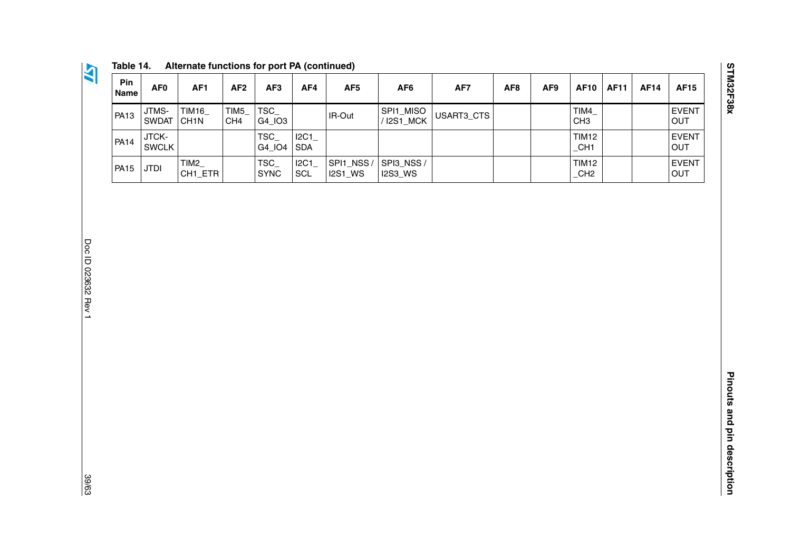**STM32F38x** 

| Pin<br><b>Name</b> | AF0                   | AF <sub>1</sub>            | AF <sub>2</sub>         | AF <sub>3</sub>       | AF4               | AF <sub>5</sub>      | AF <sub>6</sub>             | AF7        | AF <sub>8</sub> | AF <sub>9</sub> | <b>AF10</b>              | <b>AF11</b> | <b>AF14</b> | <b>AF15</b>                |
|--------------------|-----------------------|----------------------------|-------------------------|-----------------------|-------------------|----------------------|-----------------------------|------------|-----------------|-----------------|--------------------------|-------------|-------------|----------------------------|
| <b>PA13</b>        | JTMS-<br><b>SWDAT</b> | TIM16<br>CH <sub>1</sub> N | TIM5<br>CH <sub>4</sub> | TSC_<br>G4 103        |                   | IR-Out               | SPI1_MISO<br>/ I2S1_MCK     | USART3_CTS |                 |                 | TIM4<br>CH <sub>3</sub>  |             |             | <b>EVENT</b><br><b>OUT</b> |
| <b>PA14</b>        | JTCK-<br><b>SWCLK</b> |                            |                         | TSC_<br>G4 IO4        | 2C1<br><b>SDA</b> |                      |                             |            |                 |                 | TIM12<br>CH <sub>1</sub> |             |             | <b>EVENT</b><br><b>OUT</b> |
| <b>PA15</b>        | JTDI                  | TIM2<br>CH1_ETR            |                         | $TSC_$<br><b>SYNC</b> | 12C1<br>SCL       | SPI1_NSS/<br>I2S1 WS | SPI3_NSS/<br><b>I2S3 WS</b> |            |                 |                 | TIM12<br>CH2             |             |             | <b>EVENT</b><br><b>OUT</b> |

**Table 14. Alternate functions for port PA (continued)**

Doc ID 023632 Rev 1 Doc ID 023632 Rev 1 39/63

**AT** 

39/63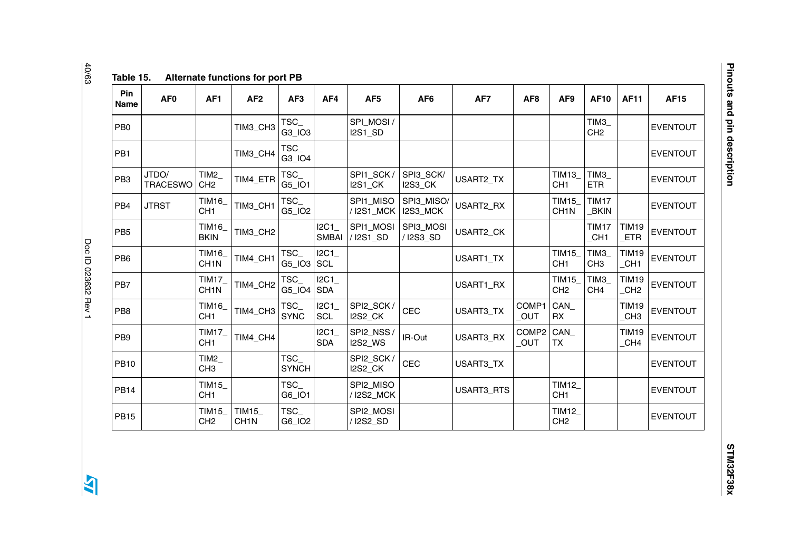| Pin<br><b>Name</b> | AF <sub>0</sub>          | AF1                                 | AF <sub>2</sub>             | AF <sub>3</sub>                  | AF4                  | AF <sub>5</sub>             | AF <sub>6</sub>             | AF7        | AF <sub>8</sub>          | AF9                               | <b>AF10</b>                         | <b>AF11</b>              | <b>AF15</b>     |
|--------------------|--------------------------|-------------------------------------|-----------------------------|----------------------------------|----------------------|-----------------------------|-----------------------------|------------|--------------------------|-----------------------------------|-------------------------------------|--------------------------|-----------------|
| PB <sub>0</sub>    |                          |                                     | TIM3_CH3                    | $TSC_$<br>G3_IO3                 |                      | SPI_MOSI/<br><b>I2S1_SD</b> |                             |            |                          |                                   | TIM <sub>3</sub><br>CH <sub>2</sub> |                          | <b>EVENTOUT</b> |
| PB1                |                          |                                     | TIM3_CH4                    | TSC_<br>G3_IO4                   |                      |                             |                             |            |                          |                                   |                                     |                          | <b>EVENTOUT</b> |
| PB <sub>3</sub>    | JTDO/<br><b>TRACESWO</b> | TIM <sub>2</sub><br>CH <sub>2</sub> | TIM4_ETR                    | TSC_<br>G5_IO1                   |                      | SPI1_SCK/<br><b>I2S1_CK</b> | SPI3_SCK/<br><b>I2S3_CK</b> | USART2_TX  |                          | <b>TIM13_</b><br>CH <sub>1</sub>  | $TIM3_$<br><b>ETR</b>               |                          | <b>EVENTOUT</b> |
| PB <sub>4</sub>    | <b>JTRST</b>             | TIM16_<br>CH <sub>1</sub>           | TIM3_CH1                    | TSC_<br>G5_IO2                   |                      | SPI1_MISO<br>/ I2S1_MCK     | SPI3_MISO/<br>I2S3_MCK      | USART2_RX  |                          | <b>TIM15</b><br>CH <sub>1</sub> N | <b>TIM17</b><br><b>BKIN</b>         |                          | <b>EVENTOUT</b> |
| PB <sub>5</sub>    |                          | TIM16_<br><b>BKIN</b>               | TIM3_CH2                    |                                  | I2C1<br><b>SMBAI</b> | SPI1_MOSI<br>/ I2S1_SD      | SPI3_MOSI<br>/ I2S3_SD      | USART2_CK  |                          |                                   | <b>TIM17</b><br>CH <sub>1</sub>     | TIM19<br><b>ETR</b>      | <b>EVENTOUT</b> |
| PB <sub>6</sub>    |                          | TIM16_<br>CH <sub>1N</sub>          | TIM4_CH1                    | TSC_<br>$G5$ <sub>-IO3</sub> SCL | IC1                  |                             |                             | USART1_TX  |                          | <b>TIM15_</b><br>CH <sub>1</sub>  | TIM3<br>CH <sub>3</sub>             | TIM19<br>CH <sub>1</sub> | <b>EVENTOUT</b> |
| PB7                |                          | <b>TIM17</b><br>CH <sub>1</sub> N   | TIM4_CH2                    | TSC<br>G5_IO4                    | IC1<br><b>SDA</b>    |                             |                             | USART1_RX  |                          | <b>TIM15_</b><br>CH <sub>2</sub>  | TIM <sub>3</sub><br>CH <sub>4</sub> | <b>TIM19</b><br>CH2      | <b>EVENTOUT</b> |
| PB8                |                          | TIM16_<br>CH <sub>1</sub>           | TIM4_CH3                    | $TSC_$<br><b>SYNC</b>            | I2C1<br><b>SCL</b>   | SPI2_SCK/<br>I2S2_CK        | CEC                         | USART3_TX  | COMP1<br>_OUT            | CAN<br>RX                         |                                     | <b>TIM19</b><br>CH3      | <b>EVENTOUT</b> |
| PB <sub>9</sub>    |                          | <b>TIM17_</b><br>CH <sub>1</sub>    | TIM4_CH4                    |                                  | I2C1<br><b>SDA</b>   | SPI2_NSS/<br><b>I2S2_WS</b> | IR-Out                      | USART3_RX  | COMP <sub>2</sub><br>OUT | CAN<br><b>TX</b>                  |                                     | <b>TIM19</b><br>CH4      | <b>EVENTOUT</b> |
| <b>PB10</b>        |                          | TIM2<br>CH <sub>3</sub>             |                             | $TSC_$<br><b>SYNCH</b>           |                      | SPI2_SCK/<br>I2S2_CK        | CEC                         | USART3_TX  |                          |                                   |                                     |                          | <b>EVENTOUT</b> |
| <b>PB14</b>        |                          | TIM15_<br>CH <sub>1</sub>           |                             | TSC_<br>G6_IO1                   |                      | SPI2_MISO<br>/ I2S2_MCK     |                             | USART3_RTS |                          | TIM12_<br>CH <sub>1</sub>         |                                     |                          | <b>EVENTOUT</b> |
| <b>PB15</b>        |                          | <b>TIM15</b><br>CH <sub>2</sub>     | TIM15_<br>CH <sub>1</sub> N | TSC_<br>G6_IO2                   |                      | SPI2_MOSI<br>/ I2S2_SD      |                             |            |                          | TIM12_<br>CH <sub>2</sub>         |                                     |                          | <b>EVENTOUT</b> |

40/63 Doc ID 023632 Rev 1 Doc ID 023632 Rev 1

<span id="page-39-0"></span> $\overline{\mathbf{A}}$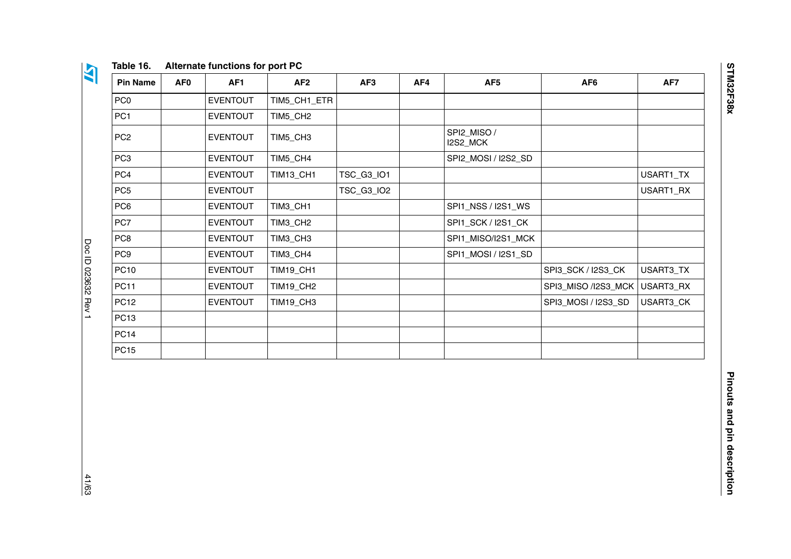| v                                         |
|-------------------------------------------|
| u,<br>M.                                  |
| w<br>. .<br>- 3<br>25<br>u,<br>- 3<br>. . |

| Alternate functions for port PC<br>Table 16. |
|----------------------------------------------|
|----------------------------------------------|

| <b>Pin Name</b> | AF0 | AF <sub>1</sub> | AF <sub>2</sub>  | AF <sub>3</sub> | AF4 | AF <sub>5</sub>         | AF <sub>6</sub>     | AF7       |
|-----------------|-----|-----------------|------------------|-----------------|-----|-------------------------|---------------------|-----------|
| PC <sub>0</sub> |     | <b>EVENTOUT</b> | TIM5_CH1_ETR     |                 |     |                         |                     |           |
| PC <sub>1</sub> |     | <b>EVENTOUT</b> | TIM5_CH2         |                 |     |                         |                     |           |
| PC <sub>2</sub> |     | <b>EVENTOUT</b> | TIM5_CH3         |                 |     | SPI2_MISO /<br>I2S2_MCK |                     |           |
| PC <sub>3</sub> |     | <b>EVENTOUT</b> | TIM5_CH4         |                 |     | SPI2_MOSI / I2S2_SD     |                     |           |
| PC4             |     | <b>EVENTOUT</b> | <b>TIM13_CH1</b> | TSC_G3_IO1      |     |                         |                     | USART1_TX |
| PC <sub>5</sub> |     | <b>EVENTOUT</b> |                  | TSC_G3_IO2      |     |                         |                     | USART1_RX |
| PC6             |     | <b>EVENTOUT</b> | TIM3_CH1         |                 |     | SPI1_NSS / I2S1_WS      |                     |           |
| PC7             |     | <b>EVENTOUT</b> | TIM3_CH2         |                 |     | SPI1_SCK / I2S1_CK      |                     |           |
| PC8             |     | <b>EVENTOUT</b> | TIM3_CH3         |                 |     | SPI1_MISO/I2S1_MCK      |                     |           |
| PC <sub>9</sub> |     | <b>EVENTOUT</b> | TIM3_CH4         |                 |     | SPI1_MOSI / I2S1_SD     |                     |           |
| <b>PC10</b>     |     | <b>EVENTOUT</b> | <b>TIM19_CH1</b> |                 |     |                         | SPI3_SCK / I2S3_CK  | USART3_TX |
| <b>PC11</b>     |     | <b>EVENTOUT</b> | <b>TIM19_CH2</b> |                 |     |                         | SPI3_MISO /I2S3_MCK | USART3_RX |
| <b>PC12</b>     |     | <b>EVENTOUT</b> | <b>TIM19_CH3</b> |                 |     |                         | SPI3_MOSI / I2S3_SD | USART3_CK |
| <b>PC13</b>     |     |                 |                  |                 |     |                         |                     |           |
| <b>PC14</b>     |     |                 |                  |                 |     |                         |                     |           |
| <b>PC15</b>     |     |                 |                  |                 |     |                         |                     |           |

**STM32F38x** 

<span id="page-40-0"></span>41/63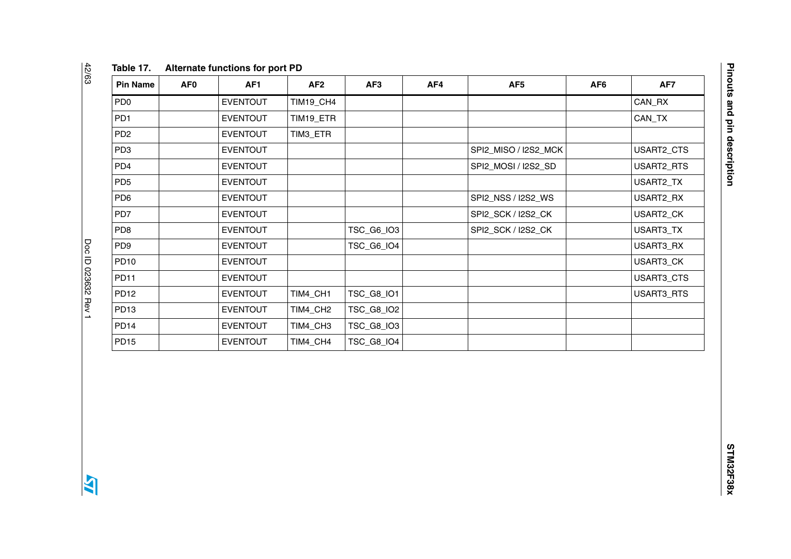| <b>Pin Name</b>  | AF <sub>0</sub> | AF <sub>1</sub> | AF2              | AF <sub>3</sub>   | AF4 | AF <sub>5</sub>      | AF <sub>6</sub> | AF7        |
|------------------|-----------------|-----------------|------------------|-------------------|-----|----------------------|-----------------|------------|
| PD <sub>0</sub>  |                 | <b>EVENTOUT</b> | <b>TIM19_CH4</b> |                   |     |                      |                 | CAN_RX     |
| PD <sub>1</sub>  |                 | <b>EVENTOUT</b> | TIM19_ETR        |                   |     |                      |                 | CAN_TX     |
| PD <sub>2</sub>  |                 | <b>EVENTOUT</b> | TIM3_ETR         |                   |     |                      |                 |            |
| PD <sub>3</sub>  |                 | EVENTOUT        |                  |                   |     | SPI2_MISO / I2S2_MCK |                 | USART2_CTS |
| PD <sub>4</sub>  |                 | <b>EVENTOUT</b> |                  |                   |     | SPI2_MOSI / I2S2_SD  |                 | USART2_RTS |
| PD <sub>5</sub>  |                 | <b>EVENTOUT</b> |                  |                   |     |                      |                 | USART2_TX  |
| PD <sub>6</sub>  |                 | <b>EVENTOUT</b> |                  |                   |     | SPI2_NSS / I2S2_WS   |                 | USART2_RX  |
| PD7              |                 | <b>EVENTOUT</b> |                  |                   |     | SPI2_SCK / I2S2_CK   |                 | USART2_CK  |
| PD <sub>8</sub>  |                 | <b>EVENTOUT</b> |                  | TSC_G6_IO3        |     | SPI2_SCK / I2S2_CK   |                 | USART3_TX  |
| PD <sub>9</sub>  |                 | <b>EVENTOUT</b> |                  | <b>TSC_G6_IO4</b> |     |                      |                 | USART3_RX  |
| <b>PD10</b>      |                 | <b>EVENTOUT</b> |                  |                   |     |                      |                 | USART3_CK  |
| <b>PD11</b>      |                 | <b>EVENTOUT</b> |                  |                   |     |                      |                 | USART3_CTS |
| <b>PD12</b>      |                 | <b>EVENTOUT</b> | TIM4_CH1         | TSC_G8_IO1        |     |                      |                 | USART3_RTS |
| PD <sub>13</sub> |                 | <b>EVENTOUT</b> | TIM4_CH2         | TSC_G8_IO2        |     |                      |                 |            |
| <b>PD14</b>      |                 | <b>EVENTOUT</b> | TIM4_CH3         | <b>TSC_G8_IO3</b> |     |                      |                 |            |
| <b>PD15</b>      |                 | <b>EVENTOUT</b> | TIM4_CH4         | TSC_G8_IO4        |     |                      |                 |            |

42/63

<span id="page-41-0"></span>42/63 Doc ID 023632 Rev 1 Doc ID 023632 Rev 1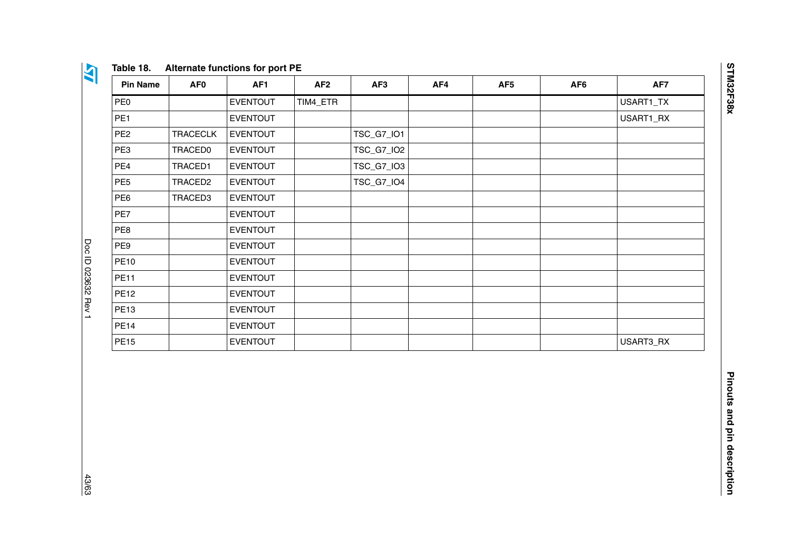| v<br>u, |
|---------|

#### **Table 18. Alternate functions for port PE**

| <b>Pin Name</b> | AF <sub>0</sub> | AF1             | AF <sub>2</sub> | AF3        | AF4 | AF <sub>5</sub> | AF <sub>6</sub> | AF7       |
|-----------------|-----------------|-----------------|-----------------|------------|-----|-----------------|-----------------|-----------|
| PE <sub>0</sub> |                 | <b>EVENTOUT</b> | TIM4_ETR        |            |     |                 |                 | USART1_TX |
| PE <sub>1</sub> |                 | <b>EVENTOUT</b> |                 |            |     |                 |                 | USART1_RX |
| PE <sub>2</sub> | <b>TRACECLK</b> | <b>EVENTOUT</b> |                 | TSC_G7_IO1 |     |                 |                 |           |
| PE3             | <b>TRACED0</b>  | <b>EVENTOUT</b> |                 | TSC_G7_IO2 |     |                 |                 |           |
| PE4             | TRACED1         | <b>EVENTOUT</b> |                 | TSC_G7_IO3 |     |                 |                 |           |
| PE <sub>5</sub> | TRACED2         | <b>EVENTOUT</b> |                 | TSC_G7_IO4 |     |                 |                 |           |
| PE6             | TRACED3         | <b>EVENTOUT</b> |                 |            |     |                 |                 |           |
| PE7             |                 | <b>EVENTOUT</b> |                 |            |     |                 |                 |           |
| PE8             |                 | <b>EVENTOUT</b> |                 |            |     |                 |                 |           |
| PE9             |                 | <b>EVENTOUT</b> |                 |            |     |                 |                 |           |
| <b>PE10</b>     |                 | <b>EVENTOUT</b> |                 |            |     |                 |                 |           |
| <b>PE11</b>     |                 | <b>EVENTOUT</b> |                 |            |     |                 |                 |           |
| <b>PE12</b>     |                 | <b>EVENTOUT</b> |                 |            |     |                 |                 |           |
| <b>PE13</b>     |                 | <b>EVENTOUT</b> |                 |            |     |                 |                 |           |
| <b>PE14</b>     |                 | <b>EVENTOUT</b> |                 |            |     |                 |                 |           |
| <b>PE15</b>     |                 | <b>EVENTOUT</b> |                 |            |     |                 |                 | USART3_RX |

**STM32F38x** 

<span id="page-42-0"></span>43/63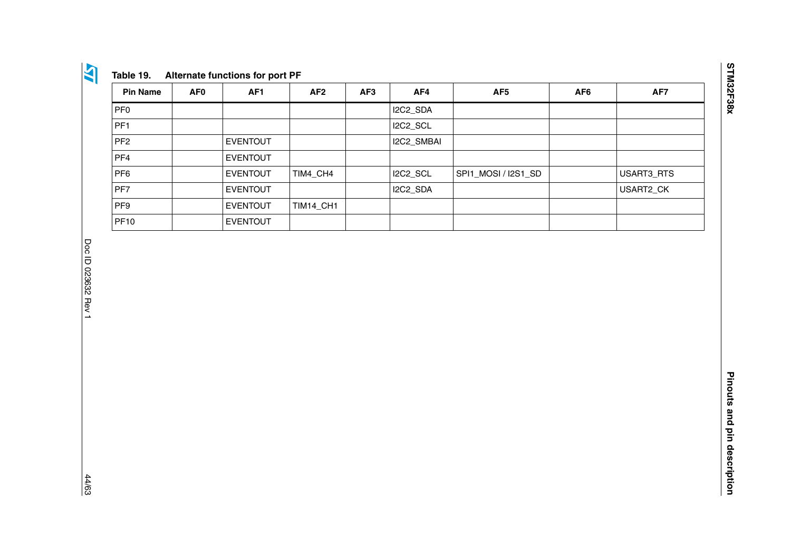| - 1                                                 |
|-----------------------------------------------------|
| . .<br>- 3<br>$\mathcal{L}$<br>w<br>u,<br>- 1<br>19 |
| ×.                                                  |

| <b>Pin Name</b> | AF <sub>0</sub> | AF <sub>1</sub> | AF <sub>2</sub>  | AF <sub>3</sub> | AF4        | AF <sub>5</sub>     | AF <sub>6</sub> | AF7        |
|-----------------|-----------------|-----------------|------------------|-----------------|------------|---------------------|-----------------|------------|
| PF <sub>0</sub> |                 |                 |                  |                 | I2C2_SDA   |                     |                 |            |
| PF <sub>1</sub> |                 |                 |                  |                 | I2C2_SCL   |                     |                 |            |
| PF <sub>2</sub> |                 | <b>EVENTOUT</b> |                  |                 | I2C2_SMBAI |                     |                 |            |
| PF4             |                 | <b>EVENTOUT</b> |                  |                 |            |                     |                 |            |
| PF <sub>6</sub> |                 | <b>EVENTOUT</b> | TIM4_CH4         |                 | I2C2_SCL   | SPI1_MOSI / I2S1_SD |                 | USART3_RTS |
| PF7             |                 | <b>EVENTOUT</b> |                  |                 | I2C2_SDA   |                     |                 | USART2_CK  |
| PF <sub>9</sub> |                 | <b>EVENTOUT</b> | <b>TIM14_CH1</b> |                 |            |                     |                 |            |
| <b>PF10</b>     |                 | <b>EVENTOUT</b> |                  |                 |            |                     |                 |            |

<span id="page-43-0"></span>44/63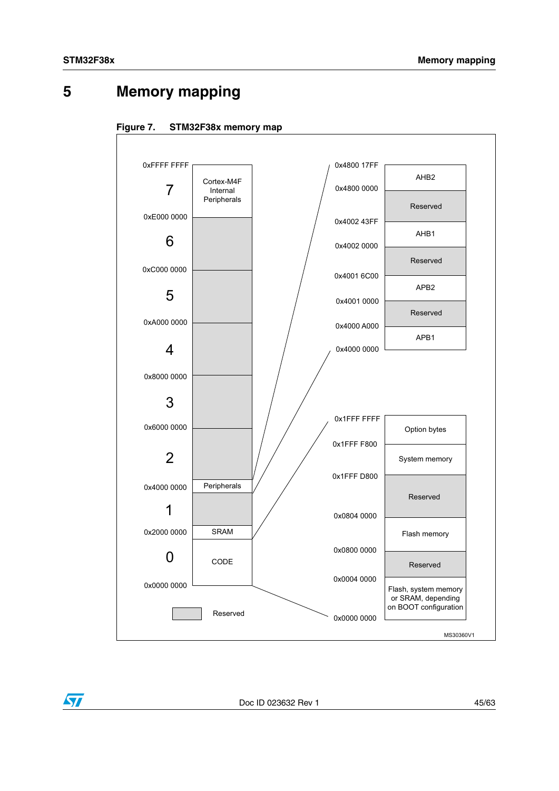$\sqrt{}$ 

# <span id="page-44-0"></span>**5 Memory mapping**

<span id="page-44-1"></span>



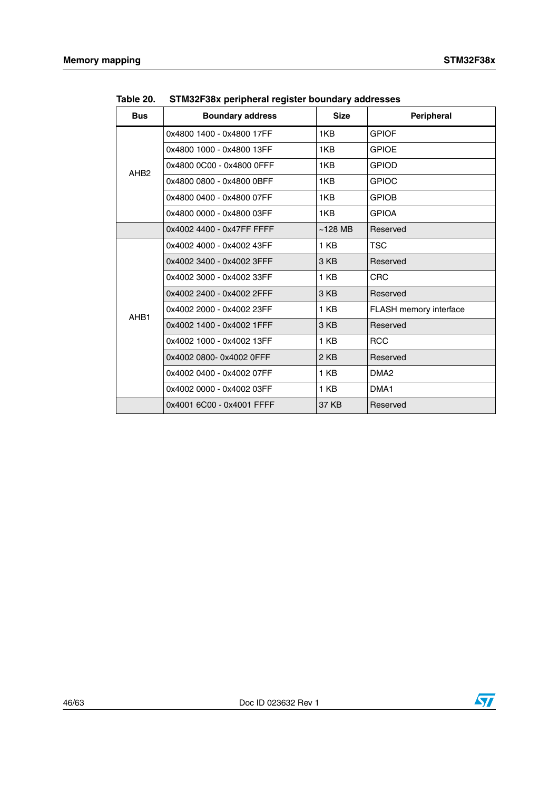| <b>Bus</b>                           | <b>Boundary address</b>   | <b>Size</b> | Peripheral                    |
|--------------------------------------|---------------------------|-------------|-------------------------------|
|                                      | 0x4800 1400 - 0x4800 17FF | 1KB         | <b>GPIOF</b>                  |
| AHB <sub>2</sub><br>AHB <sub>1</sub> | 0x4800 1000 - 0x4800 13FF | 1KB         | <b>GPIOE</b>                  |
|                                      | 0x4800 0C00 - 0x4800 0FFF | 1KB         | <b>GPIOD</b>                  |
|                                      | 0x4800 0800 - 0x4800 0BFF | 1KB         | <b>GPIOC</b>                  |
|                                      | 0x4800 0400 - 0x4800 07FF | 1KB         | <b>GPIOB</b>                  |
|                                      | 0x4800 0000 - 0x4800 03FF | 1KB         | <b>GPIOA</b>                  |
|                                      | 0x4002 4400 - 0x47FF FFFF | $~128$ MB   | Reserved                      |
|                                      | 0x4002 4000 - 0x4002 43FF | 1 KB        | <b>TSC</b>                    |
|                                      | 0x4002 3400 - 0x4002 3FFF | 3 KB        | Reserved                      |
|                                      | 0x4002 3000 - 0x4002 33FF | 1 KB        | <b>CRC</b>                    |
|                                      | 0x4002 2400 - 0x4002 2FFF | 3 KB        | Reserved                      |
|                                      | 0x4002 2000 - 0x4002 23FF | 1 KB        | <b>FLASH</b> memory interface |
|                                      | 0x4002 1400 - 0x4002 1FFF | 3 KB        | Reserved                      |
|                                      | 0x4002 1000 - 0x4002 13FF | 1 KB        | <b>RCC</b>                    |
|                                      | 0x4002 0800-0x4002 0FFF   | 2 KB        | Reserved                      |
|                                      | 0x4002 0400 - 0x4002 07FF | 1 KB        | DMA <sub>2</sub>              |
|                                      | 0x4002 0000 - 0x4002 03FF | 1 KB        | DMA1                          |
|                                      | 0x4001 6C00 - 0x4001 FFFF | 37 KB       | Reserved                      |

<span id="page-45-0"></span>**Table 20. STM32F38x peripheral register boundary addresses**

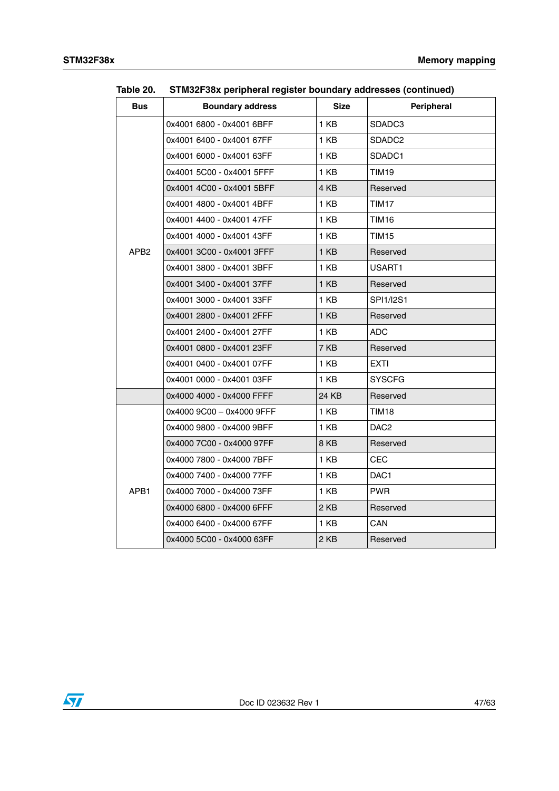| <b>Bus</b>       | <b>Boundary address</b>   | <b>Size</b> | <b>Peripheral</b>  |
|------------------|---------------------------|-------------|--------------------|
|                  | 0x4001 6800 - 0x4001 6BFF | 1 KB        | SDADC3             |
|                  | 0x4001 6400 - 0x4001 67FF | 1 KB        | SDADC <sub>2</sub> |
|                  | 0x4001 6000 - 0x4001 63FF | 1 KB        | SDADC1             |
|                  | 0x4001 5C00 - 0x4001 5FFF | 1 KB        | TIM19              |
|                  | 0x4001 4C00 - 0x4001 5BFF | 4 KB        | Reserved           |
|                  | 0x4001 4800 - 0x4001 4BFF | 1 KB        | TIM17              |
|                  | 0x4001 4400 - 0x4001 47FF | 1 KB        | TIM16              |
|                  | 0x4001 4000 - 0x4001 43FF | 1 KB        | TIM15              |
| APB <sub>2</sub> | 0x4001 3C00 - 0x4001 3FFF | 1 KB        | Reserved           |
|                  | 0x4001 3800 - 0x4001 3BFF | 1 KB        | USART1             |
|                  | 0x4001 3400 - 0x4001 37FF | 1 KB        | Reserved           |
|                  | 0x4001 3000 - 0x4001 33FF | 1 KB        | <b>SPI1/I2S1</b>   |
|                  | 0x4001 2800 - 0x4001 2FFF | 1 KB        | Reserved           |
|                  | 0x4001 2400 - 0x4001 27FF | 1 KB        | ADC                |
|                  | 0x4001 0800 - 0x4001 23FF | 7 KB        | Reserved           |
|                  | 0x4001 0400 - 0x4001 07FF | 1 KB        | EXTI               |
|                  | 0x4001 0000 - 0x4001 03FF | 1 KB        | <b>SYSCFG</b>      |
|                  | 0x4000 4000 - 0x4000 FFFF | 24 KB       | Reserved           |
|                  | 0x4000 9C00 - 0x4000 9FFF | 1 KB        | TIM18              |
|                  | 0x4000 9800 - 0x4000 9BFF | 1 KB        | DAC2               |
|                  | 0x4000 7C00 - 0x4000 97FF | 8KB         | Reserved           |
|                  | 0x4000 7800 - 0x4000 7BFF | 1 KB        | CEC                |
|                  | 0x4000 7400 - 0x4000 77FF | 1 KB        | DAC1               |
| APB1             | 0x4000 7000 - 0x4000 73FF | 1 KB        | <b>PWR</b>         |
|                  | 0x4000 6800 - 0x4000 6FFF | 2 KB        | Reserved           |
|                  | 0x4000 6400 - 0x4000 67FF | 1 KB        | CAN                |
|                  | 0x4000 5C00 - 0x4000 63FF | 2 KB        | Reserved           |

**Table 20. STM32F38x peripheral register boundary addresses (continued)**

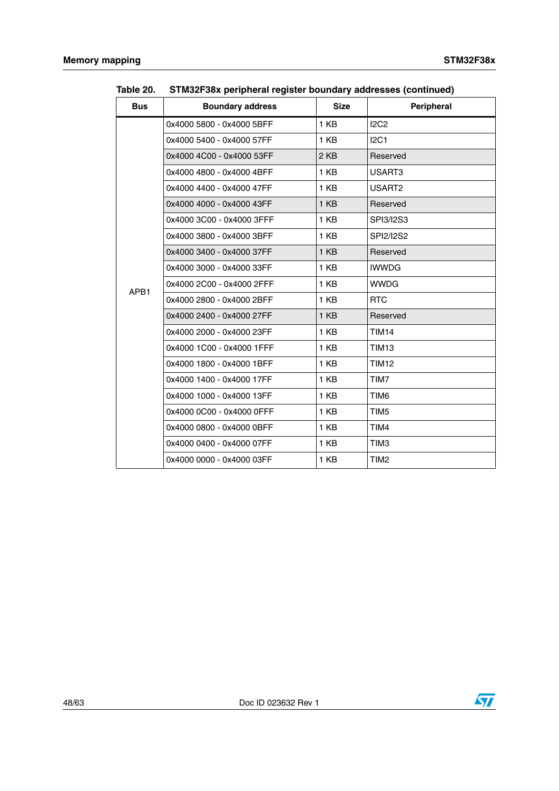| <b>Bus</b> | <b>Boundary address</b>   | <b>Size</b>     | Peripheral       |
|------------|---------------------------|-----------------|------------------|
|            | 0x4000 5800 - 0x4000 5BFF | 1 KB            | <b>I2C2</b>      |
| APB1       | 0x4000 5400 - 0x4000 57FF | 1 KB            | I2C1             |
|            | 0x4000 4C00 - 0x4000 53FF | 2 KB            | Reserved         |
|            | 0x4000 4800 - 0x4000 4BFF | 1 KB            | USART3           |
|            | 0x4000 4400 - 0x4000 47FF | 1 KB            | USART2           |
|            | 0x4000 4000 - 0x4000 43FF | 1 KB            | Reserved         |
|            | 0x4000 3C00 - 0x4000 3FFF | 1 KB            | SPI3/12S3        |
|            | 0x4000 3800 - 0x4000 3BFF | 1 KB            | SPI2/I2S2        |
|            | 0x4000 3400 - 0x4000 37FF | 1 KB            | Reserved         |
|            | 0x4000 3000 - 0x4000 33FF | 1 KB            | <b>IWWDG</b>     |
|            | 0x4000 2C00 - 0x4000 2FFF | 1 KB            | <b>WWDG</b>      |
|            | 0x4000 2800 - 0x4000 2BFF | 1 KB            | <b>RTC</b>       |
|            | 0x4000 2400 - 0x4000 27FF | 1 <sub>KB</sub> | Reserved         |
|            | 0x4000 2000 - 0x4000 23FF | 1 KB            | <b>TIM14</b>     |
|            | 0x4000 1C00 - 0x4000 1FFF | 1 KB            | <b>TIM13</b>     |
|            | 0x4000 1800 - 0x4000 1BFF | 1 KB            | <b>TIM12</b>     |
|            | 0x4000 1400 - 0x4000 17FF | 1 KB            | TIM7             |
|            | 0x4000 1000 - 0x4000 13FF | 1 KB            | TIM6             |
|            | 0x4000 0C00 - 0x4000 0FFF | 1 KB            | TIM <sub>5</sub> |
|            | 0x4000 0800 - 0x4000 0BFF | 1 KB            | TIM4             |
|            | 0x4000 0400 - 0x4000 07FF | 1 KB            | TIM <sub>3</sub> |
|            | 0x4000 0000 - 0x4000 03FF | 1 KB            | TIM <sub>2</sub> |

**Table 20. STM32F38x peripheral register boundary addresses (continued)**

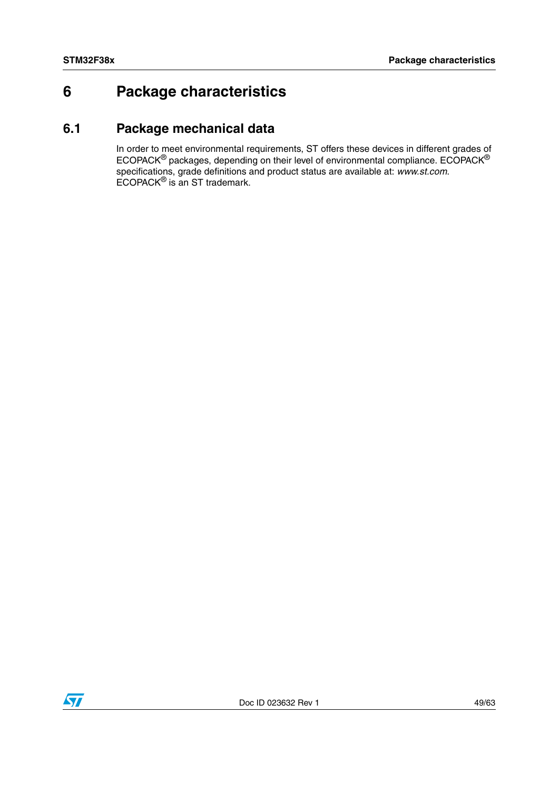# <span id="page-48-0"></span>**6 Package characteristics**

## <span id="page-48-1"></span>**6.1 Package mechanical data**

In order to meet environmental requirements, ST offers these devices in different grades of ECOPACK<sup>®</sup> packages, depending on their level of environmental compliance. ECOPACK<sup>®</sup> specifications, grade definitions and product status are available at: *www.st.com*. ECOPACK® is an ST trademark.

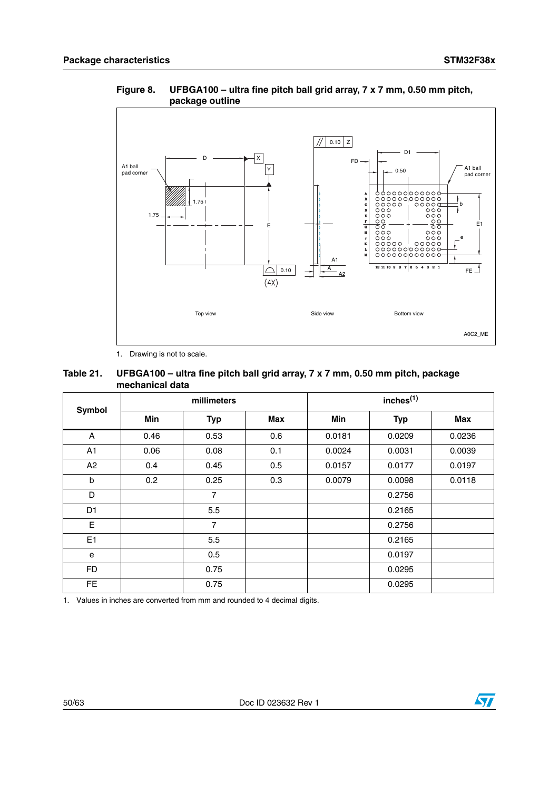

<span id="page-49-1"></span>**Figure 8. UFBGA100 – ultra fine pitch ball grid array, 7 x 7 mm, 0.50 mm pitch, package outline**

1. Drawing is not to scale.

#### <span id="page-49-0"></span> **Table 21. UFBGA100 – ultra fine pitch ball grid array, 7 x 7 mm, 0.50 mm pitch, package mechanical data**

|                |      | millimeters    |     | inches <sup>(1)</sup> |            |        |  |
|----------------|------|----------------|-----|-----------------------|------------|--------|--|
| Symbol         | Min  | <b>Typ</b>     | Max | Min                   | <b>Typ</b> | Max    |  |
| A              | 0.46 | 0.53           | 0.6 | 0.0181                | 0.0209     | 0.0236 |  |
| A <sub>1</sub> | 0.06 | 0.08           | 0.1 | 0.0024                | 0.0031     | 0.0039 |  |
| A2             | 0.4  | 0.45           | 0.5 | 0.0157                | 0.0177     | 0.0197 |  |
| b              | 0.2  | 0.25           | 0.3 | 0.0079                | 0.0098     | 0.0118 |  |
| D              |      | 7              |     |                       | 0.2756     |        |  |
| D <sub>1</sub> |      | 5.5            |     |                       | 0.2165     |        |  |
| E              |      | $\overline{7}$ |     |                       | 0.2756     |        |  |
| E <sub>1</sub> |      | 5.5            |     |                       | 0.2165     |        |  |
| e              |      | 0.5            |     |                       | 0.0197     |        |  |
| <b>FD</b>      |      | 0.75           |     |                       | 0.0295     |        |  |
| <b>FE</b>      |      | 0.75           |     |                       | 0.0295     |        |  |

1. Values in inches are converted from mm and rounded to 4 decimal digits.



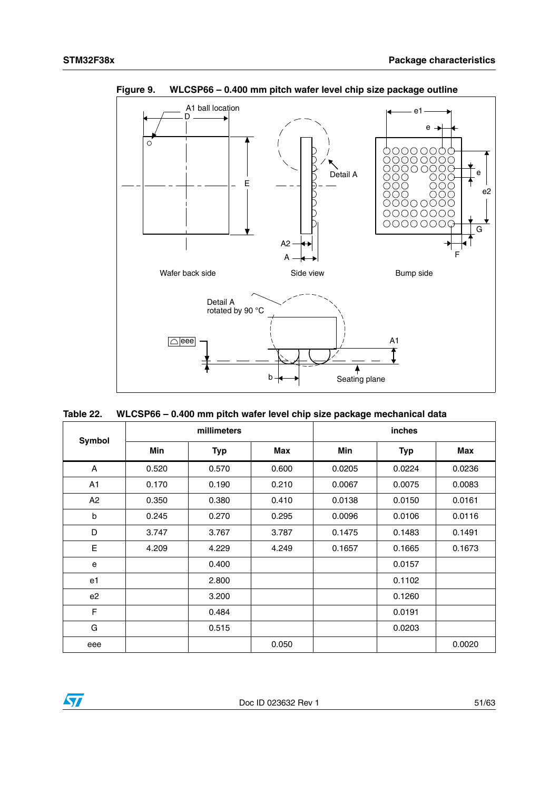

<span id="page-50-1"></span>**Figure 9. WLCSP66 – 0.400 mm pitch wafer level chip size package outline**

<span id="page-50-0"></span>

| Table 22. |  |  |  | WLCSP66 - 0.400 mm pitch wafer level chip size package mechanical data |  |
|-----------|--|--|--|------------------------------------------------------------------------|--|
|-----------|--|--|--|------------------------------------------------------------------------|--|

| <b>Symbol</b>  |            | millimeters |       | inches     |            |        |  |
|----------------|------------|-------------|-------|------------|------------|--------|--|
|                | <b>Min</b> | <b>Typ</b>  | Max   | <b>Min</b> | <b>Typ</b> | Max    |  |
| A              | 0.520      | 0.570       | 0.600 | 0.0205     | 0.0224     | 0.0236 |  |
| A1             | 0.170      | 0.190       | 0.210 | 0.0067     | 0.0075     | 0.0083 |  |
| A <sub>2</sub> | 0.350      | 0.380       | 0.410 | 0.0138     | 0.0150     | 0.0161 |  |
| b              | 0.245      | 0.270       | 0.295 | 0.0096     | 0.0106     | 0.0116 |  |
| D              | 3.747      | 3.767       | 3.787 | 0.1475     | 0.1483     | 0.1491 |  |
| E              | 4.209      | 4.229       | 4.249 | 0.1657     | 0.1665     | 0.1673 |  |
| e              |            | 0.400       |       |            | 0.0157     |        |  |
| e1             |            | 2.800       |       |            | 0.1102     |        |  |
| e <sub>2</sub> |            | 3.200       |       |            | 0.1260     |        |  |
| F              |            | 0.484       |       |            | 0.0191     |        |  |
| G              |            | 0.515       |       |            | 0.0203     |        |  |
| eee            |            |             | 0.050 |            |            | 0.0020 |  |

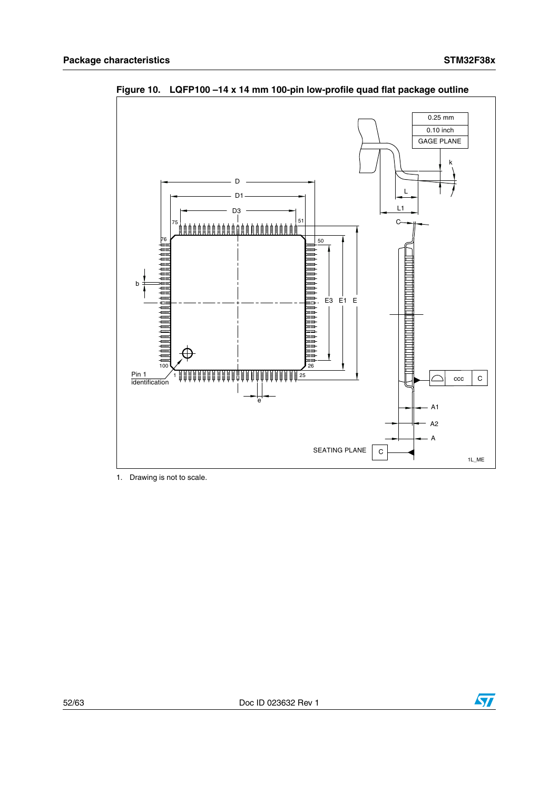

<span id="page-51-0"></span>**Figure 10. LQFP100 –14 x 14 mm 100-pin low-profile quad flat package outline** 

1. Drawing is not to scale.

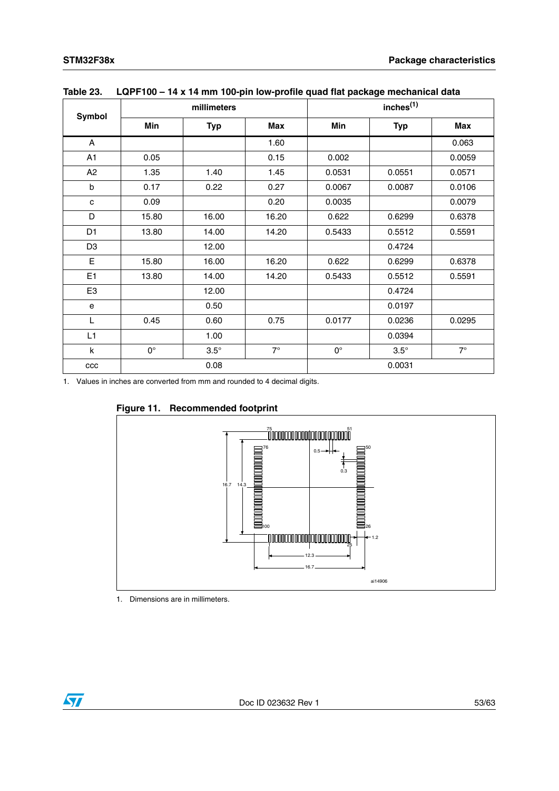|                |             | millimeters |           |             | inches <sup>(1)</sup> |           |  |  |
|----------------|-------------|-------------|-----------|-------------|-----------------------|-----------|--|--|
| <b>Symbol</b>  | Min         | <b>Typ</b>  | Max       | Min         | <b>Typ</b>            | Max       |  |  |
| A              |             |             | 1.60      |             |                       | 0.063     |  |  |
| A1             | 0.05        |             | 0.15      | 0.002       |                       | 0.0059    |  |  |
| A <sub>2</sub> | 1.35        | 1.40        | 1.45      | 0.0531      | 0.0551                | 0.0571    |  |  |
| b              | 0.17        | 0.22        | 0.27      | 0.0067      | 0.0087                | 0.0106    |  |  |
| $\mathbf c$    | 0.09        |             | 0.20      | 0.0035      |                       | 0.0079    |  |  |
| D              | 15.80       | 16.00       | 16.20     | 0.622       | 0.6299                | 0.6378    |  |  |
| D <sub>1</sub> | 13.80       | 14.00       | 14.20     | 0.5433      | 0.5512                | 0.5591    |  |  |
| D <sub>3</sub> |             | 12.00       |           |             | 0.4724                |           |  |  |
| Е              | 15.80       | 16.00       | 16.20     | 0.622       | 0.6299                | 0.6378    |  |  |
| E1             | 13.80       | 14.00       | 14.20     | 0.5433      | 0.5512                | 0.5591    |  |  |
| E <sub>3</sub> |             | 12.00       |           |             | 0.4724                |           |  |  |
| $\mathbf e$    |             | 0.50        |           |             | 0.0197                |           |  |  |
| L              | 0.45        | 0.60        | 0.75      | 0.0177      | 0.0236                | 0.0295    |  |  |
| L1             |             | 1.00        |           |             | 0.0394                |           |  |  |
| k              | $0^{\circ}$ | $3.5^\circ$ | $7^\circ$ | $0^{\circ}$ | $3.5^\circ$           | $7^\circ$ |  |  |
| CCC            |             | 0.08        |           |             | 0.0031                |           |  |  |

<span id="page-52-0"></span>**Table 23. LQPF100 – 14 x 14 mm 100-pin low-profile quad flat package mechanical data**

1. Values in inches are converted from mm and rounded to 4 decimal digits.

<span id="page-52-1"></span>



1. Dimensions are in millimeters.

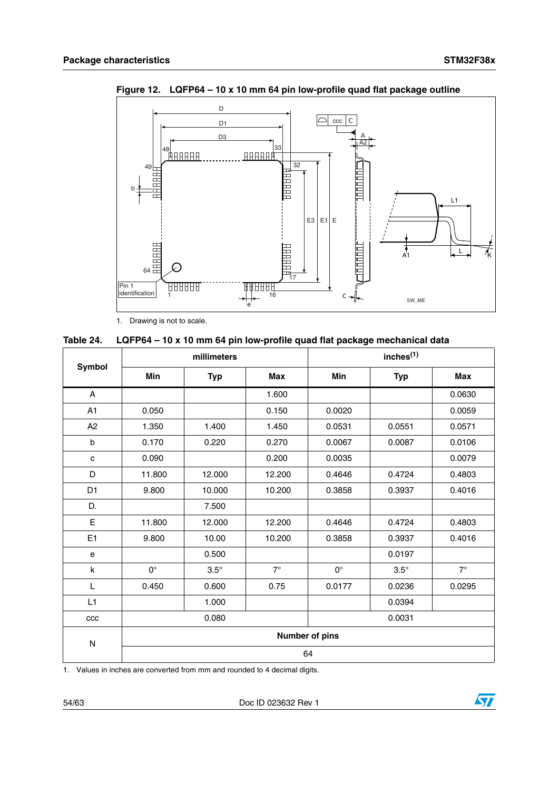

<span id="page-53-1"></span>**Figure 12. LQFP64 – 10 x 10 mm 64 pin low-profile quad flat package outline**

1. Drawing is not to scale.

<span id="page-53-0"></span>

| Table 24. |  |  |  |  |  |  |  | LQFP64 – 10 x 10 mm 64 pin low-profile quad flat package mechanical data |  |
|-----------|--|--|--|--|--|--|--|--------------------------------------------------------------------------|--|
|-----------|--|--|--|--|--|--|--|--------------------------------------------------------------------------|--|

| Symbol         | millimeters    |             |            | inches <sup>(1)</sup> |             |            |  |
|----------------|----------------|-------------|------------|-----------------------|-------------|------------|--|
|                | Min            | <b>Typ</b>  | <b>Max</b> | Min                   | <b>Typ</b>  | <b>Max</b> |  |
| A              |                |             | 1.600      |                       |             | 0.0630     |  |
| A <sub>1</sub> | 0.050          |             | 0.150      | 0.0020                |             | 0.0059     |  |
| A2             | 1.350          | 1.400       | 1.450      | 0.0531<br>0.0551      |             | 0.0571     |  |
| $\sf b$        | 0.170          | 0.220       | 0.270      | 0.0067<br>0.0087      |             | 0.0106     |  |
| $\mathbf c$    | 0.090          |             | 0.200      | 0.0035                |             | 0.0079     |  |
| D              | 11.800         | 12.000      | 12.200     | 0.4646<br>0.4724      |             | 0.4803     |  |
| D <sub>1</sub> | 9.800          | 10.000      | 10.200     | 0.3858<br>0.3937      |             | 0.4016     |  |
| D.             |                | 7.500       |            |                       |             |            |  |
| E              | 11.800         | 12.000      | 12.200     | 0.4724<br>0.4646      |             | 0.4803     |  |
| E1             | 9.800          | 10.00       | 10.200     | 0.3858<br>0.3937      |             | 0.4016     |  |
| e              |                | 0.500       |            |                       | 0.0197      |            |  |
| $\sf k$        | $0^{\circ}$    | $3.5^\circ$ | $7^\circ$  | $0^{\circ}$           | $3.5^\circ$ | $7^\circ$  |  |
| L              | 0.450          | 0.600       | 0.75       | 0.0236<br>0.0177      |             | 0.0295     |  |
| L1             |                | 1.000       |            |                       | 0.0394      |            |  |
| ccc            | 0.080          |             |            | 0.0031                |             |            |  |
| ${\sf N}$      | Number of pins |             |            |                       |             |            |  |
|                | 64             |             |            |                       |             |            |  |

1. Values in inches are converted from mm and rounded to 4 decimal digits.

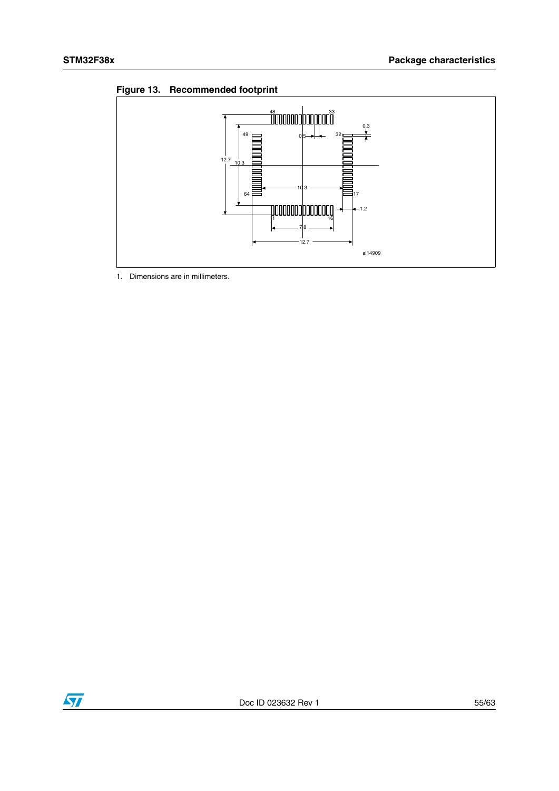<span id="page-54-0"></span>



1. Dimensions are in millimeters.

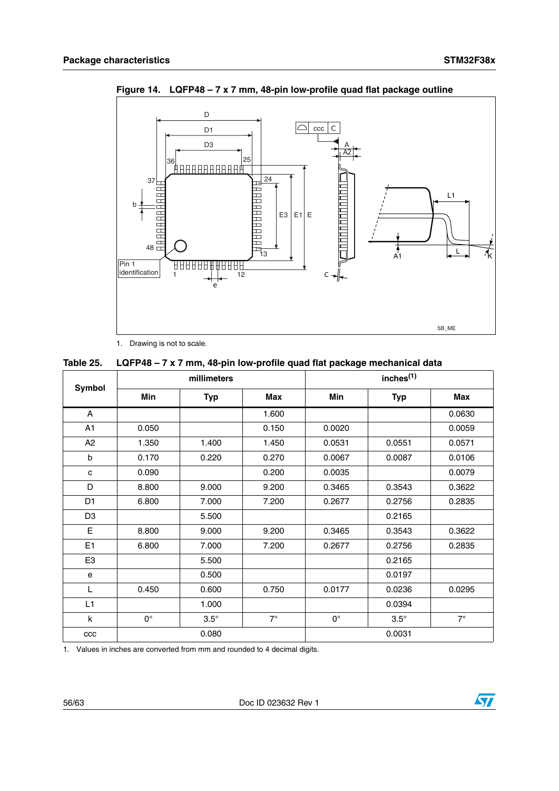

<span id="page-55-1"></span>**Figure 14. LQFP48 – 7 x 7 mm, 48-pin low-profile quad flat package outline**

1. Drawing is not to scale.

<span id="page-55-0"></span>

| Table 25. |  |  | LQFP48 – 7 x 7 mm, 48-pin low-profile quad flat package mechanical data |
|-----------|--|--|-------------------------------------------------------------------------|
|-----------|--|--|-------------------------------------------------------------------------|

| <b>Symbol</b>  | millimeters |             |            | inches <sup>(1)</sup> |             |           |  |
|----------------|-------------|-------------|------------|-----------------------|-------------|-----------|--|
|                | Min         | <b>Typ</b>  | <b>Max</b> | <b>Min</b>            | <b>Typ</b>  | Max       |  |
| A              |             |             | 1.600      |                       |             | 0.0630    |  |
| A <sub>1</sub> | 0.050       |             | 0.150      | 0.0020                |             | 0.0059    |  |
| A2             | 1.350       | 1.400       | 1.450      | 0.0531                | 0.0551      | 0.0571    |  |
| $\mathsf{b}$   | 0.170       | 0.220       | 0.270      | 0.0067                | 0.0087      | 0.0106    |  |
| C              | 0.090       |             | 0.200      | 0.0035                |             | 0.0079    |  |
| D              | 8.800       | 9.000       | 9.200      | 0.3465                | 0.3543      | 0.3622    |  |
| D <sub>1</sub> | 6.800       | 7.000       | 7.200      | 0.2677                | 0.2756      | 0.2835    |  |
| D <sub>3</sub> |             | 5.500       |            |                       | 0.2165      |           |  |
| E              | 8.800       | 9.000       | 9.200      | 0.3465                | 0.3543      | 0.3622    |  |
| E <sub>1</sub> | 6.800       | 7.000       | 7.200      | 0.2677                | 0.2756      | 0.2835    |  |
| E <sub>3</sub> |             | 5.500       |            |                       | 0.2165      |           |  |
| e              |             | 0.500       |            |                       | 0.0197      |           |  |
| L              | 0.450       | 0.600       | 0.750      | 0.0177                | 0.0236      | 0.0295    |  |
| L1             |             | 1.000       |            |                       | 0.0394      |           |  |
| k              | $0^{\circ}$ | $3.5^\circ$ | $7^\circ$  | $0^{\circ}$           | $3.5^\circ$ | $7^\circ$ |  |
| ccc            |             | 0.080       |            |                       | 0.0031      |           |  |

1. Values in inches are converted from mm and rounded to 4 decimal digits.

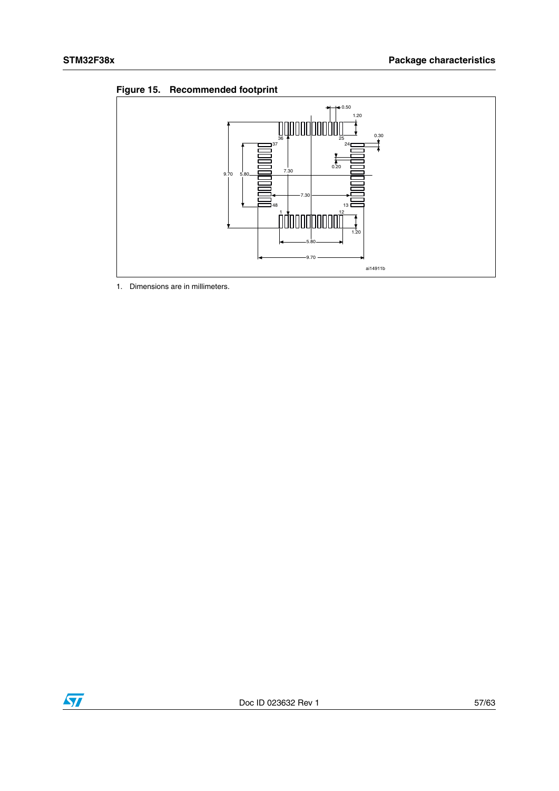<span id="page-56-0"></span>



1. Dimensions are in millimeters.

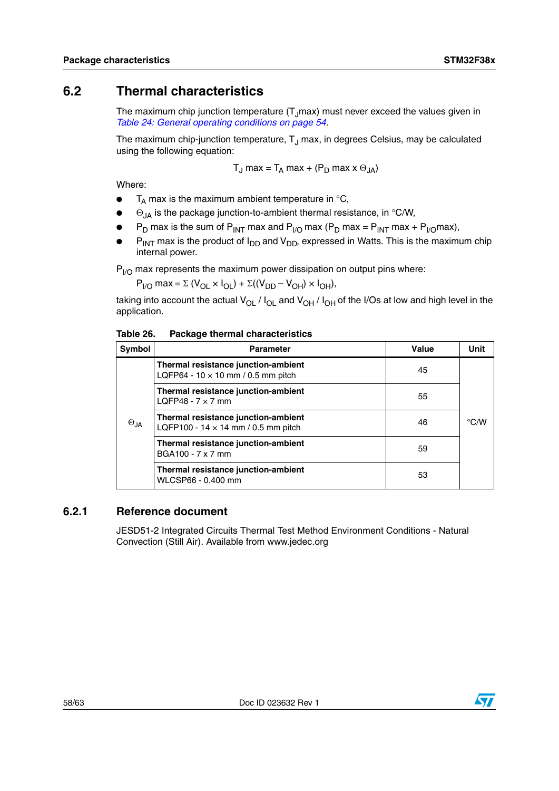## <span id="page-57-0"></span>**6.2 Thermal characteristics**

The maximum chip junction temperature  $(T, max)$  must never exceed the values given in *Table 24: General operating conditions on page 54*.

The maximum chip-junction temperature,  $T_{\text{J}}$  max, in degrees Celsius, may be calculated using the following equation:

$$
T_J \text{ max} = T_A \text{ max} + (P_D \text{ max} \times \Theta_{JA})
$$

Where:

- $\bullet$  T<sub>A</sub> max is the maximum ambient temperature in  $\mathrm{C}_{1}$ ,
- $\Theta_{JA}$  is the package junction-to-ambient thermal resistance, in °C/W,
- $P_D$  max is the sum of  $P_{INT}$  max and  $P_{I/O}$  max  $(P_D$  max =  $P_{INT}$  max +  $P_{I/O}$  max),
- $P_{INT}$  max is the product of  $I_{DD}$  and  $V_{DD}$ , expressed in Watts. This is the maximum chip internal power.

 $P_{1/2}$  max represents the maximum power dissipation on output pins where:

 $P_{I/O}$  max =  $\Sigma$  (V<sub>OL</sub>  $\times I_{OI}$ ) +  $\Sigma$ ((V<sub>DD</sub> – V<sub>OH</sub>)  $\times I_{OH}$ ),

taking into account the actual  $V_{\text{OL}}$  /  $I_{\text{OL}}$  and  $V_{\text{OH}}$  /  $I_{\text{OH}}$  of the I/Os at low and high level in the application.

<span id="page-57-2"></span>Table 26. **Package thermal characteristics** 

| Symbol        | <b>Parameter</b>                                                                  | Value | <b>Unit</b>        |
|---------------|-----------------------------------------------------------------------------------|-------|--------------------|
| $\Theta_{JA}$ | Thermal resistance junction-ambient<br>LQFP64 - $10 \times 10$ mm / 0.5 mm pitch  | 45    |                    |
|               | Thermal resistance junction-ambient<br>LQFP48 - $7 \times 7$ mm                   | 55    |                    |
|               | Thermal resistance junction-ambient<br>LQFP100 - 14 $\times$ 14 mm / 0.5 mm pitch | 46    | $\rm ^{\circ}$ C/W |
|               | Thermal resistance junction-ambient<br>BGA100 - 7 x 7 mm                          | 59    |                    |
|               | Thermal resistance junction-ambient<br>WLCSP66 - 0.400 mm                         | 53    |                    |

### <span id="page-57-1"></span>**6.2.1 Reference document**

JESD51-2 Integrated Circuits Thermal Test Method Environment Conditions - Natural Convection (Still Air). Available from www.jedec.org

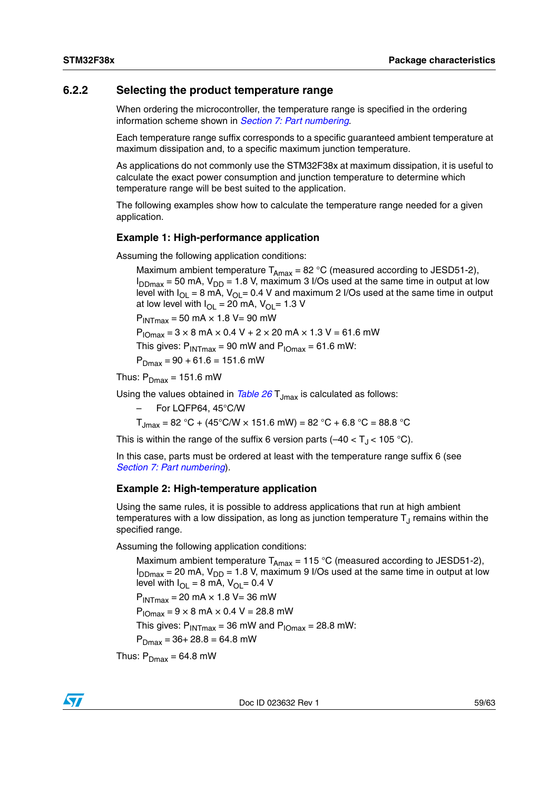### <span id="page-58-0"></span>**6.2.2 Selecting the product temperature range**

When ordering the microcontroller, the temperature range is specified in the ordering information scheme shown in *[Section 7: Part numbering](#page-60-0)*.

Each temperature range suffix corresponds to a specific guaranteed ambient temperature at maximum dissipation and, to a specific maximum junction temperature.

As applications do not commonly use the STM32F38x at maximum dissipation, it is useful to calculate the exact power consumption and junction temperature to determine which temperature range will be best suited to the application.

The following examples show how to calculate the temperature range needed for a given application.

#### **Example 1: High-performance application**

Assuming the following application conditions:

Maximum ambient temperature  $T_{Amax}$  = 82 °C (measured according to JESD51-2),  $I_{DDmax}$  = 50 mA,  $V_{DD}$  = 1.8 V, maximum 3 I/Os used at the same time in output at low level with  $I_{\text{O}} = 8$  mA,  $V_{\text{O}} = 0.4$  V and maximum 2 I/Os used at the same time in output at low level with  $I_{\text{OI}} = 20$  mA,  $V_{\text{OI}} = 1.3$  V

 $P_{INTmax}$  = 50 mA  $\times$  1.8 V= 90 mW

 $P_{10max} = 3 \times 8$  mA  $\times$  0.4 V + 2  $\times$  20 mA  $\times$  1.3 V = 61.6 mW

This gives:  $P_{INTmax} = 90$  mW and  $P_{IOMax} = 61.6$  mW:

 $P_{Dmax} = 90 + 61.6 = 151.6$  mW

Thus:  $P_{Dmax} = 151.6$  mW

Using the values obtained in *[Table 26](#page-57-2)* T<sub>Jmax</sub> is calculated as follows:

– For LQFP64, 45°C/W

 $T_{\text{Jmax}} = 82 \text{ }^{\circ}\text{C} + (45 \text{ }^{\circ}\text{C/W} \times 151.6 \text{ mW}) = 82 \text{ }^{\circ}\text{C} + 6.8 \text{ }^{\circ}\text{C} = 88.8 \text{ }^{\circ}\text{C}$ 

This is within the range of the suffix 6 version parts  $(-40 < T_{\rm J} < 105$  °C).

In this case, parts must be ordered at least with the temperature range suffix 6 (see *[Section 7: Part numbering](#page-60-0)*).

#### **Example 2: High-temperature application**

Using the same rules, it is possible to address applications that run at high ambient temperatures with a low dissipation, as long as junction temperature  $T_{J}$  remains within the specified range.

Assuming the following application conditions:

Maximum ambient temperature  $T_{Amax}$  = 115 °C (measured according to JESD51-2),  $I_{DDmax}$  = 20 mA,  $V_{DD}$  = 1.8 V, maximum 9 I/Os used at the same time in output at low level with  $I_{\text{O}} = 8 \text{ mA}$ ,  $V_{\text{O}} = 0.4 \text{ V}$  $P_{INTmax}$  = 20 mA  $\times$  1.8 V = 36 mW  $P_{1Omax} = 9 \times 8$  mA  $\times$  0.4 V = 28.8 mW This gives:  $P_{INTmax} = 36$  mW and  $P_{IOMax} = 28.8$  mW:  $P_{Dmax} = 36 + 28.8 = 64.8$  mW Thus:  $P_{Dmax} = 64.8$  mW

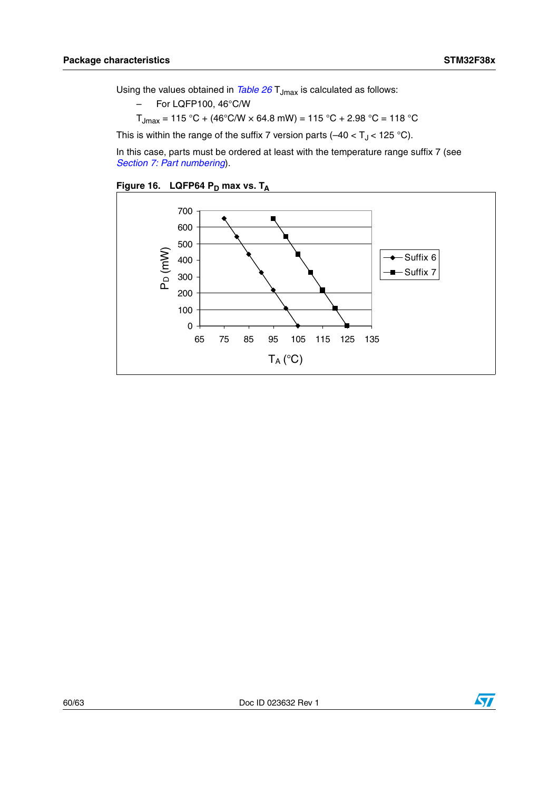Using the values obtained in *[Table 26](#page-57-2)* T<sub>Jmax</sub> is calculated as follows:

- For LQFP100, 46°C/W
- $T_{\text{Jmax}} = 115 \text{ °C} + (46 \text{ °C/W} \times 64.8 \text{ mW}) = 115 \text{ °C} + 2.98 \text{ °C} = 118 \text{ °C}$

This is within the range of the suffix 7 version parts  $(-40 < T<sub>J</sub> < 125 °C)$ .

In this case, parts must be ordered at least with the temperature range suffix 7 (see *[Section 7: Part numbering](#page-60-0)*).

<span id="page-59-0"></span>



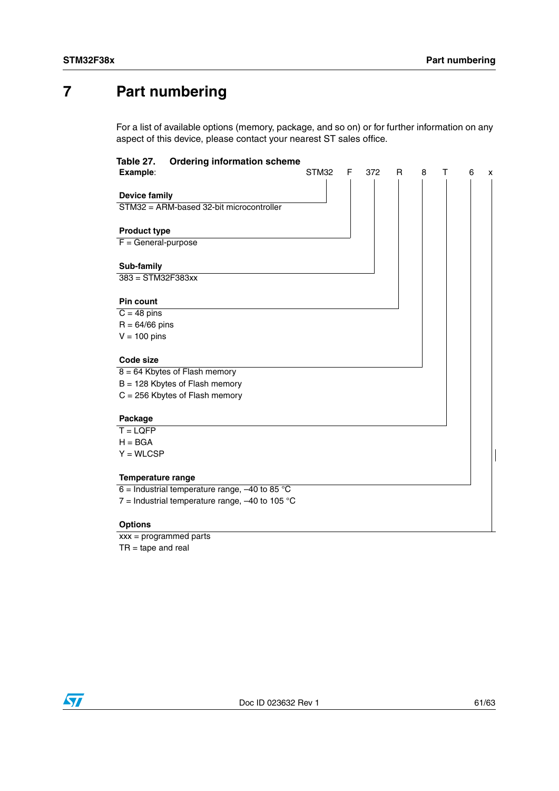# <span id="page-60-0"></span>**7 Part numbering**

For a list of available options (memory, package, and so on) or for further information on any aspect of this device, please contact your nearest ST sales office.

<span id="page-60-1"></span>

| Table 27.<br><b>Ordering information scheme</b>   |       |   |     |   |   |   |   |   |
|---------------------------------------------------|-------|---|-----|---|---|---|---|---|
| Example:                                          | STM32 | F | 372 | R | 8 | т | 6 | X |
| <b>Device family</b>                              |       |   |     |   |   |   |   |   |
| STM32 = ARM-based 32-bit microcontroller          |       |   |     |   |   |   |   |   |
|                                                   |       |   |     |   |   |   |   |   |
| <b>Product type</b>                               |       |   |     |   |   |   |   |   |
| $F = General-purpose$                             |       |   |     |   |   |   |   |   |
| Sub-family                                        |       |   |     |   |   |   |   |   |
| $383 = STM32F383xx$                               |       |   |     |   |   |   |   |   |
|                                                   |       |   |     |   |   |   |   |   |
| <b>Pin count</b>                                  |       |   |     |   |   |   |   |   |
| $C = 48$ pins                                     |       |   |     |   |   |   |   |   |
| $R = 64/66$ pins                                  |       |   |     |   |   |   |   |   |
| $V = 100$ pins                                    |       |   |     |   |   |   |   |   |
| Code size                                         |       |   |     |   |   |   |   |   |
| $8 = 64$ Kbytes of Flash memory                   |       |   |     |   |   |   |   |   |
| $B = 128$ Kbytes of Flash memory                  |       |   |     |   |   |   |   |   |
| $C = 256$ Kbytes of Flash memory                  |       |   |     |   |   |   |   |   |
| Package                                           |       |   |     |   |   |   |   |   |
| $T = LQFP$                                        |       |   |     |   |   |   |   |   |
| $H = BGA$                                         |       |   |     |   |   |   |   |   |
| $Y = WLCSP$                                       |       |   |     |   |   |   |   |   |
| <b>Temperature range</b>                          |       |   |     |   |   |   |   |   |
| 6 = Industrial temperature range, $-40$ to 85 °C  |       |   |     |   |   |   |   |   |
| 7 = Industrial temperature range, $-40$ to 105 °C |       |   |     |   |   |   |   |   |
| <b>Options</b>                                    |       |   |     |   |   |   |   |   |
|                                                   |       |   |     |   |   |   |   |   |

xxx = programmed parts  $TR = tape$  and real

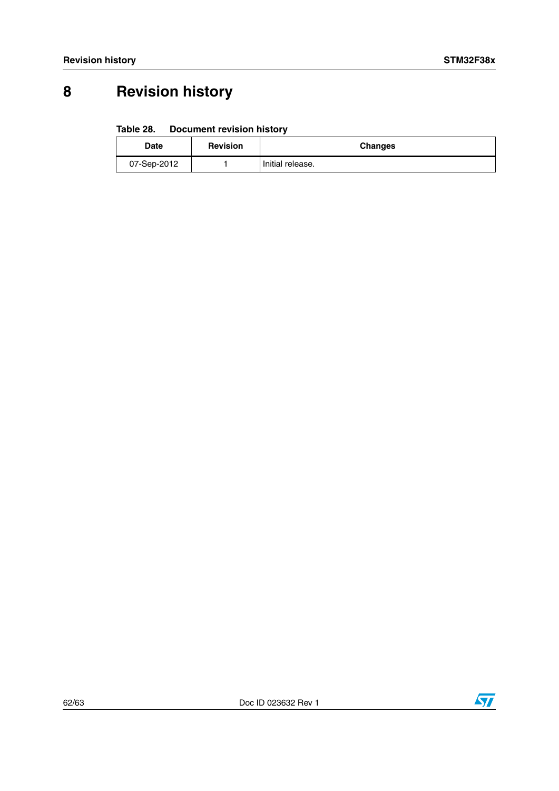# <span id="page-61-0"></span>**8 Revision history**

#### <span id="page-61-1"></span>Table 28. **Document revision history**

| <b>Date</b> | <b>Revision</b> | <b>Changes</b>   |
|-------------|-----------------|------------------|
| 07-Sep-2012 |                 | Initial release. |